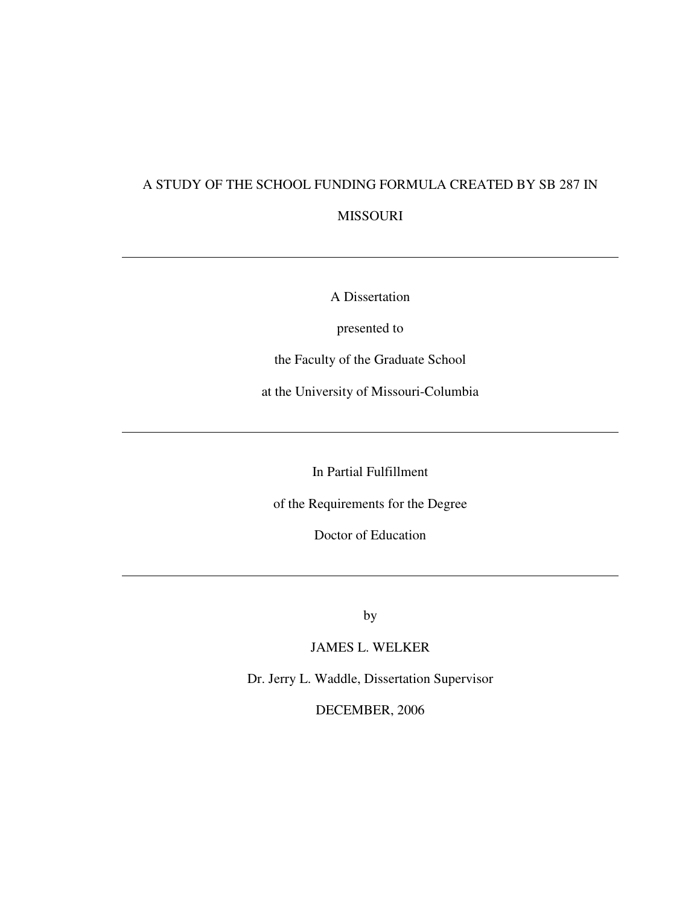# A STUDY OF THE SCHOOL FUNDING FORMULA CREATED BY SB 287 IN

# MISSOURI

A Dissertation

presented to

the Faculty of the Graduate School

at the University of Missouri-Columbia

In Partial Fulfillment

of the Requirements for the Degree

Doctor of Education

by

JAMES L. WELKER

Dr. Jerry L. Waddle, Dissertation Supervisor

DECEMBER, 2006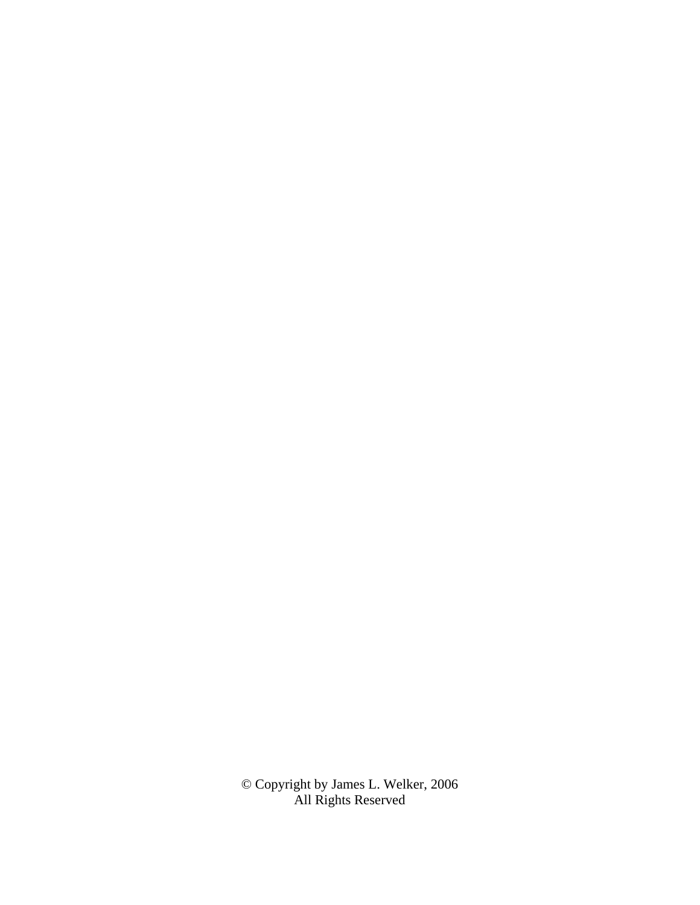© Copyright by James L. Welker, 2006 All Rights Reserved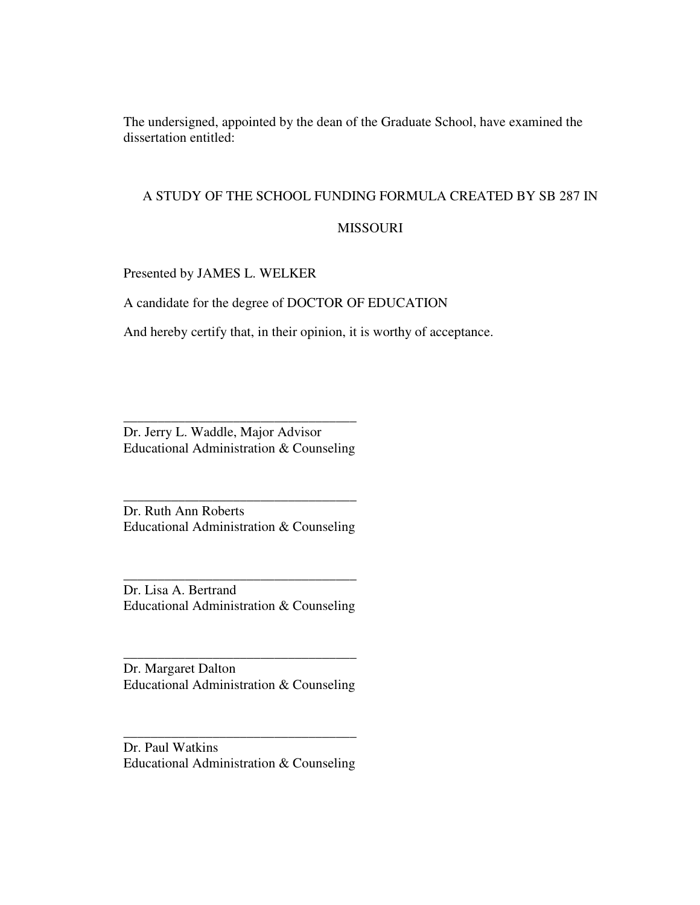The undersigned, appointed by the dean of the Graduate School, have examined the dissertation entitled:

# A STUDY OF THE SCHOOL FUNDING FORMULA CREATED BY SB 287 IN

# MISSOURI

Presented by JAMES L. WELKER

A candidate for the degree of DOCTOR OF EDUCATION

And hereby certify that, in their opinion, it is worthy of acceptance.

Dr. Jerry L. Waddle, Major Advisor Educational Administration & Counseling

\_\_\_\_\_\_\_\_\_\_\_\_\_\_\_\_\_\_\_\_\_\_\_\_\_\_\_\_\_\_\_\_\_\_

Dr. Ruth Ann Roberts Educational Administration & Counseling

\_\_\_\_\_\_\_\_\_\_\_\_\_\_\_\_\_\_\_\_\_\_\_\_\_\_\_\_\_\_\_\_\_\_

Dr. Lisa A. Bertrand Educational Administration & Counseling

\_\_\_\_\_\_\_\_\_\_\_\_\_\_\_\_\_\_\_\_\_\_\_\_\_\_\_\_\_\_\_\_\_\_

Dr. Margaret Dalton Educational Administration & Counseling

\_\_\_\_\_\_\_\_\_\_\_\_\_\_\_\_\_\_\_\_\_\_\_\_\_\_\_\_\_\_\_\_\_\_

Dr. Paul Watkins Educational Administration & Counseling

\_\_\_\_\_\_\_\_\_\_\_\_\_\_\_\_\_\_\_\_\_\_\_\_\_\_\_\_\_\_\_\_\_\_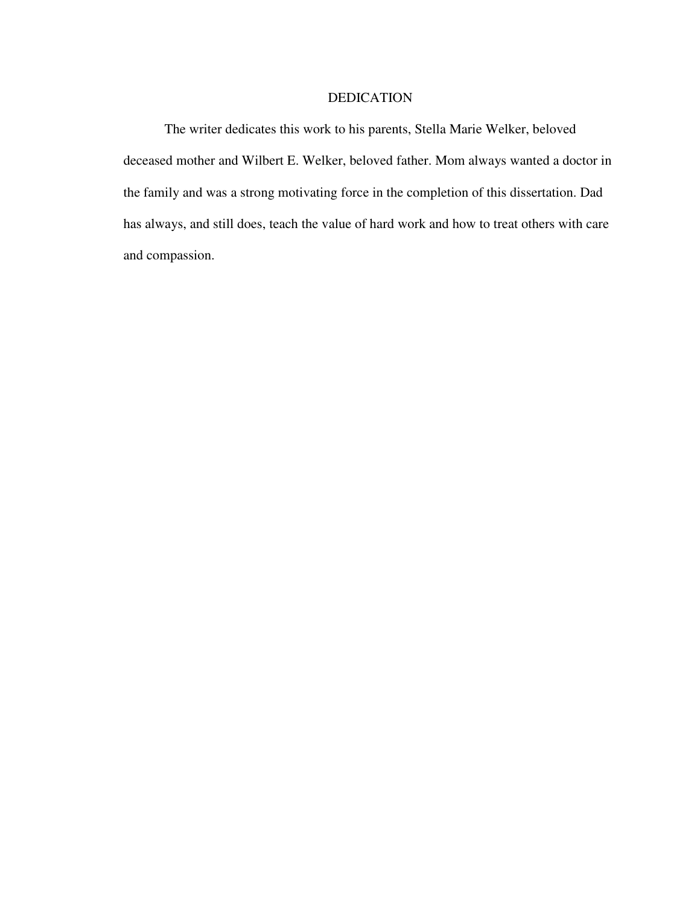# DEDICATION

The writer dedicates this work to his parents, Stella Marie Welker, beloved deceased mother and Wilbert E. Welker, beloved father. Mom always wanted a doctor in the family and was a strong motivating force in the completion of this dissertation. Dad has always, and still does, teach the value of hard work and how to treat others with care and compassion.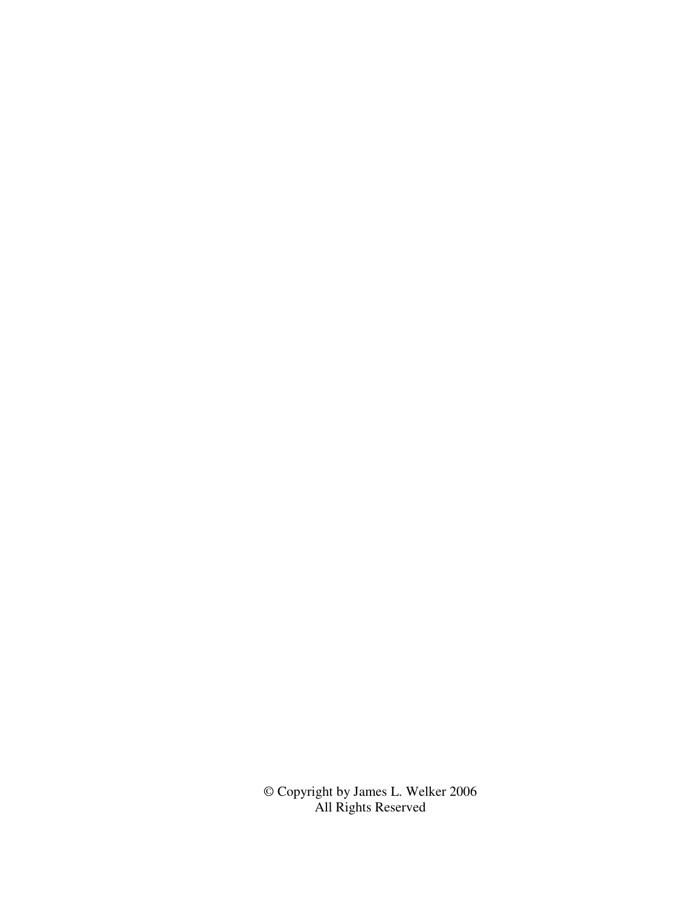© Copyright by James L. Welker 2006 All Rights Reserved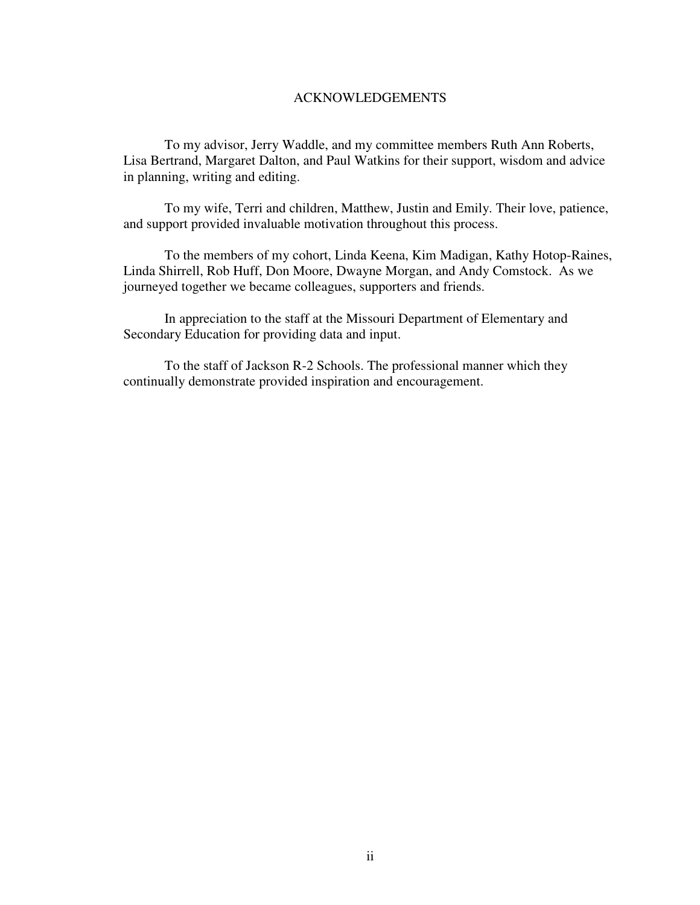## ACKNOWLEDGEMENTS

To my advisor, Jerry Waddle, and my committee members Ruth Ann Roberts, Lisa Bertrand, Margaret Dalton, and Paul Watkins for their support, wisdom and advice in planning, writing and editing.

To my wife, Terri and children, Matthew, Justin and Emily. Their love, patience, and support provided invaluable motivation throughout this process.

To the members of my cohort, Linda Keena, Kim Madigan, Kathy Hotop-Raines, Linda Shirrell, Rob Huff, Don Moore, Dwayne Morgan, and Andy Comstock. As we journeyed together we became colleagues, supporters and friends.

In appreciation to the staff at the Missouri Department of Elementary and Secondary Education for providing data and input.

To the staff of Jackson R-2 Schools. The professional manner which they continually demonstrate provided inspiration and encouragement.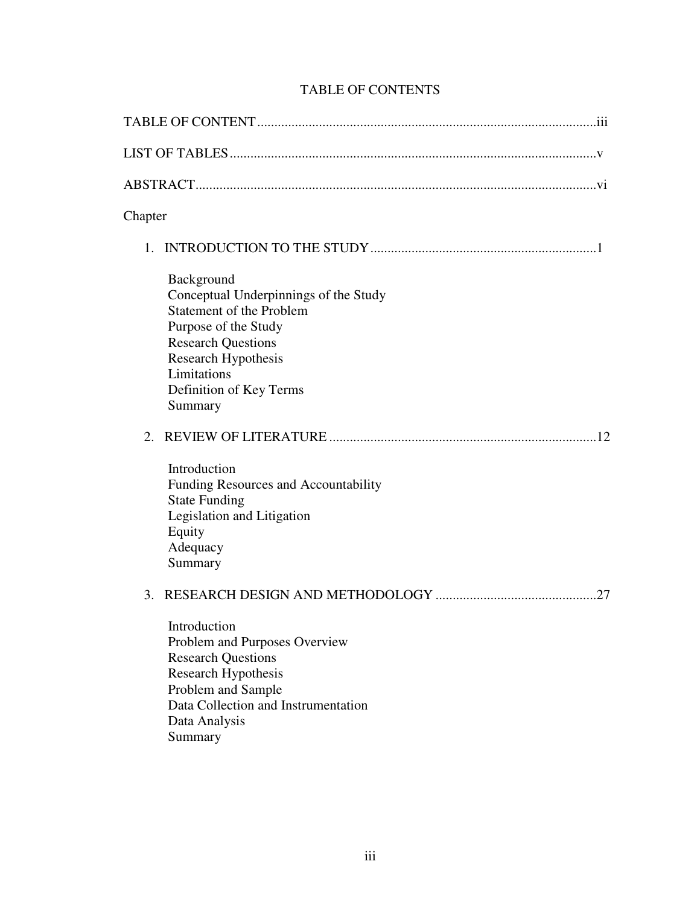| Chapter |                                                                                                                                                                                                                         |  |
|---------|-------------------------------------------------------------------------------------------------------------------------------------------------------------------------------------------------------------------------|--|
|         |                                                                                                                                                                                                                         |  |
|         | Background<br>Conceptual Underpinnings of the Study<br><b>Statement of the Problem</b><br>Purpose of the Study<br><b>Research Questions</b><br>Research Hypothesis<br>Limitations<br>Definition of Key Terms<br>Summary |  |
|         | Introduction<br>Funding Resources and Accountability<br><b>State Funding</b><br>Legislation and Litigation<br>Equity<br>Adequacy<br>Summary                                                                             |  |
|         | Introduction<br>Problem and Purposes Overview<br><b>Research Questions</b><br><b>Research Hypothesis</b><br>Problem and Sample<br>Data Collection and Instrumentation<br>Data Analysis<br>Summary                       |  |

# TABLE OF CONTENTS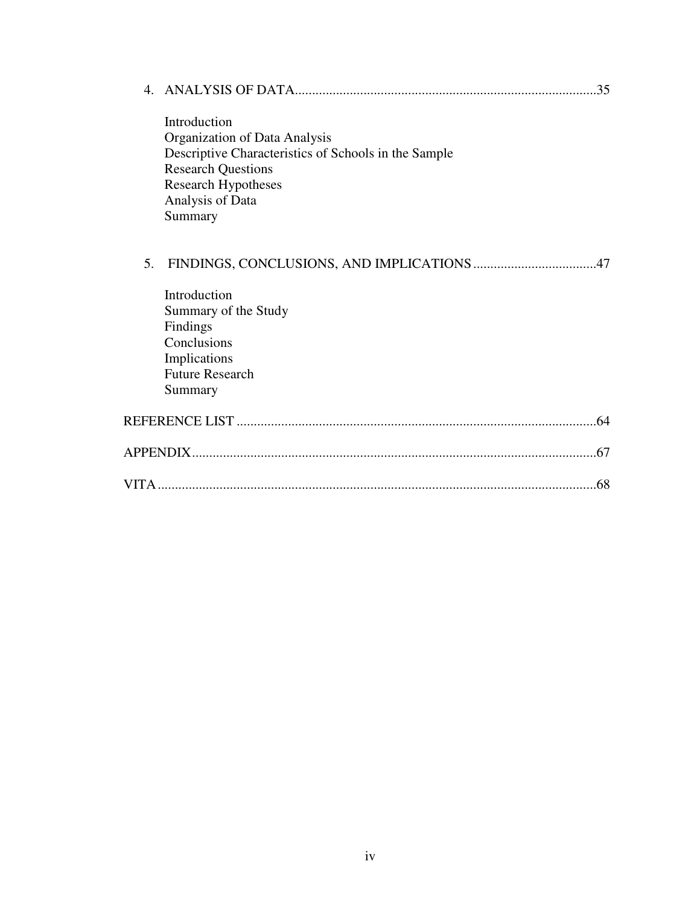|    | Introduction<br>Organization of Data Analysis<br>Descriptive Characteristics of Schools in the Sample<br><b>Research Questions</b><br><b>Research Hypotheses</b><br>Analysis of Data<br>Summary |
|----|-------------------------------------------------------------------------------------------------------------------------------------------------------------------------------------------------|
| 5. |                                                                                                                                                                                                 |
|    | Introduction<br>Summary of the Study<br>Findings<br>Conclusions<br>Implications<br><b>Future Research</b><br>Summary                                                                            |
|    |                                                                                                                                                                                                 |
|    |                                                                                                                                                                                                 |
|    | .68                                                                                                                                                                                             |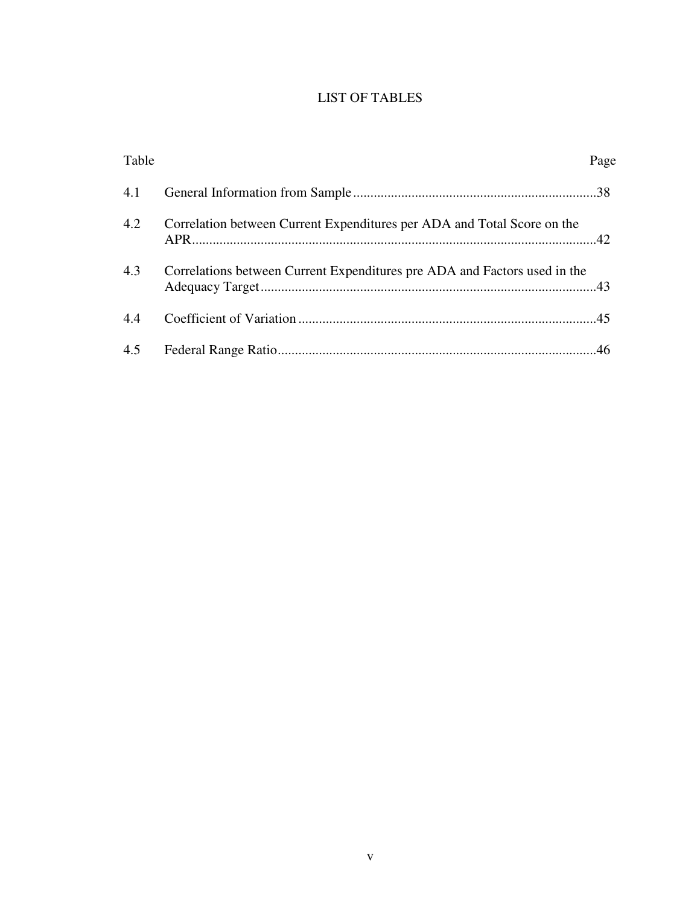# LIST OF TABLES

| Table |                                                                           | Page |
|-------|---------------------------------------------------------------------------|------|
| 4.1   |                                                                           |      |
| 4.2   | Correlation between Current Expenditures per ADA and Total Score on the   |      |
| 4.3   | Correlations between Current Expenditures pre ADA and Factors used in the |      |
| 4.4   |                                                                           |      |
|       |                                                                           |      |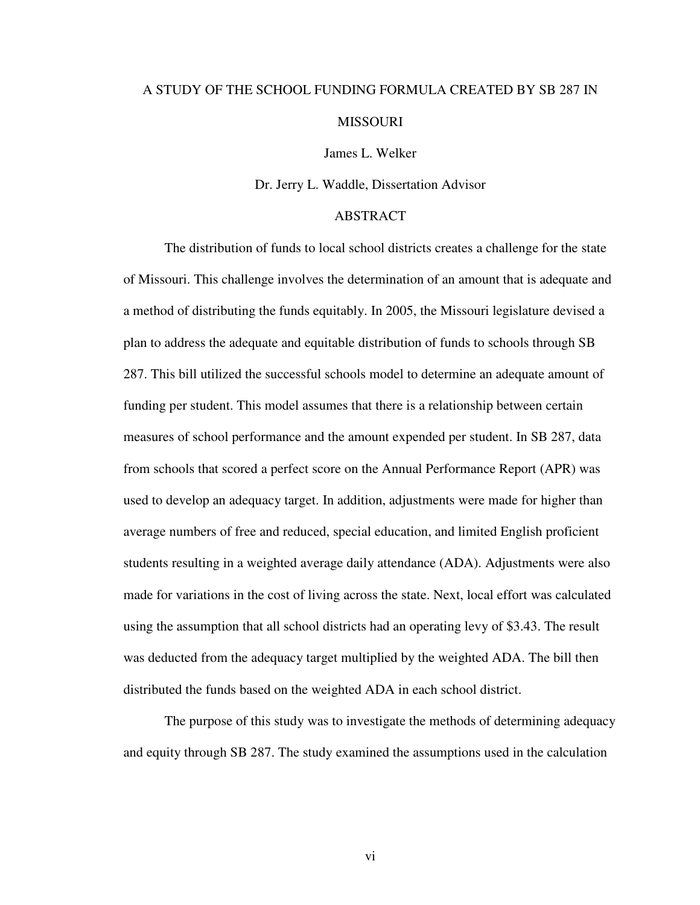# A STUDY OF THE SCHOOL FUNDING FORMULA CREATED BY SB 287 IN MISSOURI

James L. Welker

Dr. Jerry L. Waddle, Dissertation Advisor

# ABSTRACT

The distribution of funds to local school districts creates a challenge for the state of Missouri. This challenge involves the determination of an amount that is adequate and a method of distributing the funds equitably. In 2005, the Missouri legislature devised a plan to address the adequate and equitable distribution of funds to schools through SB 287. This bill utilized the successful schools model to determine an adequate amount of funding per student. This model assumes that there is a relationship between certain measures of school performance and the amount expended per student. In SB 287, data from schools that scored a perfect score on the Annual Performance Report (APR) was used to develop an adequacy target. In addition, adjustments were made for higher than average numbers of free and reduced, special education, and limited English proficient students resulting in a weighted average daily attendance (ADA). Adjustments were also made for variations in the cost of living across the state. Next, local effort was calculated using the assumption that all school districts had an operating levy of \$3.43. The result was deducted from the adequacy target multiplied by the weighted ADA. The bill then distributed the funds based on the weighted ADA in each school district.

The purpose of this study was to investigate the methods of determining adequacy and equity through SB 287. The study examined the assumptions used in the calculation

vi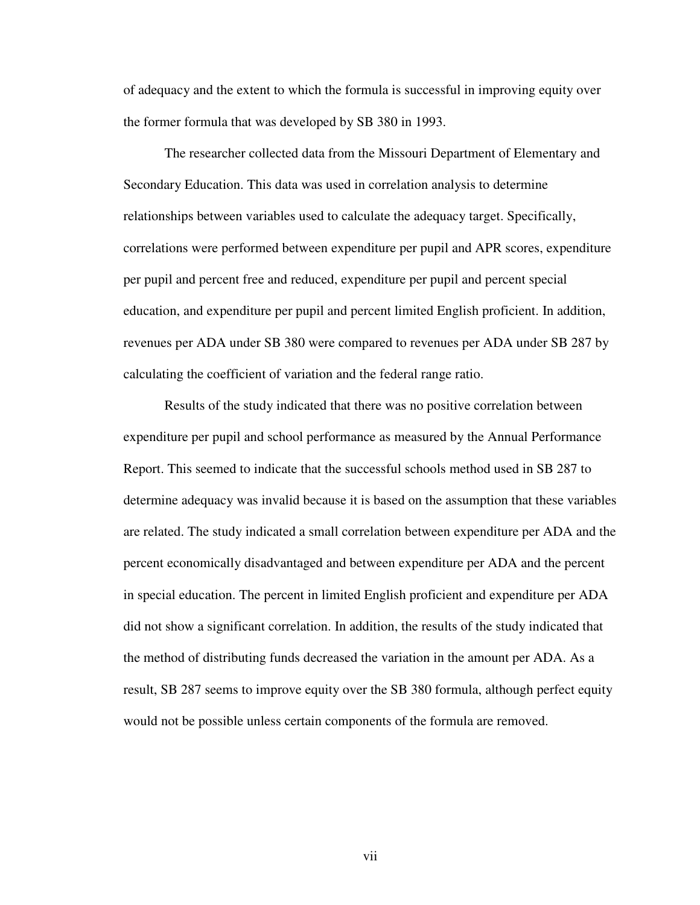of adequacy and the extent to which the formula is successful in improving equity over the former formula that was developed by SB 380 in 1993.

The researcher collected data from the Missouri Department of Elementary and Secondary Education. This data was used in correlation analysis to determine relationships between variables used to calculate the adequacy target. Specifically, correlations were performed between expenditure per pupil and APR scores, expenditure per pupil and percent free and reduced, expenditure per pupil and percent special education, and expenditure per pupil and percent limited English proficient. In addition, revenues per ADA under SB 380 were compared to revenues per ADA under SB 287 by calculating the coefficient of variation and the federal range ratio.

Results of the study indicated that there was no positive correlation between expenditure per pupil and school performance as measured by the Annual Performance Report. This seemed to indicate that the successful schools method used in SB 287 to determine adequacy was invalid because it is based on the assumption that these variables are related. The study indicated a small correlation between expenditure per ADA and the percent economically disadvantaged and between expenditure per ADA and the percent in special education. The percent in limited English proficient and expenditure per ADA did not show a significant correlation. In addition, the results of the study indicated that the method of distributing funds decreased the variation in the amount per ADA. As a result, SB 287 seems to improve equity over the SB 380 formula, although perfect equity would not be possible unless certain components of the formula are removed.

vii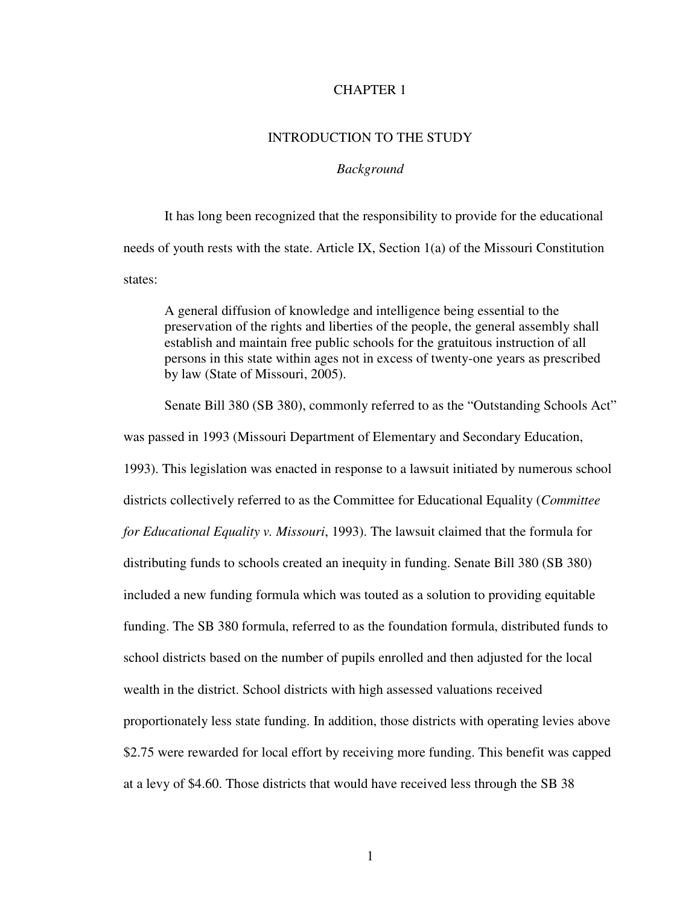## CHAPTER 1

# INTRODUCTION TO THE STUDY

## *Background*

It has long been recognized that the responsibility to provide for the educational needs of youth rests with the state. Article IX, Section 1(a) of the Missouri Constitution states:

A general diffusion of knowledge and intelligence being essential to the preservation of the rights and liberties of the people, the general assembly shall establish and maintain free public schools for the gratuitous instruction of all persons in this state within ages not in excess of twenty-one years as prescribed by law (State of Missouri, 2005).

Senate Bill 380 (SB 380), commonly referred to as the "Outstanding Schools Act"

was passed in 1993 (Missouri Department of Elementary and Secondary Education,

1993). This legislation was enacted in response to a lawsuit initiated by numerous school districts collectively referred to as the Committee for Educational Equality (*Committee for Educational Equality v. Missouri*, 1993). The lawsuit claimed that the formula for distributing funds to schools created an inequity in funding. Senate Bill 380 (SB 380) included a new funding formula which was touted as a solution to providing equitable funding. The SB 380 formula, referred to as the foundation formula, distributed funds to school districts based on the number of pupils enrolled and then adjusted for the local wealth in the district. School districts with high assessed valuations received proportionately less state funding. In addition, those districts with operating levies above \$2.75 were rewarded for local effort by receiving more funding. This benefit was capped at a levy of \$4.60. Those districts that would have received less through the SB 38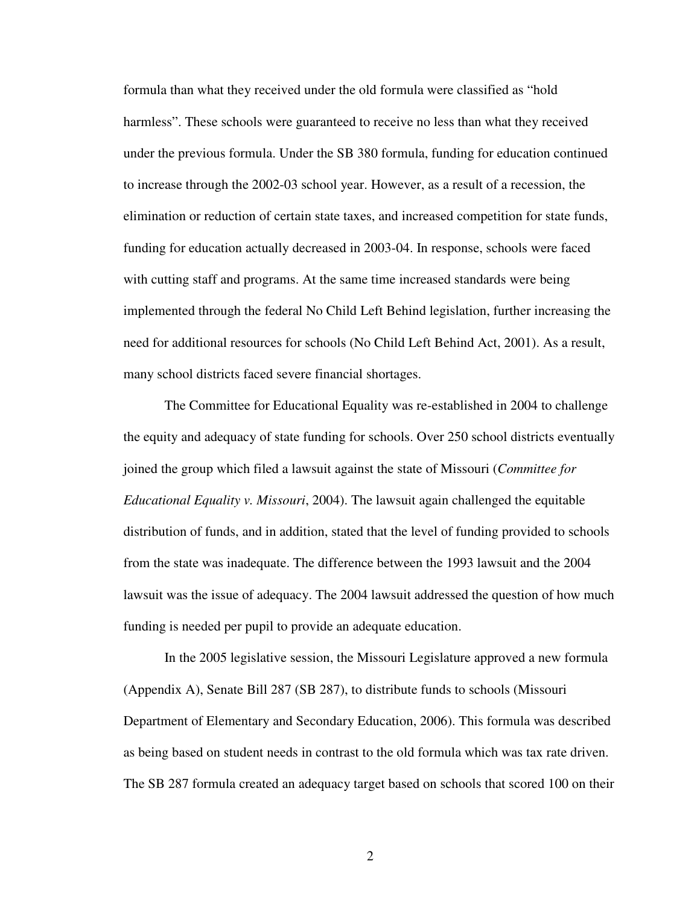formula than what they received under the old formula were classified as "hold harmless". These schools were guaranteed to receive no less than what they received under the previous formula. Under the SB 380 formula, funding for education continued to increase through the 2002-03 school year. However, as a result of a recession, the elimination or reduction of certain state taxes, and increased competition for state funds, funding for education actually decreased in 2003-04. In response, schools were faced with cutting staff and programs. At the same time increased standards were being implemented through the federal No Child Left Behind legislation, further increasing the need for additional resources for schools (No Child Left Behind Act, 2001). As a result, many school districts faced severe financial shortages.

The Committee for Educational Equality was re-established in 2004 to challenge the equity and adequacy of state funding for schools. Over 250 school districts eventually joined the group which filed a lawsuit against the state of Missouri (*Committee for Educational Equality v. Missouri*, 2004). The lawsuit again challenged the equitable distribution of funds, and in addition, stated that the level of funding provided to schools from the state was inadequate. The difference between the 1993 lawsuit and the 2004 lawsuit was the issue of adequacy. The 2004 lawsuit addressed the question of how much funding is needed per pupil to provide an adequate education.

In the 2005 legislative session, the Missouri Legislature approved a new formula (Appendix A), Senate Bill 287 (SB 287), to distribute funds to schools (Missouri Department of Elementary and Secondary Education, 2006). This formula was described as being based on student needs in contrast to the old formula which was tax rate driven. The SB 287 formula created an adequacy target based on schools that scored 100 on their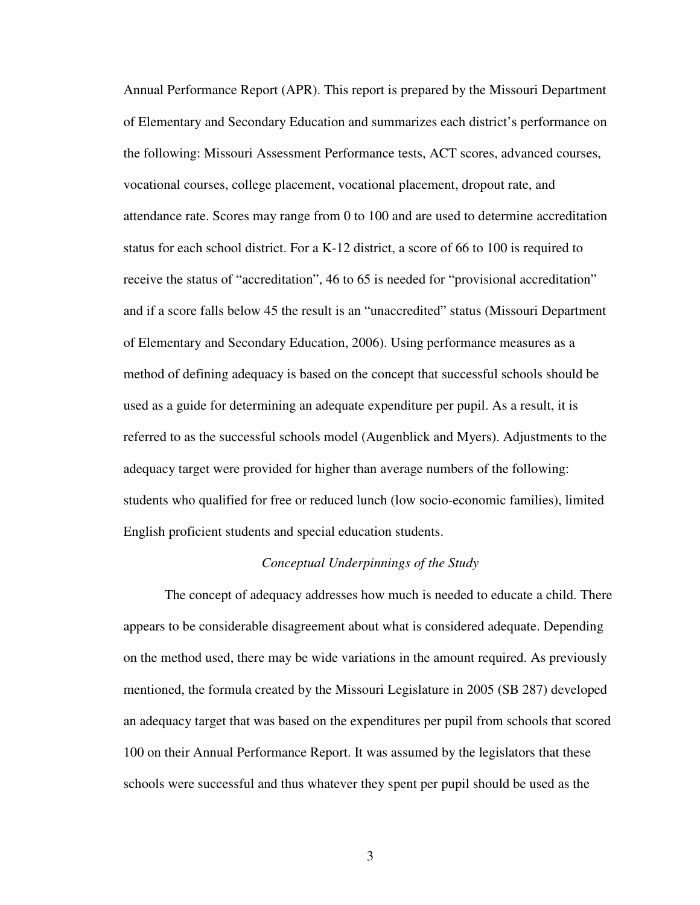Annual Performance Report (APR). This report is prepared by the Missouri Department of Elementary and Secondary Education and summarizes each district's performance on the following: Missouri Assessment Performance tests, ACT scores, advanced courses, vocational courses, college placement, vocational placement, dropout rate, and attendance rate. Scores may range from 0 to 100 and are used to determine accreditation status for each school district. For a K-12 district, a score of 66 to 100 is required to receive the status of "accreditation", 46 to 65 is needed for "provisional accreditation" and if a score falls below 45 the result is an "unaccredited" status (Missouri Department of Elementary and Secondary Education, 2006). Using performance measures as a method of defining adequacy is based on the concept that successful schools should be used as a guide for determining an adequate expenditure per pupil. As a result, it is referred to as the successful schools model (Augenblick and Myers). Adjustments to the adequacy target were provided for higher than average numbers of the following: students who qualified for free or reduced lunch (low socio-economic families), limited English proficient students and special education students.

#### *Conceptual Underpinnings of the Study*

The concept of adequacy addresses how much is needed to educate a child. There appears to be considerable disagreement about what is considered adequate. Depending on the method used, there may be wide variations in the amount required. As previously mentioned, the formula created by the Missouri Legislature in 2005 (SB 287) developed an adequacy target that was based on the expenditures per pupil from schools that scored 100 on their Annual Performance Report. It was assumed by the legislators that these schools were successful and thus whatever they spent per pupil should be used as the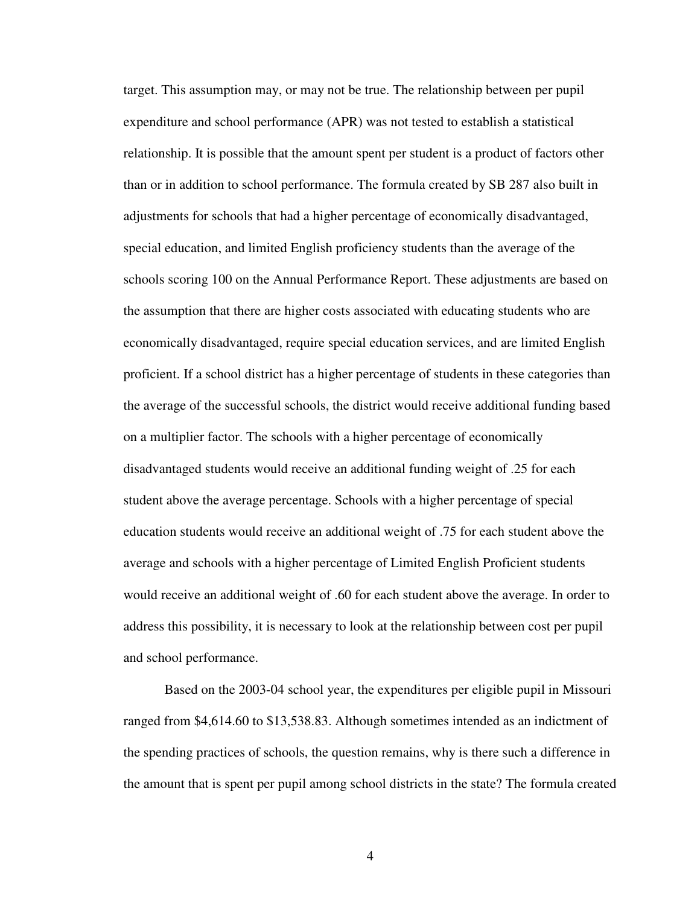target. This assumption may, or may not be true. The relationship between per pupil expenditure and school performance (APR) was not tested to establish a statistical relationship. It is possible that the amount spent per student is a product of factors other than or in addition to school performance. The formula created by SB 287 also built in adjustments for schools that had a higher percentage of economically disadvantaged, special education, and limited English proficiency students than the average of the schools scoring 100 on the Annual Performance Report. These adjustments are based on the assumption that there are higher costs associated with educating students who are economically disadvantaged, require special education services, and are limited English proficient. If a school district has a higher percentage of students in these categories than the average of the successful schools, the district would receive additional funding based on a multiplier factor. The schools with a higher percentage of economically disadvantaged students would receive an additional funding weight of .25 for each student above the average percentage. Schools with a higher percentage of special education students would receive an additional weight of .75 for each student above the average and schools with a higher percentage of Limited English Proficient students would receive an additional weight of .60 for each student above the average. In order to address this possibility, it is necessary to look at the relationship between cost per pupil and school performance.

Based on the 2003-04 school year, the expenditures per eligible pupil in Missouri ranged from \$4,614.60 to \$13,538.83. Although sometimes intended as an indictment of the spending practices of schools, the question remains, why is there such a difference in the amount that is spent per pupil among school districts in the state? The formula created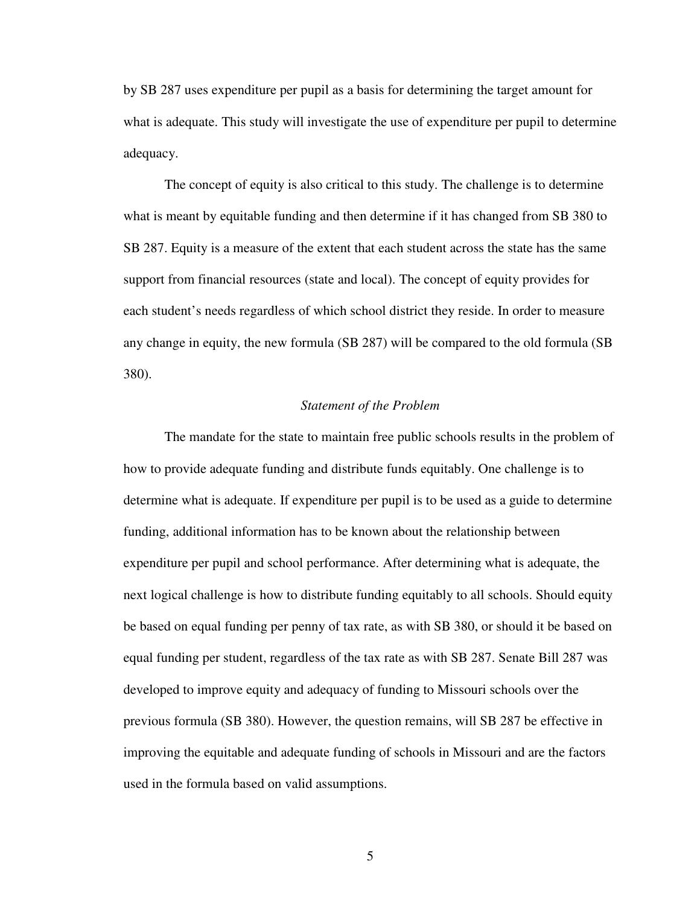by SB 287 uses expenditure per pupil as a basis for determining the target amount for what is adequate. This study will investigate the use of expenditure per pupil to determine adequacy.

The concept of equity is also critical to this study. The challenge is to determine what is meant by equitable funding and then determine if it has changed from SB 380 to SB 287. Equity is a measure of the extent that each student across the state has the same support from financial resources (state and local). The concept of equity provides for each student's needs regardless of which school district they reside. In order to measure any change in equity, the new formula (SB 287) will be compared to the old formula (SB 380).

# *Statement of the Problem*

The mandate for the state to maintain free public schools results in the problem of how to provide adequate funding and distribute funds equitably. One challenge is to determine what is adequate. If expenditure per pupil is to be used as a guide to determine funding, additional information has to be known about the relationship between expenditure per pupil and school performance. After determining what is adequate, the next logical challenge is how to distribute funding equitably to all schools. Should equity be based on equal funding per penny of tax rate, as with SB 380, or should it be based on equal funding per student, regardless of the tax rate as with SB 287. Senate Bill 287 was developed to improve equity and adequacy of funding to Missouri schools over the previous formula (SB 380). However, the question remains, will SB 287 be effective in improving the equitable and adequate funding of schools in Missouri and are the factors used in the formula based on valid assumptions.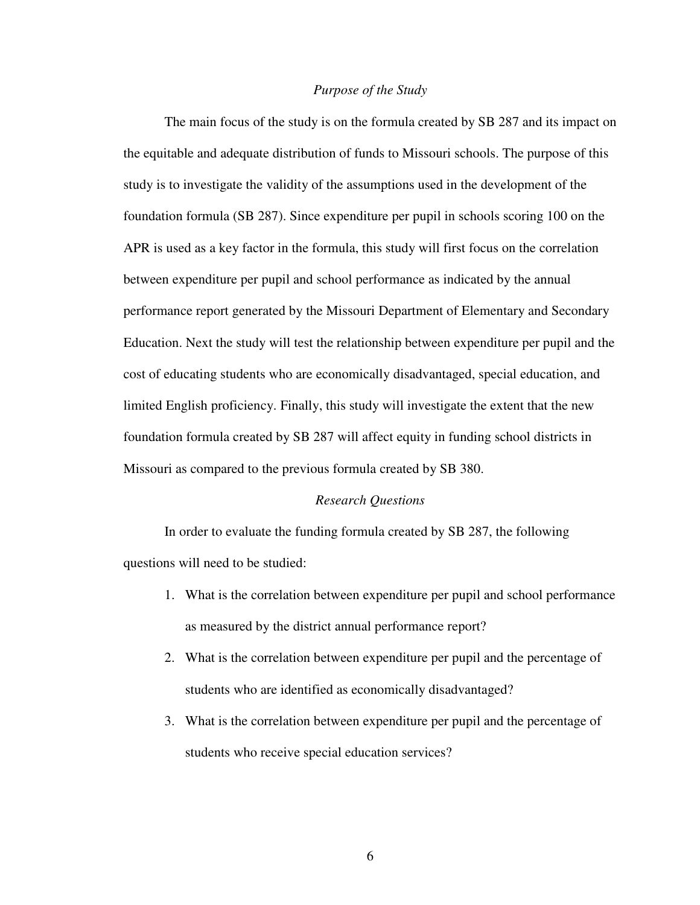#### *Purpose of the Study*

The main focus of the study is on the formula created by SB 287 and its impact on the equitable and adequate distribution of funds to Missouri schools. The purpose of this study is to investigate the validity of the assumptions used in the development of the foundation formula (SB 287). Since expenditure per pupil in schools scoring 100 on the APR is used as a key factor in the formula, this study will first focus on the correlation between expenditure per pupil and school performance as indicated by the annual performance report generated by the Missouri Department of Elementary and Secondary Education. Next the study will test the relationship between expenditure per pupil and the cost of educating students who are economically disadvantaged, special education, and limited English proficiency. Finally, this study will investigate the extent that the new foundation formula created by SB 287 will affect equity in funding school districts in Missouri as compared to the previous formula created by SB 380.

#### *Research Questions*

In order to evaluate the funding formula created by SB 287, the following questions will need to be studied:

- 1. What is the correlation between expenditure per pupil and school performance as measured by the district annual performance report?
- 2. What is the correlation between expenditure per pupil and the percentage of students who are identified as economically disadvantaged?
- 3. What is the correlation between expenditure per pupil and the percentage of students who receive special education services?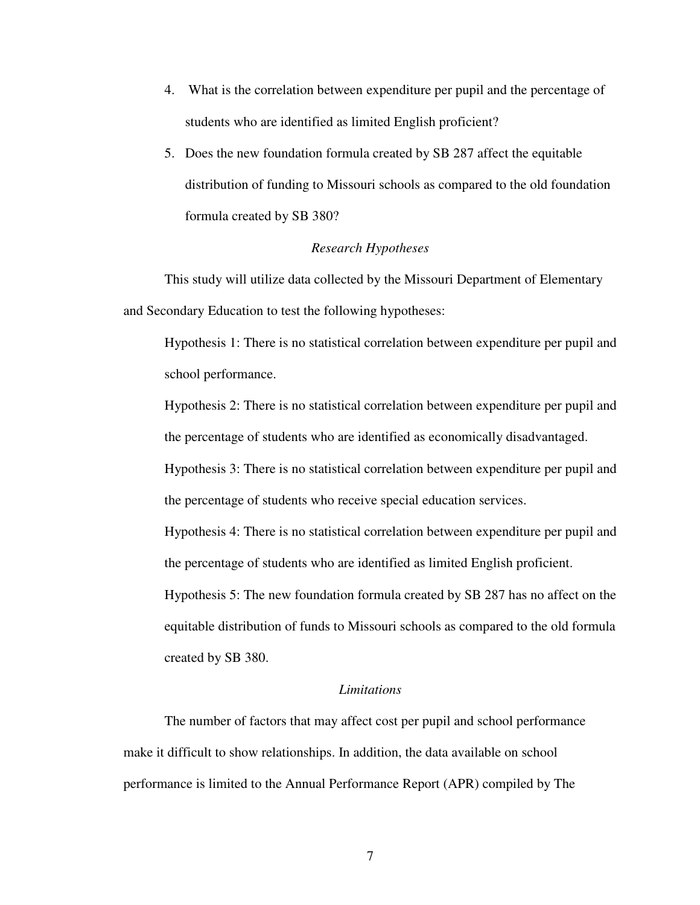- 4. What is the correlation between expenditure per pupil and the percentage of students who are identified as limited English proficient?
- 5. Does the new foundation formula created by SB 287 affect the equitable distribution of funding to Missouri schools as compared to the old foundation formula created by SB 380?

# *Research Hypotheses*

This study will utilize data collected by the Missouri Department of Elementary and Secondary Education to test the following hypotheses:

Hypothesis 1: There is no statistical correlation between expenditure per pupil and school performance.

Hypothesis 2: There is no statistical correlation between expenditure per pupil and the percentage of students who are identified as economically disadvantaged.

Hypothesis 3: There is no statistical correlation between expenditure per pupil and the percentage of students who receive special education services.

Hypothesis 4: There is no statistical correlation between expenditure per pupil and the percentage of students who are identified as limited English proficient.

Hypothesis 5: The new foundation formula created by SB 287 has no affect on the equitable distribution of funds to Missouri schools as compared to the old formula created by SB 380.

#### *Limitations*

The number of factors that may affect cost per pupil and school performance make it difficult to show relationships. In addition, the data available on school performance is limited to the Annual Performance Report (APR) compiled by The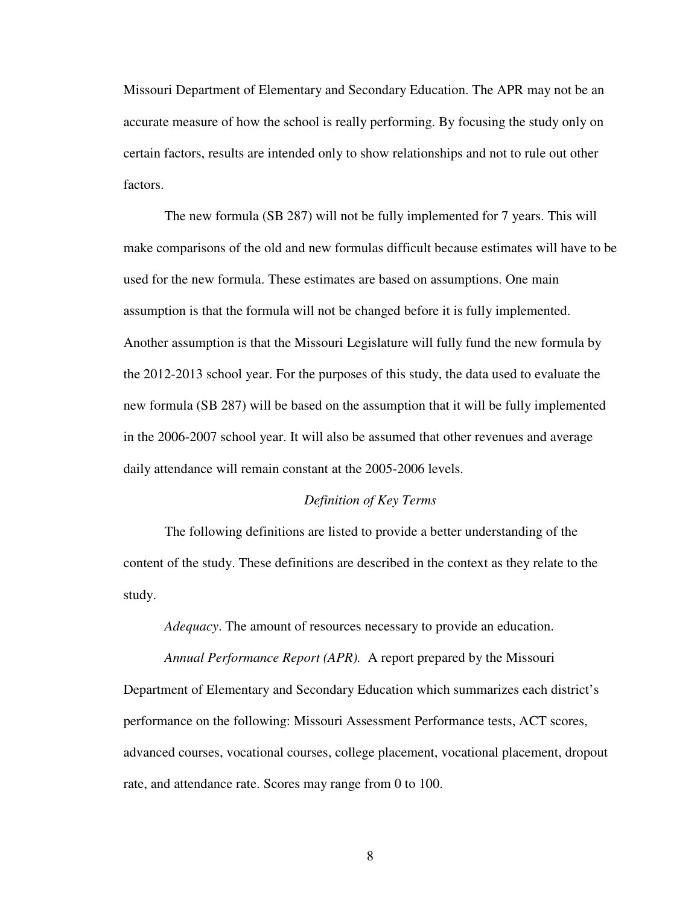Missouri Department of Elementary and Secondary Education. The APR may not be an accurate measure of how the school is really performing. By focusing the study only on certain factors, results are intended only to show relationships and not to rule out other factors.

The new formula (SB 287) will not be fully implemented for 7 years. This will make comparisons of the old and new formulas difficult because estimates will have to be used for the new formula. These estimates are based on assumptions. One main assumption is that the formula will not be changed before it is fully implemented. Another assumption is that the Missouri Legislature will fully fund the new formula by the 2012-2013 school year. For the purposes of this study, the data used to evaluate the new formula (SB 287) will be based on the assumption that it will be fully implemented in the 2006-2007 school year. It will also be assumed that other revenues and average daily attendance will remain constant at the 2005-2006 levels.

#### *Definition of Key Terms*

The following definitions are listed to provide a better understanding of the content of the study. These definitions are described in the context as they relate to the study.

*Adequacy*. The amount of resources necessary to provide an education.

*Annual Performance Report (APR).* A report prepared by the Missouri

Department of Elementary and Secondary Education which summarizes each district's performance on the following: Missouri Assessment Performance tests, ACT scores, advanced courses, vocational courses, college placement, vocational placement, dropout rate, and attendance rate. Scores may range from 0 to 100.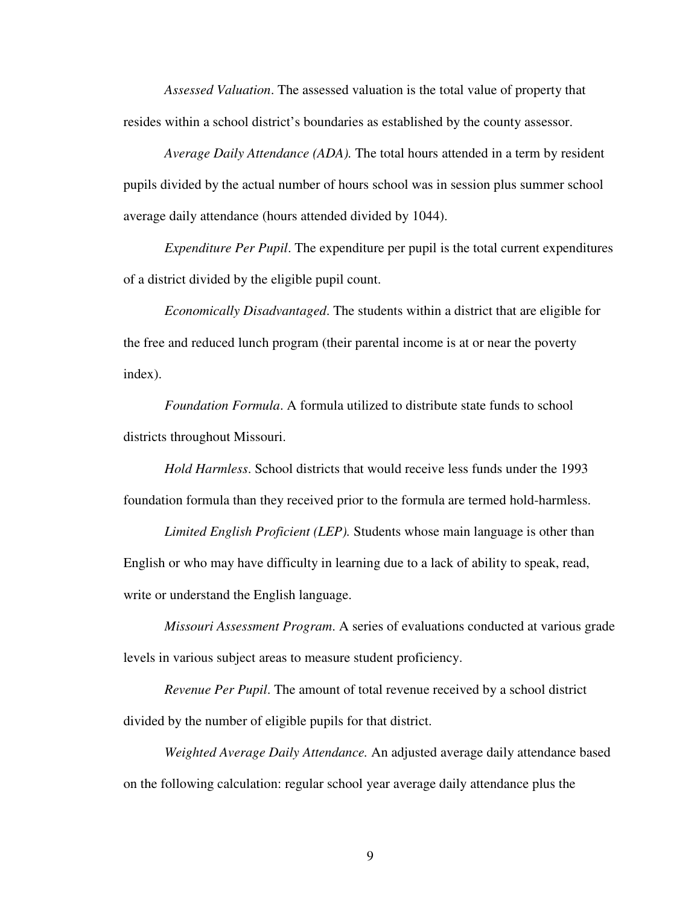*Assessed Valuation*. The assessed valuation is the total value of property that resides within a school district's boundaries as established by the county assessor.

*Average Daily Attendance (ADA).* The total hours attended in a term by resident pupils divided by the actual number of hours school was in session plus summer school average daily attendance (hours attended divided by 1044).

*Expenditure Per Pupil*. The expenditure per pupil is the total current expenditures of a district divided by the eligible pupil count.

*Economically Disadvantaged*. The students within a district that are eligible for the free and reduced lunch program (their parental income is at or near the poverty index).

*Foundation Formula*. A formula utilized to distribute state funds to school districts throughout Missouri.

*Hold Harmless*. School districts that would receive less funds under the 1993 foundation formula than they received prior to the formula are termed hold-harmless.

*Limited English Proficient (LEP).* Students whose main language is other than English or who may have difficulty in learning due to a lack of ability to speak, read, write or understand the English language.

*Missouri Assessment Program*. A series of evaluations conducted at various grade levels in various subject areas to measure student proficiency.

*Revenue Per Pupil*. The amount of total revenue received by a school district divided by the number of eligible pupils for that district.

*Weighted Average Daily Attendance.* An adjusted average daily attendance based on the following calculation: regular school year average daily attendance plus the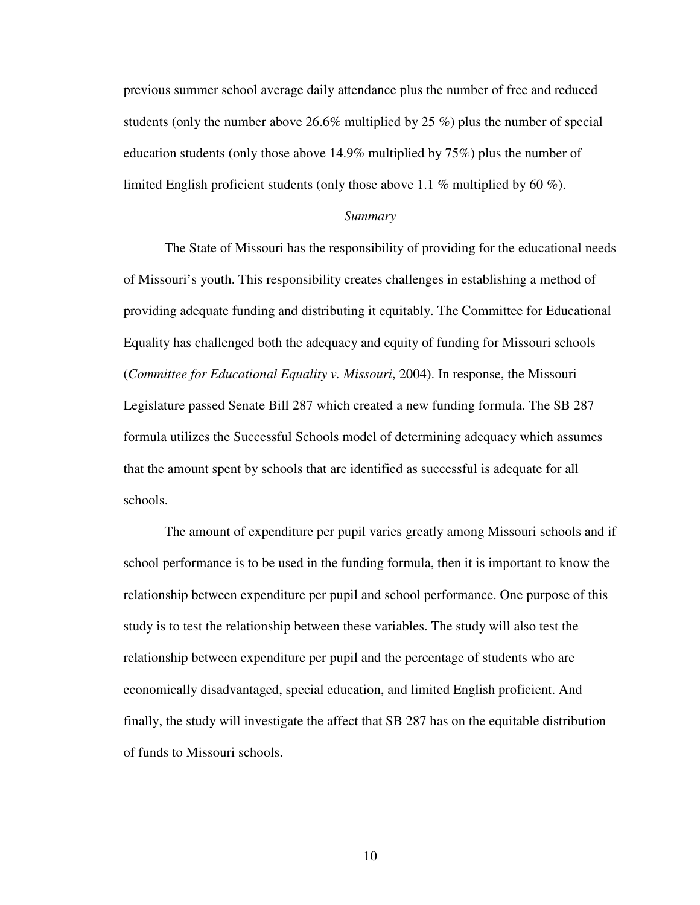previous summer school average daily attendance plus the number of free and reduced students (only the number above 26.6% multiplied by 25 %) plus the number of special education students (only those above 14.9% multiplied by 75%) plus the number of limited English proficient students (only those above 1.1 % multiplied by 60 %).

#### *Summary*

The State of Missouri has the responsibility of providing for the educational needs of Missouri's youth. This responsibility creates challenges in establishing a method of providing adequate funding and distributing it equitably. The Committee for Educational Equality has challenged both the adequacy and equity of funding for Missouri schools (*Committee for Educational Equality v. Missouri*, 2004). In response, the Missouri Legislature passed Senate Bill 287 which created a new funding formula. The SB 287 formula utilizes the Successful Schools model of determining adequacy which assumes that the amount spent by schools that are identified as successful is adequate for all schools.

The amount of expenditure per pupil varies greatly among Missouri schools and if school performance is to be used in the funding formula, then it is important to know the relationship between expenditure per pupil and school performance. One purpose of this study is to test the relationship between these variables. The study will also test the relationship between expenditure per pupil and the percentage of students who are economically disadvantaged, special education, and limited English proficient. And finally, the study will investigate the affect that SB 287 has on the equitable distribution of funds to Missouri schools.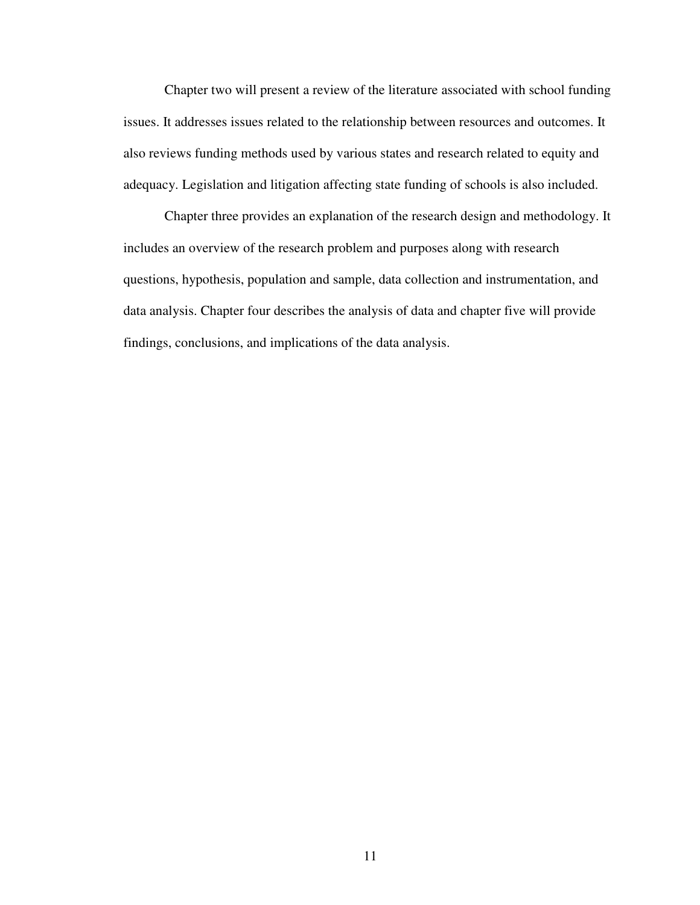Chapter two will present a review of the literature associated with school funding issues. It addresses issues related to the relationship between resources and outcomes. It also reviews funding methods used by various states and research related to equity and adequacy. Legislation and litigation affecting state funding of schools is also included.

Chapter three provides an explanation of the research design and methodology. It includes an overview of the research problem and purposes along with research questions, hypothesis, population and sample, data collection and instrumentation, and data analysis. Chapter four describes the analysis of data and chapter five will provide findings, conclusions, and implications of the data analysis.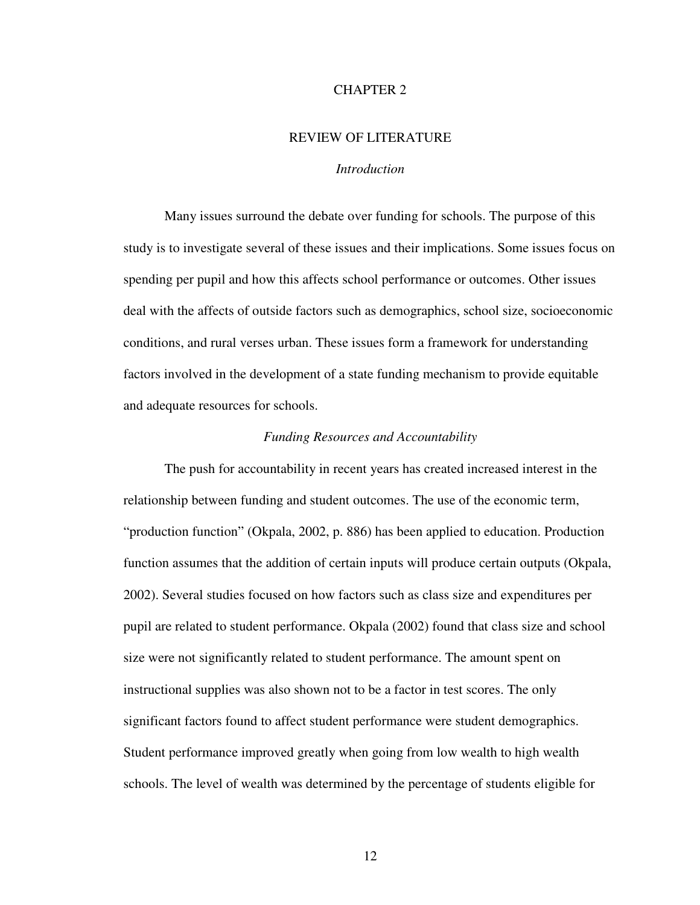# CHAPTER 2

# REVIEW OF LITERATURE

# *Introduction*

Many issues surround the debate over funding for schools. The purpose of this study is to investigate several of these issues and their implications. Some issues focus on spending per pupil and how this affects school performance or outcomes. Other issues deal with the affects of outside factors such as demographics, school size, socioeconomic conditions, and rural verses urban. These issues form a framework for understanding factors involved in the development of a state funding mechanism to provide equitable and adequate resources for schools.

#### *Funding Resources and Accountability*

The push for accountability in recent years has created increased interest in the relationship between funding and student outcomes. The use of the economic term, "production function" (Okpala, 2002, p. 886) has been applied to education. Production function assumes that the addition of certain inputs will produce certain outputs (Okpala, 2002). Several studies focused on how factors such as class size and expenditures per pupil are related to student performance. Okpala (2002) found that class size and school size were not significantly related to student performance. The amount spent on instructional supplies was also shown not to be a factor in test scores. The only significant factors found to affect student performance were student demographics. Student performance improved greatly when going from low wealth to high wealth schools. The level of wealth was determined by the percentage of students eligible for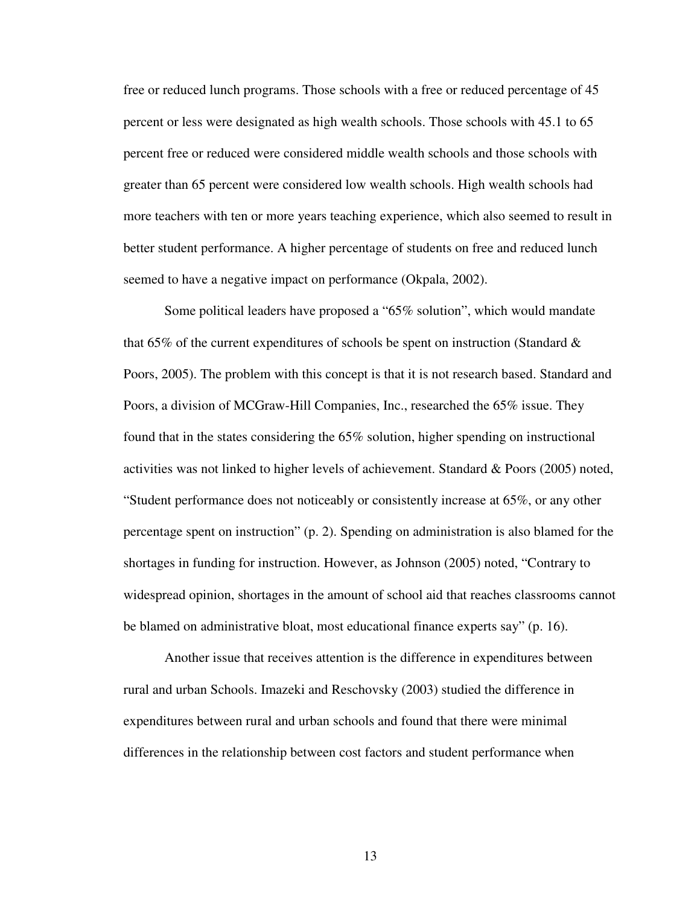free or reduced lunch programs. Those schools with a free or reduced percentage of 45 percent or less were designated as high wealth schools. Those schools with 45.1 to 65 percent free or reduced were considered middle wealth schools and those schools with greater than 65 percent were considered low wealth schools. High wealth schools had more teachers with ten or more years teaching experience, which also seemed to result in better student performance. A higher percentage of students on free and reduced lunch seemed to have a negative impact on performance (Okpala, 2002).

Some political leaders have proposed a "65% solution", which would mandate that 65% of the current expenditures of schools be spent on instruction (Standard  $\&$ Poors, 2005). The problem with this concept is that it is not research based. Standard and Poors, a division of MCGraw-Hill Companies, Inc., researched the 65% issue. They found that in the states considering the 65% solution, higher spending on instructional activities was not linked to higher levels of achievement. Standard & Poors (2005) noted, "Student performance does not noticeably or consistently increase at  $65\%$ , or any other percentage spent on instruction" (p. 2). Spending on administration is also blamed for the shortages in funding for instruction. However, as Johnson (2005) noted, "Contrary to widespread opinion, shortages in the amount of school aid that reaches classrooms cannot be blamed on administrative bloat, most educational finance experts say" (p. 16).

Another issue that receives attention is the difference in expenditures between rural and urban Schools. Imazeki and Reschovsky (2003) studied the difference in expenditures between rural and urban schools and found that there were minimal differences in the relationship between cost factors and student performance when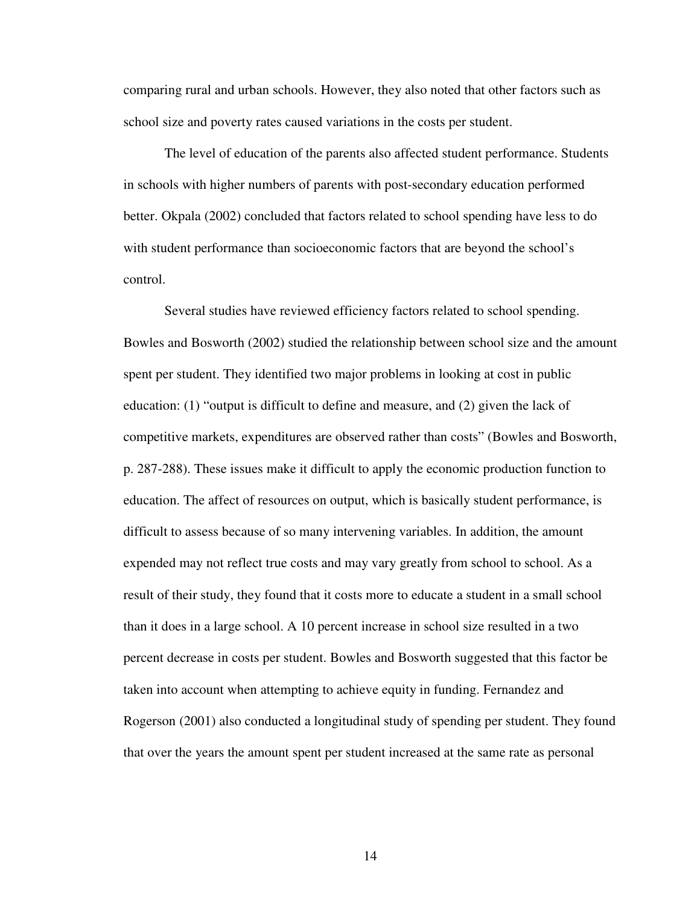comparing rural and urban schools. However, they also noted that other factors such as school size and poverty rates caused variations in the costs per student.

The level of education of the parents also affected student performance. Students in schools with higher numbers of parents with post-secondary education performed better. Okpala (2002) concluded that factors related to school spending have less to do with student performance than socioeconomic factors that are beyond the school's control.

Several studies have reviewed efficiency factors related to school spending. Bowles and Bosworth (2002) studied the relationship between school size and the amount spent per student. They identified two major problems in looking at cost in public education: (1) "output is difficult to define and measure, and (2) given the lack of competitive markets, expenditures are observed rather than costs" (Bowles and Bosworth, p. 287-288). These issues make it difficult to apply the economic production function to education. The affect of resources on output, which is basically student performance, is difficult to assess because of so many intervening variables. In addition, the amount expended may not reflect true costs and may vary greatly from school to school. As a result of their study, they found that it costs more to educate a student in a small school than it does in a large school. A 10 percent increase in school size resulted in a two percent decrease in costs per student. Bowles and Bosworth suggested that this factor be taken into account when attempting to achieve equity in funding. Fernandez and Rogerson (2001) also conducted a longitudinal study of spending per student. They found that over the years the amount spent per student increased at the same rate as personal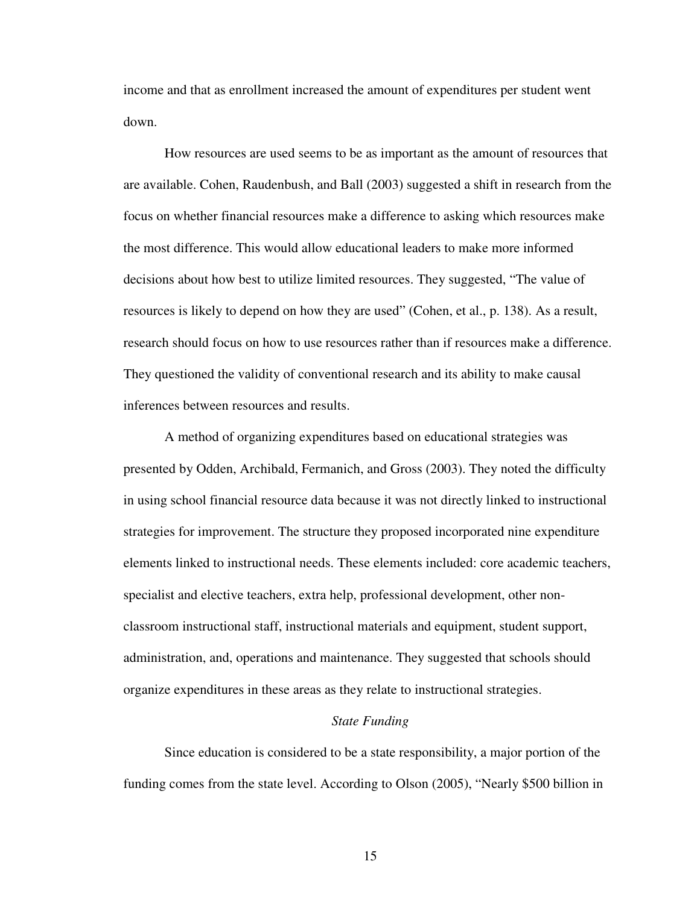income and that as enrollment increased the amount of expenditures per student went down.

How resources are used seems to be as important as the amount of resources that are available. Cohen, Raudenbush, and Ball (2003) suggested a shift in research from the focus on whether financial resources make a difference to asking which resources make the most difference. This would allow educational leaders to make more informed decisions about how best to utilize limited resources. They suggested, "The value of resources is likely to depend on how they are used" (Cohen, et al., p. 138). As a result, research should focus on how to use resources rather than if resources make a difference. They questioned the validity of conventional research and its ability to make causal inferences between resources and results.

A method of organizing expenditures based on educational strategies was presented by Odden, Archibald, Fermanich, and Gross (2003). They noted the difficulty in using school financial resource data because it was not directly linked to instructional strategies for improvement. The structure they proposed incorporated nine expenditure elements linked to instructional needs. These elements included: core academic teachers, specialist and elective teachers, extra help, professional development, other nonclassroom instructional staff, instructional materials and equipment, student support, administration, and, operations and maintenance. They suggested that schools should organize expenditures in these areas as they relate to instructional strategies.

## *State Funding*

Since education is considered to be a state responsibility, a major portion of the funding comes from the state level. According to Olson (2005), "Nearly \$500 billion in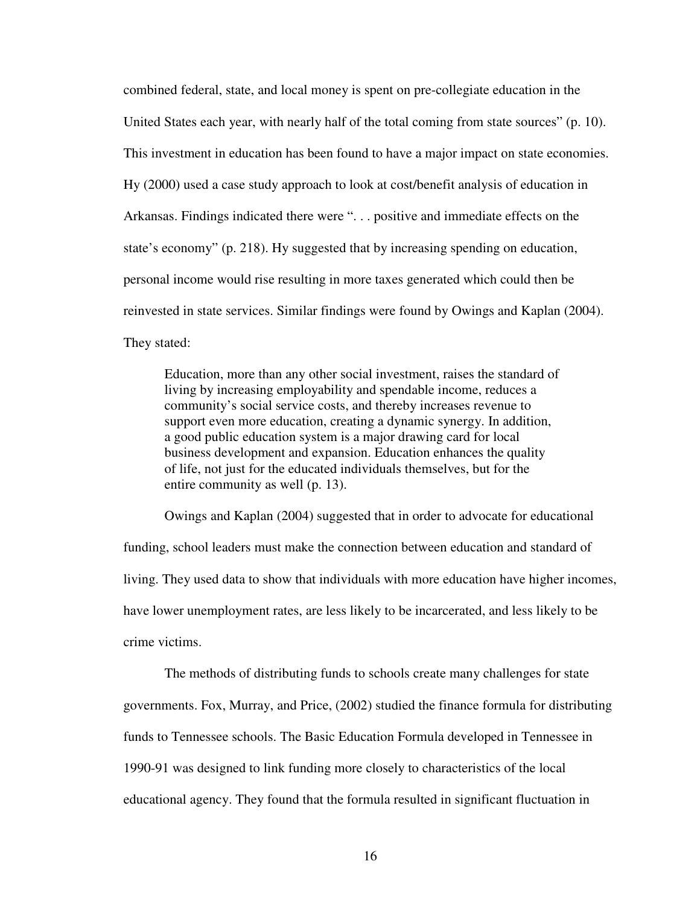combined federal, state, and local money is spent on pre-collegiate education in the United States each year, with nearly half of the total coming from state sources" (p. 10). This investment in education has been found to have a major impact on state economies. Hy (2000) used a case study approach to look at cost/benefit analysis of education in Arkansas. Findings indicated there were ". . . positive and immediate effects on the state's economy" (p. 218). Hy suggested that by increasing spending on education, personal income would rise resulting in more taxes generated which could then be reinvested in state services. Similar findings were found by Owings and Kaplan (2004). They stated:

Education, more than any other social investment, raises the standard of living by increasing employability and spendable income, reduces a community's social service costs, and thereby increases revenue to support even more education, creating a dynamic synergy. In addition, a good public education system is a major drawing card for local business development and expansion. Education enhances the quality of life, not just for the educated individuals themselves, but for the entire community as well (p. 13).

Owings and Kaplan (2004) suggested that in order to advocate for educational funding, school leaders must make the connection between education and standard of living. They used data to show that individuals with more education have higher incomes, have lower unemployment rates, are less likely to be incarcerated, and less likely to be crime victims.

The methods of distributing funds to schools create many challenges for state governments. Fox, Murray, and Price, (2002) studied the finance formula for distributing funds to Tennessee schools. The Basic Education Formula developed in Tennessee in 1990-91 was designed to link funding more closely to characteristics of the local educational agency. They found that the formula resulted in significant fluctuation in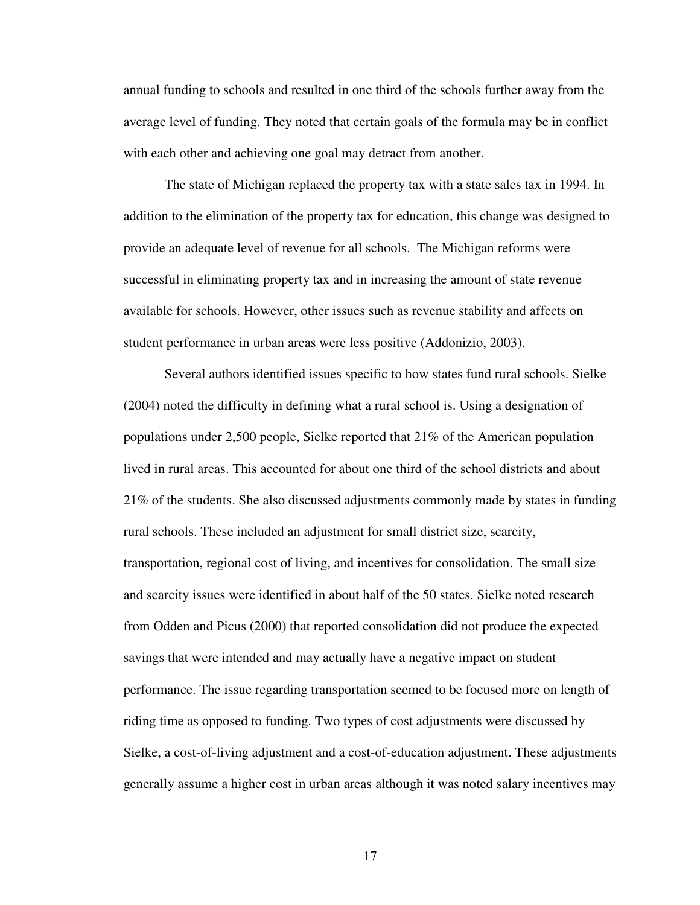annual funding to schools and resulted in one third of the schools further away from the average level of funding. They noted that certain goals of the formula may be in conflict with each other and achieving one goal may detract from another.

The state of Michigan replaced the property tax with a state sales tax in 1994. In addition to the elimination of the property tax for education, this change was designed to provide an adequate level of revenue for all schools. The Michigan reforms were successful in eliminating property tax and in increasing the amount of state revenue available for schools. However, other issues such as revenue stability and affects on student performance in urban areas were less positive (Addonizio, 2003).

Several authors identified issues specific to how states fund rural schools. Sielke (2004) noted the difficulty in defining what a rural school is. Using a designation of populations under 2,500 people, Sielke reported that 21% of the American population lived in rural areas. This accounted for about one third of the school districts and about 21% of the students. She also discussed adjustments commonly made by states in funding rural schools. These included an adjustment for small district size, scarcity, transportation, regional cost of living, and incentives for consolidation. The small size and scarcity issues were identified in about half of the 50 states. Sielke noted research from Odden and Picus (2000) that reported consolidation did not produce the expected savings that were intended and may actually have a negative impact on student performance. The issue regarding transportation seemed to be focused more on length of riding time as opposed to funding. Two types of cost adjustments were discussed by Sielke, a cost-of-living adjustment and a cost-of-education adjustment. These adjustments generally assume a higher cost in urban areas although it was noted salary incentives may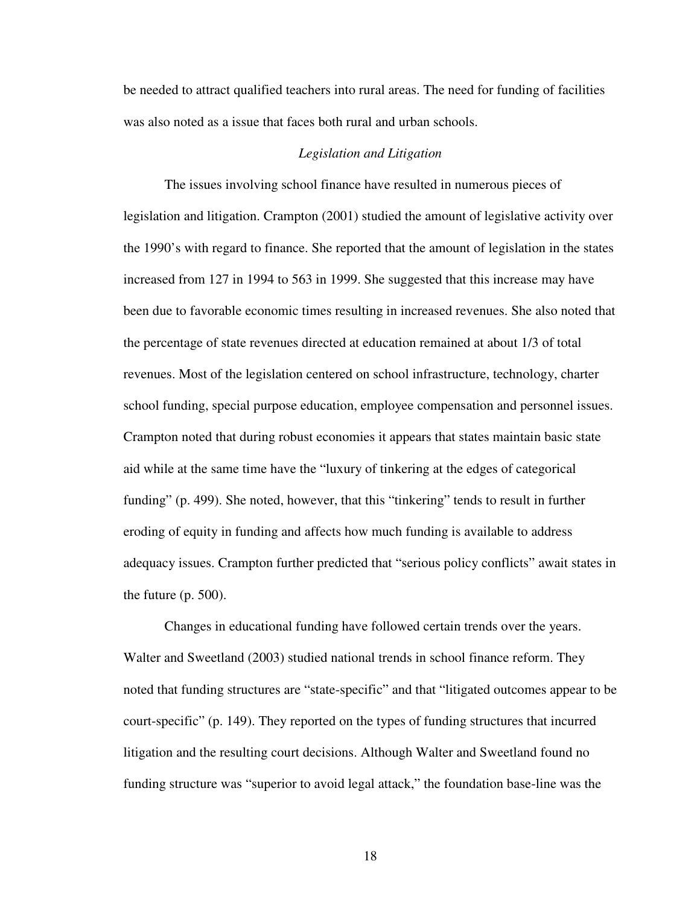be needed to attract qualified teachers into rural areas. The need for funding of facilities was also noted as a issue that faces both rural and urban schools.

#### *Legislation and Litigation*

The issues involving school finance have resulted in numerous pieces of legislation and litigation. Crampton (2001) studied the amount of legislative activity over the 1990's with regard to finance. She reported that the amount of legislation in the states increased from 127 in 1994 to 563 in 1999. She suggested that this increase may have been due to favorable economic times resulting in increased revenues. She also noted that the percentage of state revenues directed at education remained at about 1/3 of total revenues. Most of the legislation centered on school infrastructure, technology, charter school funding, special purpose education, employee compensation and personnel issues. Crampton noted that during robust economies it appears that states maintain basic state aid while at the same time have the "luxury of tinkering at the edges of categorical funding" (p. 499). She noted, however, that this "tinkering" tends to result in further eroding of equity in funding and affects how much funding is available to address adequacy issues. Crampton further predicted that "serious policy conflicts" await states in the future (p. 500).

Changes in educational funding have followed certain trends over the years. Walter and Sweetland (2003) studied national trends in school finance reform. They noted that funding structures are "state-specific" and that "litigated outcomes appear to be court-specific" (p. 149). They reported on the types of funding structures that incurred litigation and the resulting court decisions. Although Walter and Sweetland found no funding structure was "superior to avoid legal attack," the foundation base-line was the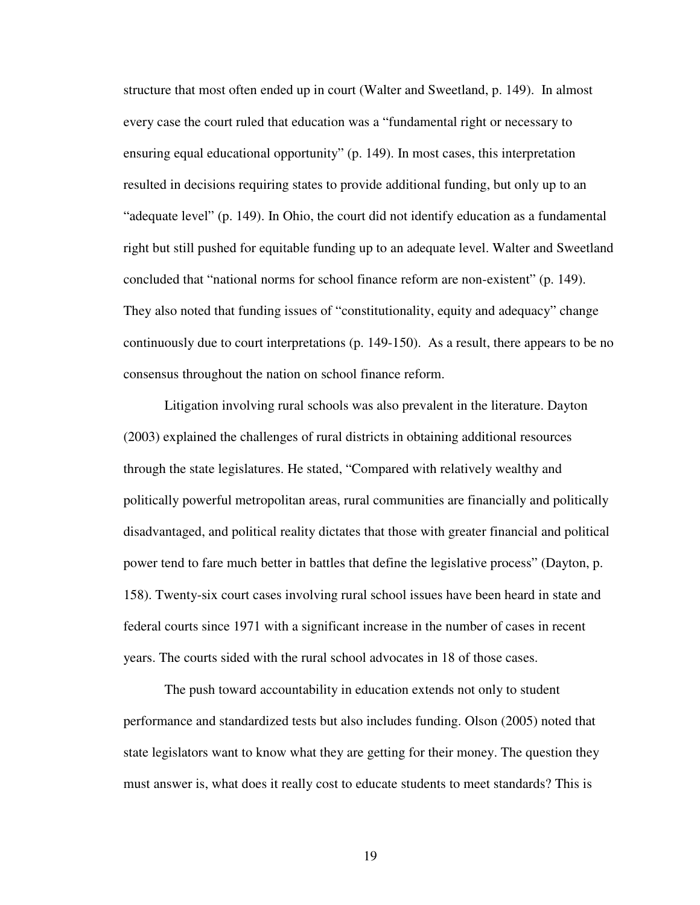structure that most often ended up in court (Walter and Sweetland, p. 149). In almost every case the court ruled that education was a "fundamental right or necessary to ensuring equal educational opportunity" (p. 149). In most cases, this interpretation resulted in decisions requiring states to provide additional funding, but only up to an "adequate level" (p. 149). In Ohio, the court did not identify education as a fundamental right but still pushed for equitable funding up to an adequate level. Walter and Sweetland concluded that "national norms for school finance reform are non-existent" (p. 149). They also noted that funding issues of "constitutionality, equity and adequacy" change continuously due to court interpretations (p. 149-150). As a result, there appears to be no consensus throughout the nation on school finance reform.

Litigation involving rural schools was also prevalent in the literature. Dayton (2003) explained the challenges of rural districts in obtaining additional resources through the state legislatures. He stated, "Compared with relatively wealthy and politically powerful metropolitan areas, rural communities are financially and politically disadvantaged, and political reality dictates that those with greater financial and political power tend to fare much better in battles that define the legislative process" (Dayton, p. 158). Twenty-six court cases involving rural school issues have been heard in state and federal courts since 1971 with a significant increase in the number of cases in recent years. The courts sided with the rural school advocates in 18 of those cases.

The push toward accountability in education extends not only to student performance and standardized tests but also includes funding. Olson (2005) noted that state legislators want to know what they are getting for their money. The question they must answer is, what does it really cost to educate students to meet standards? This is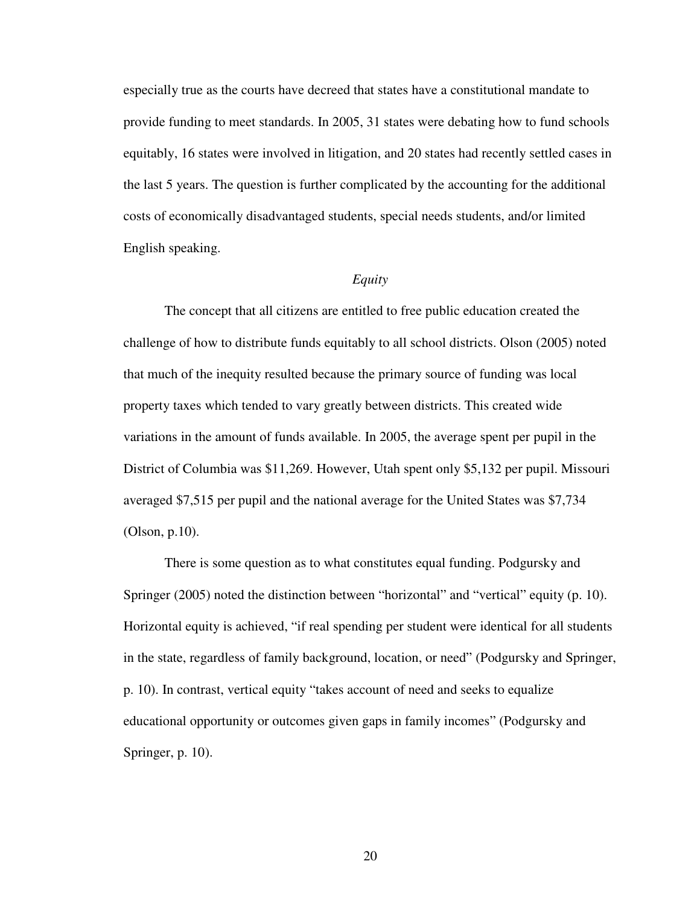especially true as the courts have decreed that states have a constitutional mandate to provide funding to meet standards. In 2005, 31 states were debating how to fund schools equitably, 16 states were involved in litigation, and 20 states had recently settled cases in the last 5 years. The question is further complicated by the accounting for the additional costs of economically disadvantaged students, special needs students, and/or limited English speaking.

# *Equity*

The concept that all citizens are entitled to free public education created the challenge of how to distribute funds equitably to all school districts. Olson (2005) noted that much of the inequity resulted because the primary source of funding was local property taxes which tended to vary greatly between districts. This created wide variations in the amount of funds available. In 2005, the average spent per pupil in the District of Columbia was \$11,269. However, Utah spent only \$5,132 per pupil. Missouri averaged \$7,515 per pupil and the national average for the United States was \$7,734 (Olson, p.10).

There is some question as to what constitutes equal funding. Podgursky and Springer (2005) noted the distinction between "horizontal" and "vertical" equity (p. 10). Horizontal equity is achieved, "if real spending per student were identical for all students in the state, regardless of family background, location, or need" (Podgursky and Springer, p. 10). In contrast, vertical equity "takes account of need and seeks to equalize educational opportunity or outcomes given gaps in family incomes" (Podgursky and Springer, p. 10).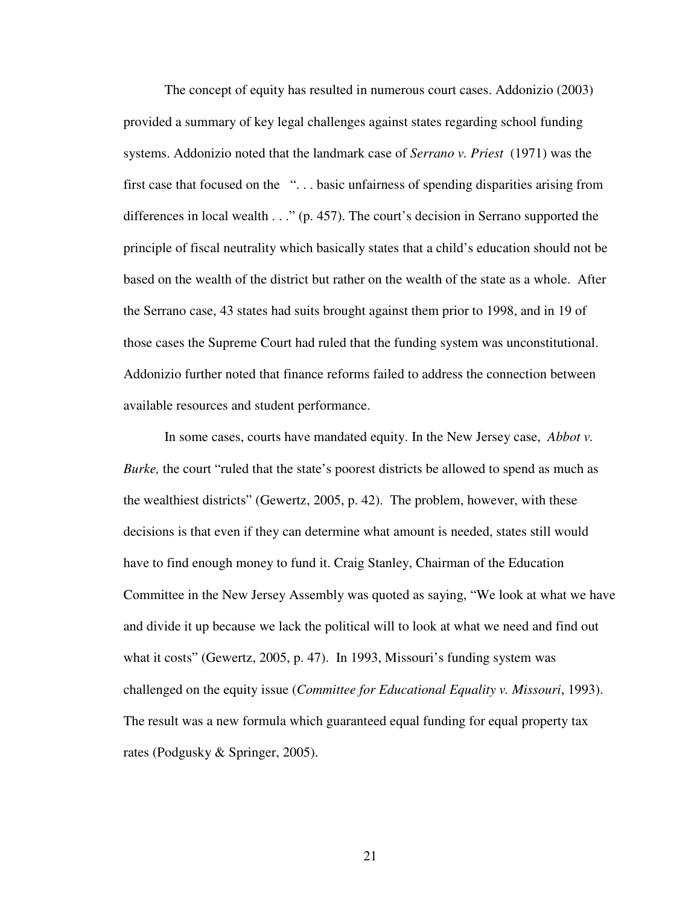The concept of equity has resulted in numerous court cases. Addonizio (2003) provided a summary of key legal challenges against states regarding school funding systems. Addonizio noted that the landmark case of *Serrano v. Priest* (1971) was the first case that focused on the "... basic unfairness of spending disparities arising from differences in local wealth . . ." (p. 457). The court's decision in Serrano supported the principle of fiscal neutrality which basically states that a child's education should not be based on the wealth of the district but rather on the wealth of the state as a whole. After the Serrano case, 43 states had suits brought against them prior to 1998, and in 19 of those cases the Supreme Court had ruled that the funding system was unconstitutional. Addonizio further noted that finance reforms failed to address the connection between available resources and student performance.

In some cases, courts have mandated equity. In the New Jersey case, *Abbot v. Burke,* the court "ruled that the state's poorest districts be allowed to spend as much as the wealthiest districts" (Gewertz, 2005, p. 42). The problem, however, with these decisions is that even if they can determine what amount is needed, states still would have to find enough money to fund it. Craig Stanley, Chairman of the Education Committee in the New Jersey Assembly was quoted as saying, "We look at what we have and divide it up because we lack the political will to look at what we need and find out what it costs" (Gewertz, 2005, p. 47). In 1993, Missouri's funding system was challenged on the equity issue (*Committee for Educational Equality v. Missouri*, 1993). The result was a new formula which guaranteed equal funding for equal property tax rates (Podgusky & Springer, 2005).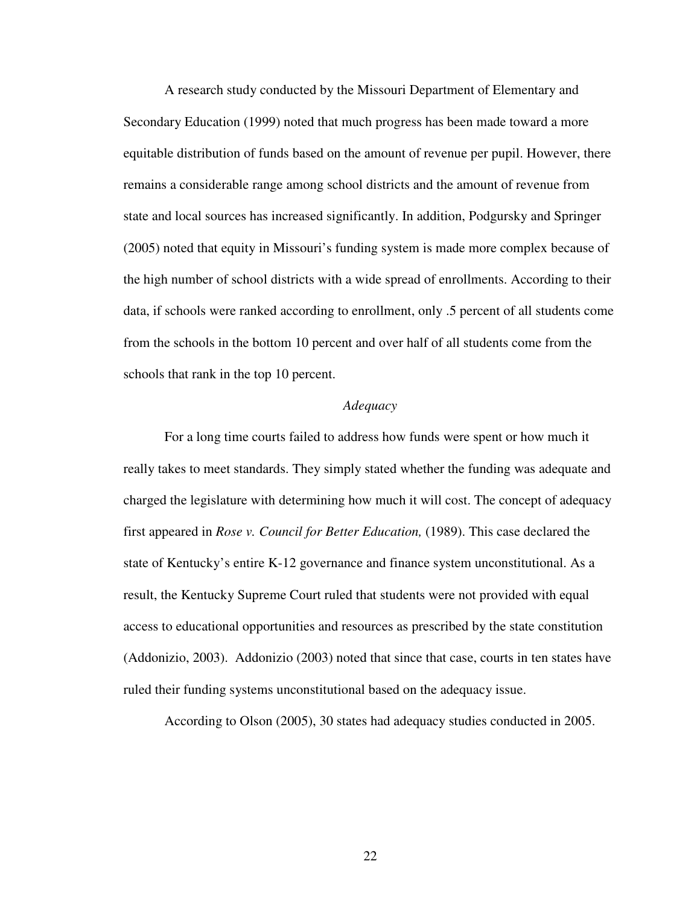A research study conducted by the Missouri Department of Elementary and Secondary Education (1999) noted that much progress has been made toward a more equitable distribution of funds based on the amount of revenue per pupil. However, there remains a considerable range among school districts and the amount of revenue from state and local sources has increased significantly. In addition, Podgursky and Springer (2005) noted that equity in Missouri's funding system is made more complex because of the high number of school districts with a wide spread of enrollments. According to their data, if schools were ranked according to enrollment, only .5 percent of all students come from the schools in the bottom 10 percent and over half of all students come from the schools that rank in the top 10 percent.

#### *Adequacy*

For a long time courts failed to address how funds were spent or how much it really takes to meet standards. They simply stated whether the funding was adequate and charged the legislature with determining how much it will cost. The concept of adequacy first appeared in *Rose v. Council for Better Education,* (1989). This case declared the state of Kentucky's entire K-12 governance and finance system unconstitutional. As a result, the Kentucky Supreme Court ruled that students were not provided with equal access to educational opportunities and resources as prescribed by the state constitution (Addonizio, 2003). Addonizio (2003) noted that since that case, courts in ten states have ruled their funding systems unconstitutional based on the adequacy issue.

According to Olson (2005), 30 states had adequacy studies conducted in 2005.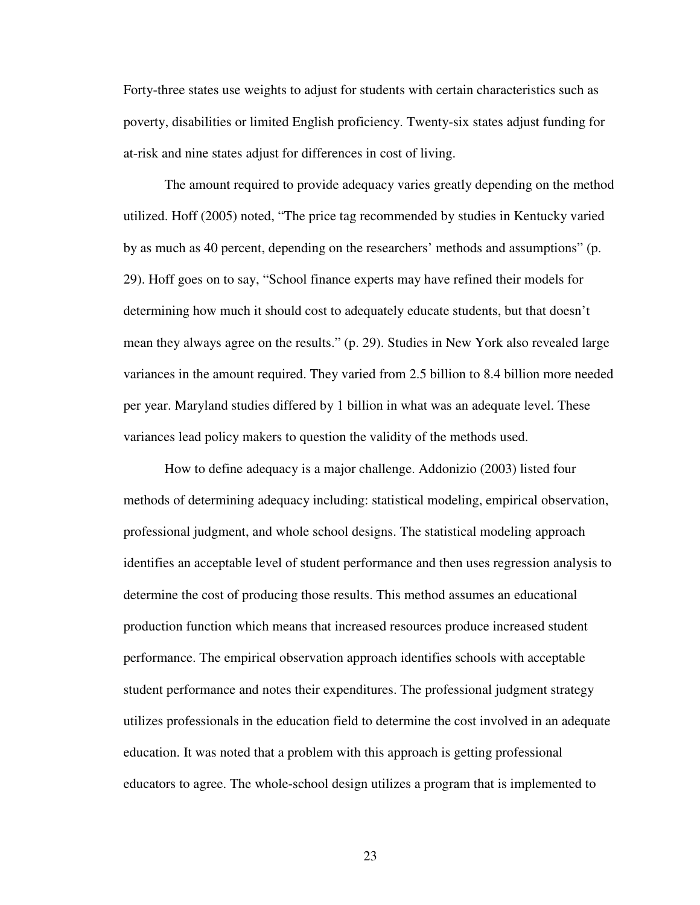Forty-three states use weights to adjust for students with certain characteristics such as poverty, disabilities or limited English proficiency. Twenty-six states adjust funding for at-risk and nine states adjust for differences in cost of living.

The amount required to provide adequacy varies greatly depending on the method utilized. Hoff (2005) noted, "The price tag recommended by studies in Kentucky varied by as much as 40 percent, depending on the researchers' methods and assumptions" (p. 29). Hoff goes on to say, "School finance experts may have refined their models for determining how much it should cost to adequately educate students, but that doesn't mean they always agree on the results." (p. 29). Studies in New York also revealed large variances in the amount required. They varied from 2.5 billion to 8.4 billion more needed per year. Maryland studies differed by 1 billion in what was an adequate level. These variances lead policy makers to question the validity of the methods used.

How to define adequacy is a major challenge. Addonizio (2003) listed four methods of determining adequacy including: statistical modeling, empirical observation, professional judgment, and whole school designs. The statistical modeling approach identifies an acceptable level of student performance and then uses regression analysis to determine the cost of producing those results. This method assumes an educational production function which means that increased resources produce increased student performance. The empirical observation approach identifies schools with acceptable student performance and notes their expenditures. The professional judgment strategy utilizes professionals in the education field to determine the cost involved in an adequate education. It was noted that a problem with this approach is getting professional educators to agree. The whole-school design utilizes a program that is implemented to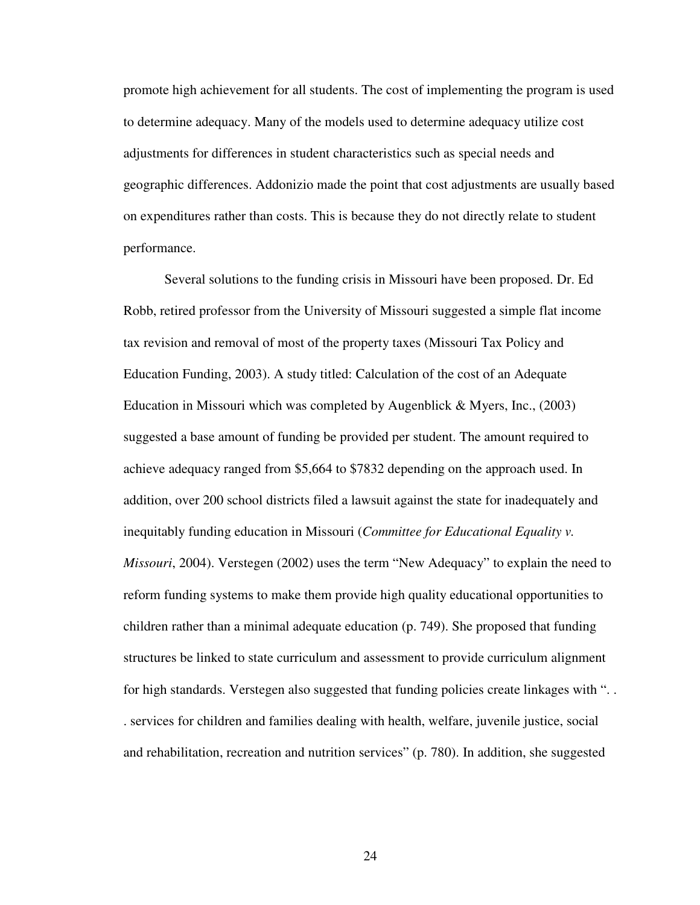promote high achievement for all students. The cost of implementing the program is used to determine adequacy. Many of the models used to determine adequacy utilize cost adjustments for differences in student characteristics such as special needs and geographic differences. Addonizio made the point that cost adjustments are usually based on expenditures rather than costs. This is because they do not directly relate to student performance.

Several solutions to the funding crisis in Missouri have been proposed. Dr. Ed Robb, retired professor from the University of Missouri suggested a simple flat income tax revision and removal of most of the property taxes (Missouri Tax Policy and Education Funding, 2003). A study titled: Calculation of the cost of an Adequate Education in Missouri which was completed by Augenblick & Myers, Inc., (2003) suggested a base amount of funding be provided per student. The amount required to achieve adequacy ranged from \$5,664 to \$7832 depending on the approach used. In addition, over 200 school districts filed a lawsuit against the state for inadequately and inequitably funding education in Missouri (*Committee for Educational Equality v. Missouri*, 2004). Verstegen (2002) uses the term "New Adequacy" to explain the need to reform funding systems to make them provide high quality educational opportunities to children rather than a minimal adequate education (p. 749). She proposed that funding structures be linked to state curriculum and assessment to provide curriculum alignment for high standards. Verstegen also suggested that funding policies create linkages with ". . . services for children and families dealing with health, welfare, juvenile justice, social and rehabilitation, recreation and nutrition services" (p. 780). In addition, she suggested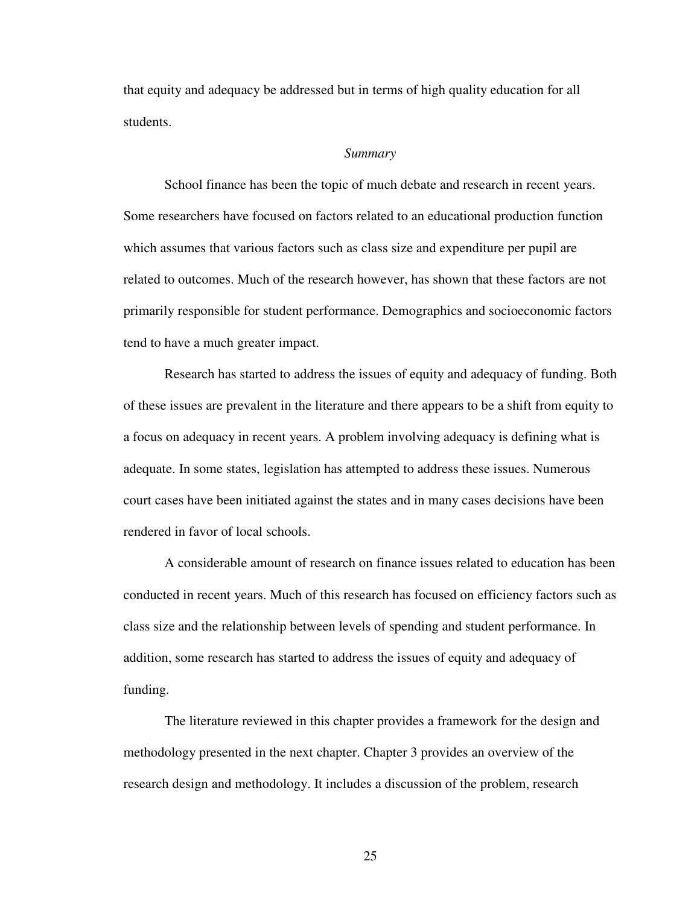that equity and adequacy be addressed but in terms of high quality education for all students.

#### *Summary*

School finance has been the topic of much debate and research in recent years. Some researchers have focused on factors related to an educational production function which assumes that various factors such as class size and expenditure per pupil are related to outcomes. Much of the research however, has shown that these factors are not primarily responsible for student performance. Demographics and socioeconomic factors tend to have a much greater impact.

Research has started to address the issues of equity and adequacy of funding. Both of these issues are prevalent in the literature and there appears to be a shift from equity to a focus on adequacy in recent years. A problem involving adequacy is defining what is adequate. In some states, legislation has attempted to address these issues. Numerous court cases have been initiated against the states and in many cases decisions have been rendered in favor of local schools.

A considerable amount of research on finance issues related to education has been conducted in recent years. Much of this research has focused on efficiency factors such as class size and the relationship between levels of spending and student performance. In addition, some research has started to address the issues of equity and adequacy of funding.

The literature reviewed in this chapter provides a framework for the design and methodology presented in the next chapter. Chapter 3 provides an overview of the research design and methodology. It includes a discussion of the problem, research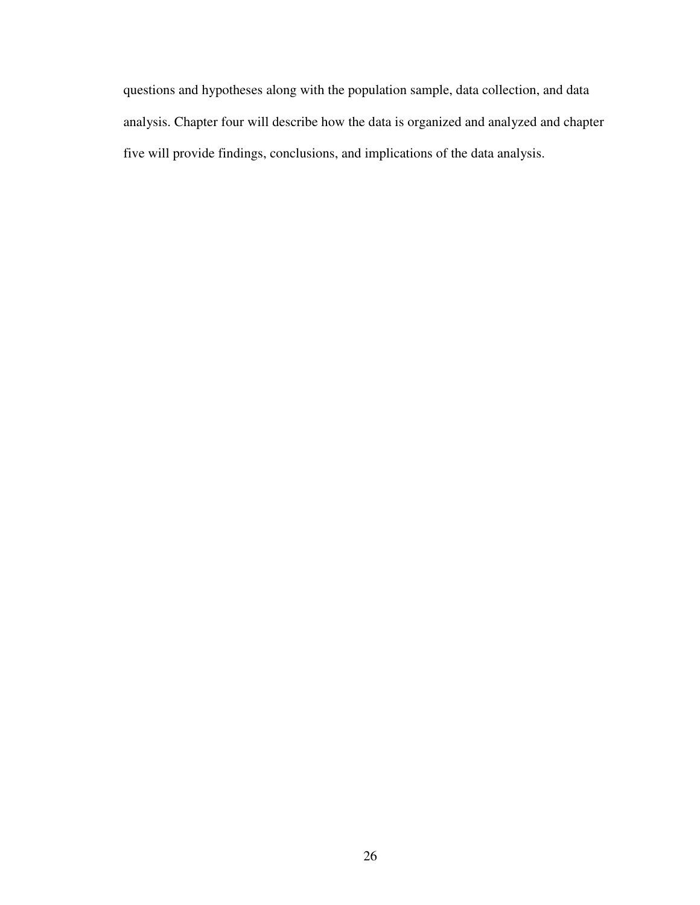questions and hypotheses along with the population sample, data collection, and data analysis. Chapter four will describe how the data is organized and analyzed and chapter five will provide findings, conclusions, and implications of the data analysis.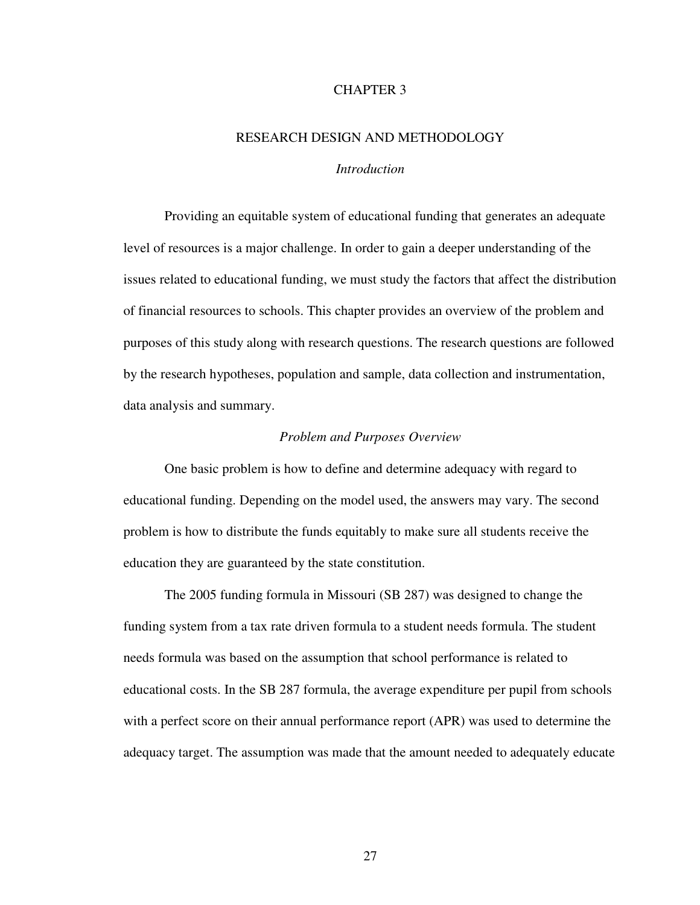# CHAPTER 3

# RESEARCH DESIGN AND METHODOLOGY

# *Introduction*

Providing an equitable system of educational funding that generates an adequate level of resources is a major challenge. In order to gain a deeper understanding of the issues related to educational funding, we must study the factors that affect the distribution of financial resources to schools. This chapter provides an overview of the problem and purposes of this study along with research questions. The research questions are followed by the research hypotheses, population and sample, data collection and instrumentation, data analysis and summary.

#### *Problem and Purposes Overview*

One basic problem is how to define and determine adequacy with regard to educational funding. Depending on the model used, the answers may vary. The second problem is how to distribute the funds equitably to make sure all students receive the education they are guaranteed by the state constitution.

The 2005 funding formula in Missouri (SB 287) was designed to change the funding system from a tax rate driven formula to a student needs formula. The student needs formula was based on the assumption that school performance is related to educational costs. In the SB 287 formula, the average expenditure per pupil from schools with a perfect score on their annual performance report (APR) was used to determine the adequacy target. The assumption was made that the amount needed to adequately educate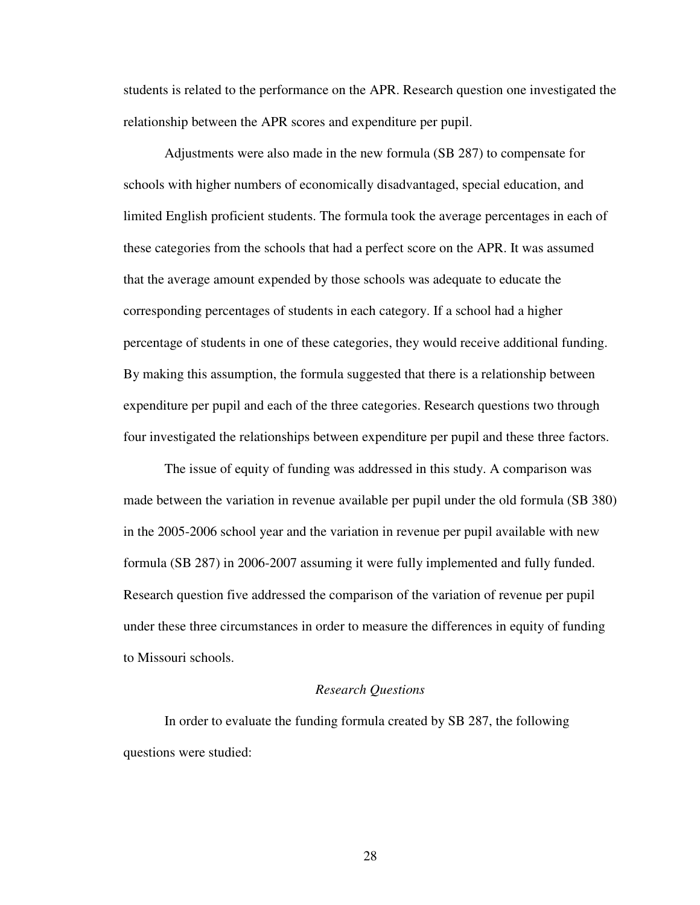students is related to the performance on the APR. Research question one investigated the relationship between the APR scores and expenditure per pupil.

Adjustments were also made in the new formula (SB 287) to compensate for schools with higher numbers of economically disadvantaged, special education, and limited English proficient students. The formula took the average percentages in each of these categories from the schools that had a perfect score on the APR. It was assumed that the average amount expended by those schools was adequate to educate the corresponding percentages of students in each category. If a school had a higher percentage of students in one of these categories, they would receive additional funding. By making this assumption, the formula suggested that there is a relationship between expenditure per pupil and each of the three categories. Research questions two through four investigated the relationships between expenditure per pupil and these three factors.

The issue of equity of funding was addressed in this study. A comparison was made between the variation in revenue available per pupil under the old formula (SB 380) in the 2005-2006 school year and the variation in revenue per pupil available with new formula (SB 287) in 2006-2007 assuming it were fully implemented and fully funded. Research question five addressed the comparison of the variation of revenue per pupil under these three circumstances in order to measure the differences in equity of funding to Missouri schools.

#### *Research Questions*

In order to evaluate the funding formula created by SB 287, the following questions were studied: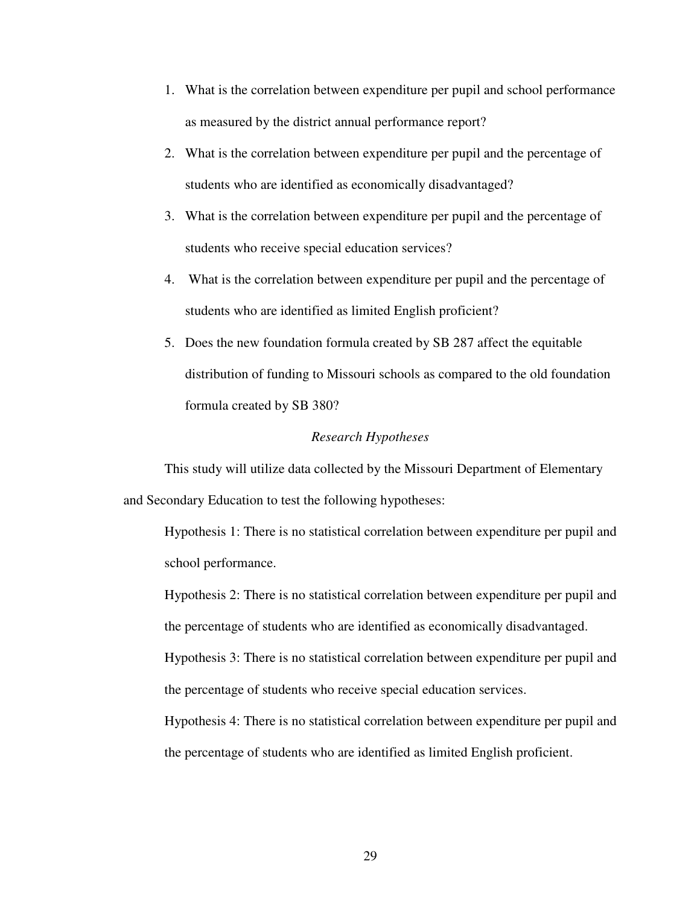- 1. What is the correlation between expenditure per pupil and school performance as measured by the district annual performance report?
- 2. What is the correlation between expenditure per pupil and the percentage of students who are identified as economically disadvantaged?
- 3. What is the correlation between expenditure per pupil and the percentage of students who receive special education services?
- 4. What is the correlation between expenditure per pupil and the percentage of students who are identified as limited English proficient?
- 5. Does the new foundation formula created by SB 287 affect the equitable distribution of funding to Missouri schools as compared to the old foundation formula created by SB 380?

# *Research Hypotheses*

This study will utilize data collected by the Missouri Department of Elementary and Secondary Education to test the following hypotheses:

Hypothesis 1: There is no statistical correlation between expenditure per pupil and school performance.

Hypothesis 2: There is no statistical correlation between expenditure per pupil and the percentage of students who are identified as economically disadvantaged.

Hypothesis 3: There is no statistical correlation between expenditure per pupil and the percentage of students who receive special education services.

Hypothesis 4: There is no statistical correlation between expenditure per pupil and the percentage of students who are identified as limited English proficient.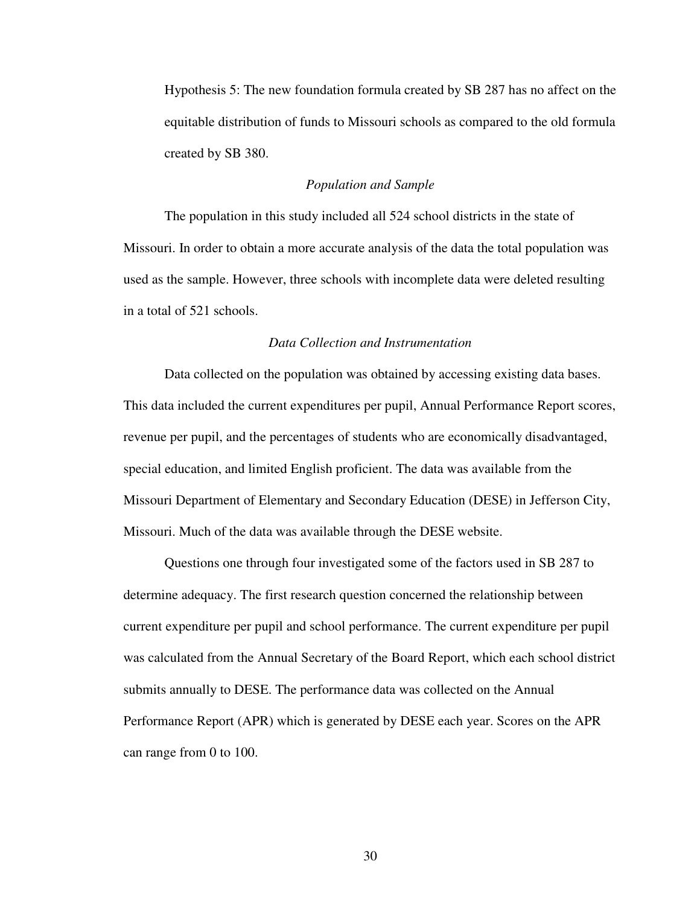Hypothesis 5: The new foundation formula created by SB 287 has no affect on the equitable distribution of funds to Missouri schools as compared to the old formula created by SB 380.

#### *Population and Sample*

The population in this study included all 524 school districts in the state of Missouri. In order to obtain a more accurate analysis of the data the total population was used as the sample. However, three schools with incomplete data were deleted resulting in a total of 521 schools.

# *Data Collection and Instrumentation*

Data collected on the population was obtained by accessing existing data bases. This data included the current expenditures per pupil, Annual Performance Report scores, revenue per pupil, and the percentages of students who are economically disadvantaged, special education, and limited English proficient. The data was available from the Missouri Department of Elementary and Secondary Education (DESE) in Jefferson City, Missouri. Much of the data was available through the DESE website.

Questions one through four investigated some of the factors used in SB 287 to determine adequacy. The first research question concerned the relationship between current expenditure per pupil and school performance. The current expenditure per pupil was calculated from the Annual Secretary of the Board Report, which each school district submits annually to DESE. The performance data was collected on the Annual Performance Report (APR) which is generated by DESE each year. Scores on the APR can range from 0 to 100.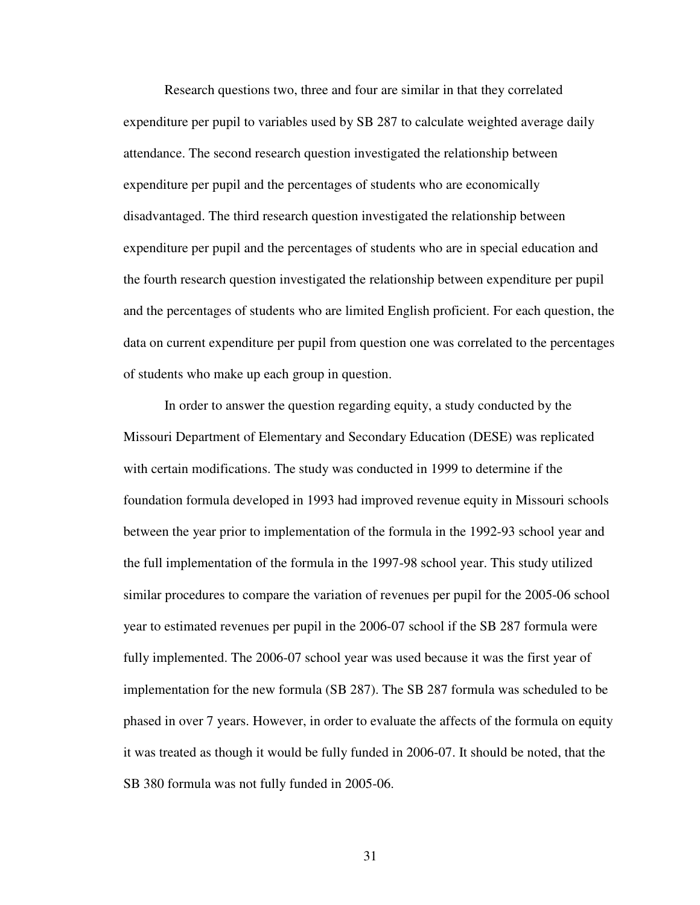Research questions two, three and four are similar in that they correlated expenditure per pupil to variables used by SB 287 to calculate weighted average daily attendance. The second research question investigated the relationship between expenditure per pupil and the percentages of students who are economically disadvantaged. The third research question investigated the relationship between expenditure per pupil and the percentages of students who are in special education and the fourth research question investigated the relationship between expenditure per pupil and the percentages of students who are limited English proficient. For each question, the data on current expenditure per pupil from question one was correlated to the percentages of students who make up each group in question.

In order to answer the question regarding equity, a study conducted by the Missouri Department of Elementary and Secondary Education (DESE) was replicated with certain modifications. The study was conducted in 1999 to determine if the foundation formula developed in 1993 had improved revenue equity in Missouri schools between the year prior to implementation of the formula in the 1992-93 school year and the full implementation of the formula in the 1997-98 school year. This study utilized similar procedures to compare the variation of revenues per pupil for the 2005-06 school year to estimated revenues per pupil in the 2006-07 school if the SB 287 formula were fully implemented. The 2006-07 school year was used because it was the first year of implementation for the new formula (SB 287). The SB 287 formula was scheduled to be phased in over 7 years. However, in order to evaluate the affects of the formula on equity it was treated as though it would be fully funded in 2006-07. It should be noted, that the SB 380 formula was not fully funded in 2005-06.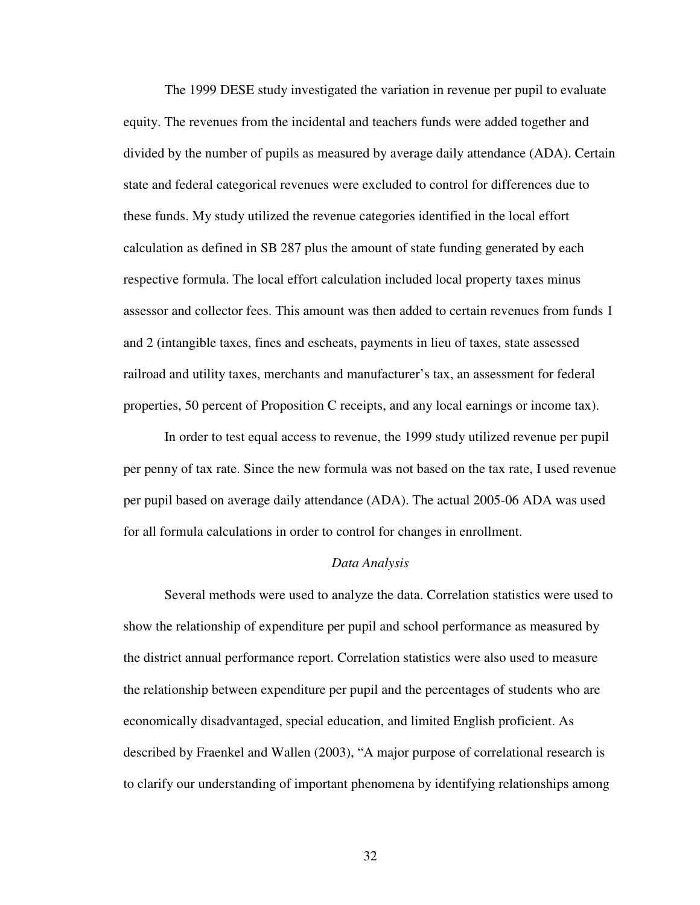The 1999 DESE study investigated the variation in revenue per pupil to evaluate equity. The revenues from the incidental and teachers funds were added together and divided by the number of pupils as measured by average daily attendance (ADA). Certain state and federal categorical revenues were excluded to control for differences due to these funds. My study utilized the revenue categories identified in the local effort calculation as defined in SB 287 plus the amount of state funding generated by each respective formula. The local effort calculation included local property taxes minus assessor and collector fees. This amount was then added to certain revenues from funds 1 and 2 (intangible taxes, fines and escheats, payments in lieu of taxes, state assessed railroad and utility taxes, merchants and manufacturer's tax, an assessment for federal properties, 50 percent of Proposition C receipts, and any local earnings or income tax).

In order to test equal access to revenue, the 1999 study utilized revenue per pupil per penny of tax rate. Since the new formula was not based on the tax rate, I used revenue per pupil based on average daily attendance (ADA). The actual 2005-06 ADA was used for all formula calculations in order to control for changes in enrollment.

# *Data Analysis*

Several methods were used to analyze the data. Correlation statistics were used to show the relationship of expenditure per pupil and school performance as measured by the district annual performance report. Correlation statistics were also used to measure the relationship between expenditure per pupil and the percentages of students who are economically disadvantaged, special education, and limited English proficient. As described by Fraenkel and Wallen (2003), "A major purpose of correlational research is to clarify our understanding of important phenomena by identifying relationships among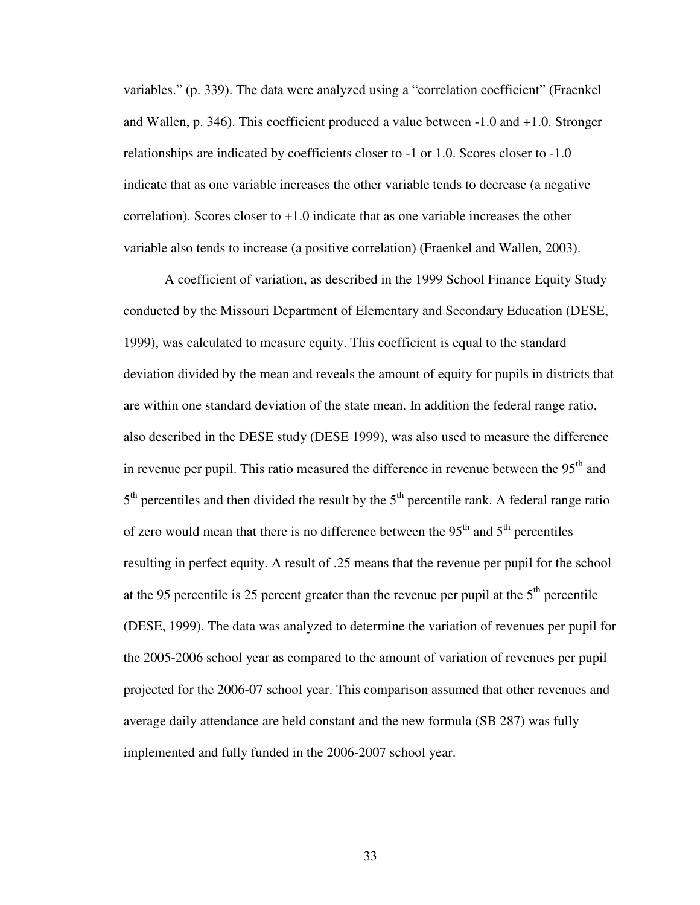variables." (p. 339). The data were analyzed using a "correlation coefficient" (Fraenkel and Wallen, p. 346). This coefficient produced a value between -1.0 and +1.0. Stronger relationships are indicated by coefficients closer to -1 or 1.0. Scores closer to -1.0 indicate that as one variable increases the other variable tends to decrease (a negative correlation). Scores closer to +1.0 indicate that as one variable increases the other variable also tends to increase (a positive correlation) (Fraenkel and Wallen, 2003).

A coefficient of variation, as described in the 1999 School Finance Equity Study conducted by the Missouri Department of Elementary and Secondary Education (DESE, 1999), was calculated to measure equity. This coefficient is equal to the standard deviation divided by the mean and reveals the amount of equity for pupils in districts that are within one standard deviation of the state mean. In addition the federal range ratio, also described in the DESE study (DESE 1999), was also used to measure the difference in revenue per pupil. This ratio measured the difference in revenue between the  $95<sup>th</sup>$  and  $5<sup>th</sup>$  percentiles and then divided the result by the  $5<sup>th</sup>$  percentile rank. A federal range ratio of zero would mean that there is no difference between the  $95<sup>th</sup>$  and  $5<sup>th</sup>$  percentiles resulting in perfect equity. A result of .25 means that the revenue per pupil for the school at the 95 percentile is 25 percent greater than the revenue per pupil at the  $5<sup>th</sup>$  percentile (DESE, 1999). The data was analyzed to determine the variation of revenues per pupil for the 2005-2006 school year as compared to the amount of variation of revenues per pupil projected for the 2006-07 school year. This comparison assumed that other revenues and average daily attendance are held constant and the new formula (SB 287) was fully implemented and fully funded in the 2006-2007 school year.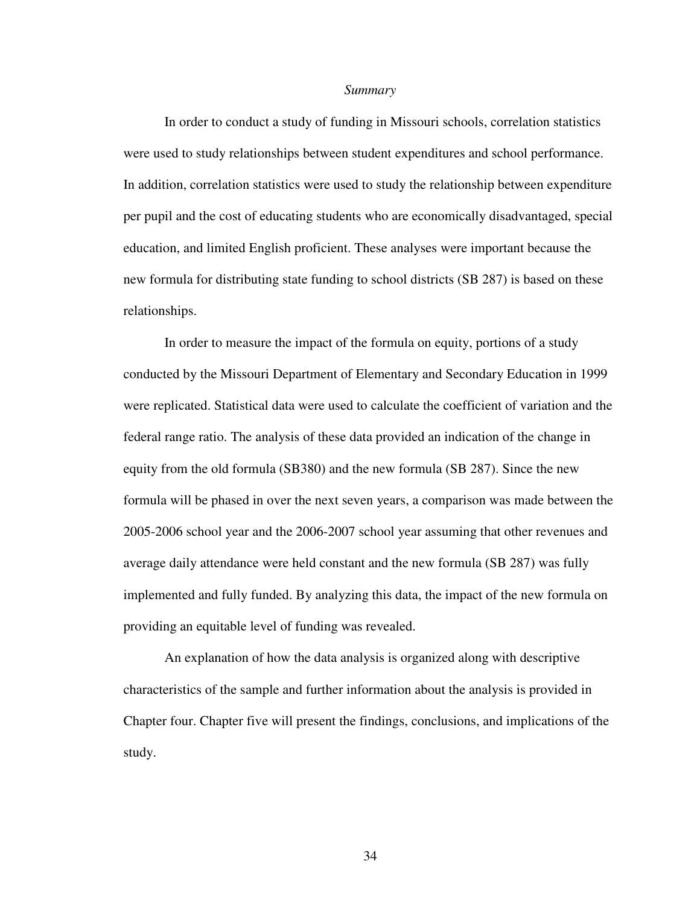#### *Summary*

In order to conduct a study of funding in Missouri schools, correlation statistics were used to study relationships between student expenditures and school performance. In addition, correlation statistics were used to study the relationship between expenditure per pupil and the cost of educating students who are economically disadvantaged, special education, and limited English proficient. These analyses were important because the new formula for distributing state funding to school districts (SB 287) is based on these relationships.

In order to measure the impact of the formula on equity, portions of a study conducted by the Missouri Department of Elementary and Secondary Education in 1999 were replicated. Statistical data were used to calculate the coefficient of variation and the federal range ratio. The analysis of these data provided an indication of the change in equity from the old formula (SB380) and the new formula (SB 287). Since the new formula will be phased in over the next seven years, a comparison was made between the 2005-2006 school year and the 2006-2007 school year assuming that other revenues and average daily attendance were held constant and the new formula (SB 287) was fully implemented and fully funded. By analyzing this data, the impact of the new formula on providing an equitable level of funding was revealed.

An explanation of how the data analysis is organized along with descriptive characteristics of the sample and further information about the analysis is provided in Chapter four. Chapter five will present the findings, conclusions, and implications of the study.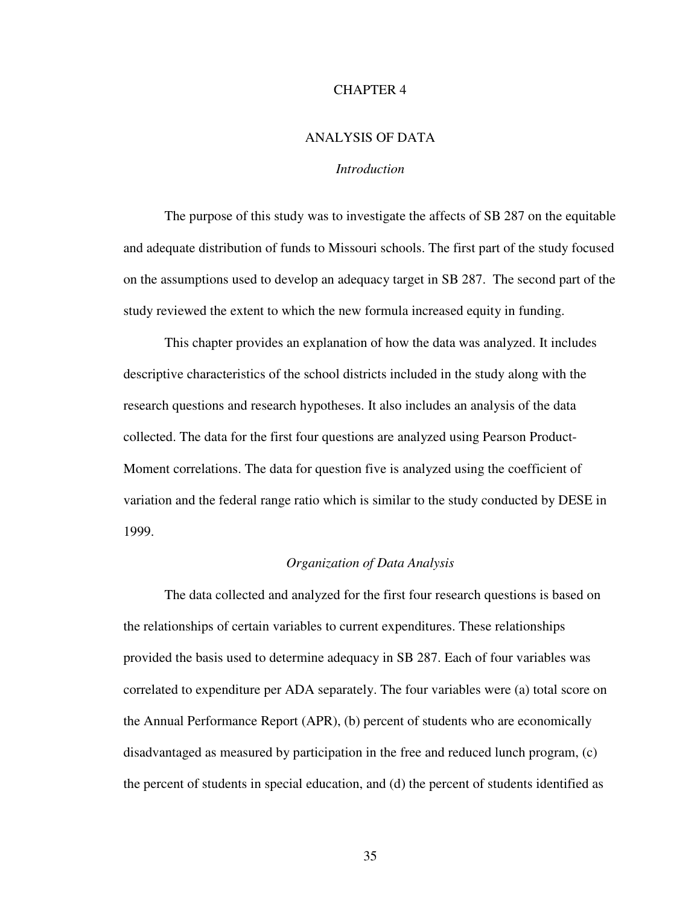# CHAPTER 4

## ANALYSIS OF DATA

# *Introduction*

The purpose of this study was to investigate the affects of SB 287 on the equitable and adequate distribution of funds to Missouri schools. The first part of the study focused on the assumptions used to develop an adequacy target in SB 287. The second part of the study reviewed the extent to which the new formula increased equity in funding.

This chapter provides an explanation of how the data was analyzed. It includes descriptive characteristics of the school districts included in the study along with the research questions and research hypotheses. It also includes an analysis of the data collected. The data for the first four questions are analyzed using Pearson Product-Moment correlations. The data for question five is analyzed using the coefficient of variation and the federal range ratio which is similar to the study conducted by DESE in 1999.

#### *Organization of Data Analysis*

The data collected and analyzed for the first four research questions is based on the relationships of certain variables to current expenditures. These relationships provided the basis used to determine adequacy in SB 287. Each of four variables was correlated to expenditure per ADA separately. The four variables were (a) total score on the Annual Performance Report (APR), (b) percent of students who are economically disadvantaged as measured by participation in the free and reduced lunch program, (c) the percent of students in special education, and (d) the percent of students identified as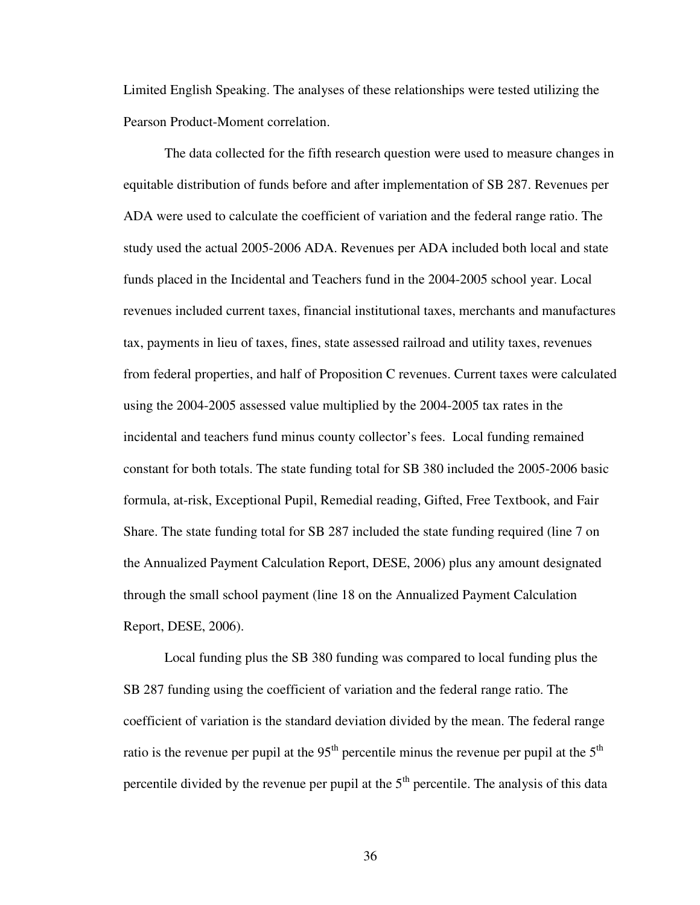Limited English Speaking. The analyses of these relationships were tested utilizing the Pearson Product-Moment correlation.

The data collected for the fifth research question were used to measure changes in equitable distribution of funds before and after implementation of SB 287. Revenues per ADA were used to calculate the coefficient of variation and the federal range ratio. The study used the actual 2005-2006 ADA. Revenues per ADA included both local and state funds placed in the Incidental and Teachers fund in the 2004-2005 school year. Local revenues included current taxes, financial institutional taxes, merchants and manufactures tax, payments in lieu of taxes, fines, state assessed railroad and utility taxes, revenues from federal properties, and half of Proposition C revenues. Current taxes were calculated using the 2004-2005 assessed value multiplied by the 2004-2005 tax rates in the incidental and teachers fund minus county collector's fees. Local funding remained constant for both totals. The state funding total for SB 380 included the 2005-2006 basic formula, at-risk, Exceptional Pupil, Remedial reading, Gifted, Free Textbook, and Fair Share. The state funding total for SB 287 included the state funding required (line 7 on the Annualized Payment Calculation Report, DESE, 2006) plus any amount designated through the small school payment (line 18 on the Annualized Payment Calculation Report, DESE, 2006).

Local funding plus the SB 380 funding was compared to local funding plus the SB 287 funding using the coefficient of variation and the federal range ratio. The coefficient of variation is the standard deviation divided by the mean. The federal range ratio is the revenue per pupil at the 95<sup>th</sup> percentile minus the revenue per pupil at the 5<sup>th</sup> percentile divided by the revenue per pupil at the  $5<sup>th</sup>$  percentile. The analysis of this data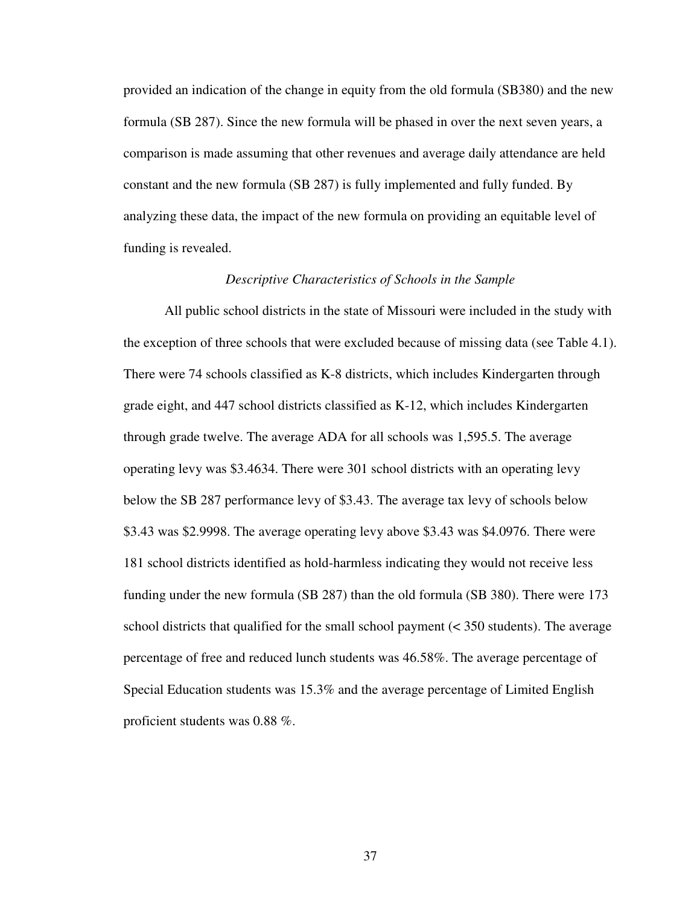provided an indication of the change in equity from the old formula (SB380) and the new formula (SB 287). Since the new formula will be phased in over the next seven years, a comparison is made assuming that other revenues and average daily attendance are held constant and the new formula (SB 287) is fully implemented and fully funded. By analyzing these data, the impact of the new formula on providing an equitable level of funding is revealed.

#### *Descriptive Characteristics of Schools in the Sample*

All public school districts in the state of Missouri were included in the study with the exception of three schools that were excluded because of missing data (see Table 4.1). There were 74 schools classified as K-8 districts, which includes Kindergarten through grade eight, and 447 school districts classified as K-12, which includes Kindergarten through grade twelve. The average ADA for all schools was 1,595.5. The average operating levy was \$3.4634. There were 301 school districts with an operating levy below the SB 287 performance levy of \$3.43. The average tax levy of schools below \$3.43 was \$2.9998. The average operating levy above \$3.43 was \$4.0976. There were 181 school districts identified as hold-harmless indicating they would not receive less funding under the new formula (SB 287) than the old formula (SB 380). There were 173 school districts that qualified for the small school payment (< 350 students). The average percentage of free and reduced lunch students was 46.58%. The average percentage of Special Education students was 15.3% and the average percentage of Limited English proficient students was 0.88 %.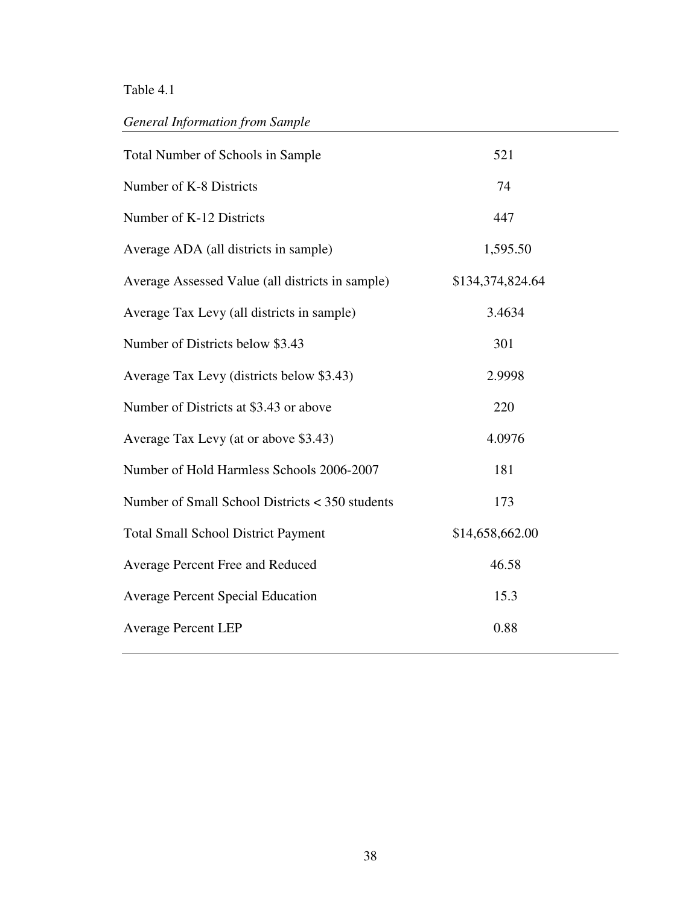# Table 4.1

# *General Information from Sample*

| Total Number of Schools in Sample                | 521              |
|--------------------------------------------------|------------------|
| Number of K-8 Districts                          | 74               |
| Number of K-12 Districts                         | 447              |
| Average ADA (all districts in sample)            | 1,595.50         |
| Average Assessed Value (all districts in sample) | \$134,374,824.64 |
| Average Tax Levy (all districts in sample)       | 3.4634           |
| Number of Districts below \$3.43                 | 301              |
| Average Tax Levy (districts below \$3.43)        | 2.9998           |
| Number of Districts at \$3.43 or above           | 220              |
| Average Tax Levy (at or above \$3.43)            | 4.0976           |
| Number of Hold Harmless Schools 2006-2007        | 181              |
| Number of Small School Districts < 350 students  | 173              |
| <b>Total Small School District Payment</b>       | \$14,658,662.00  |
| Average Percent Free and Reduced                 | 46.58            |
| <b>Average Percent Special Education</b>         | 15.3             |
| <b>Average Percent LEP</b>                       | 0.88             |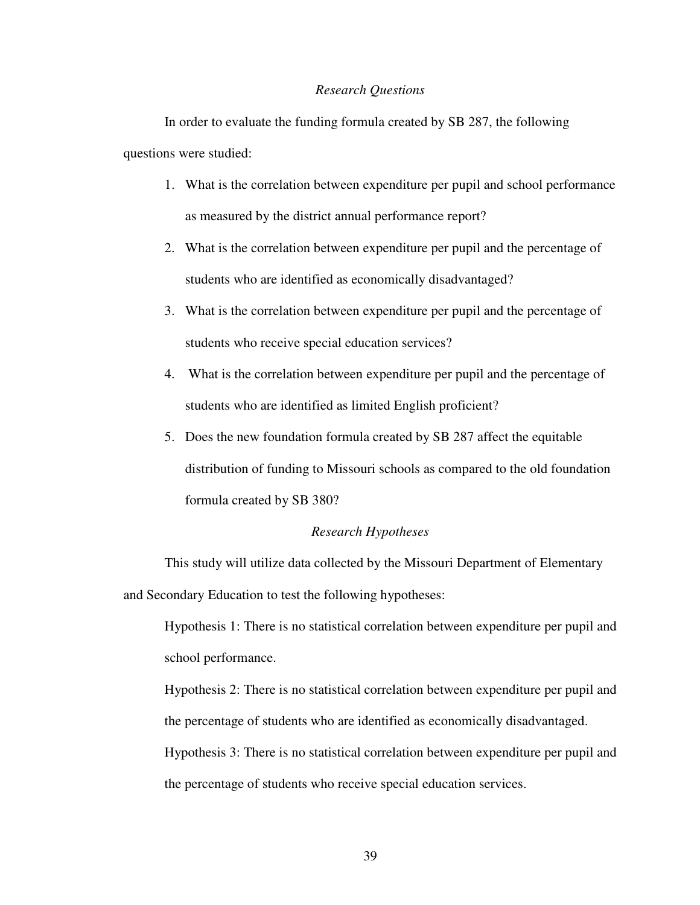#### *Research Questions*

In order to evaluate the funding formula created by SB 287, the following questions were studied:

- 1. What is the correlation between expenditure per pupil and school performance as measured by the district annual performance report?
- 2. What is the correlation between expenditure per pupil and the percentage of students who are identified as economically disadvantaged?
- 3. What is the correlation between expenditure per pupil and the percentage of students who receive special education services?
- 4. What is the correlation between expenditure per pupil and the percentage of students who are identified as limited English proficient?
- 5. Does the new foundation formula created by SB 287 affect the equitable distribution of funding to Missouri schools as compared to the old foundation formula created by SB 380?

## *Research Hypotheses*

This study will utilize data collected by the Missouri Department of Elementary and Secondary Education to test the following hypotheses:

Hypothesis 1: There is no statistical correlation between expenditure per pupil and school performance.

Hypothesis 2: There is no statistical correlation between expenditure per pupil and the percentage of students who are identified as economically disadvantaged.

Hypothesis 3: There is no statistical correlation between expenditure per pupil and the percentage of students who receive special education services.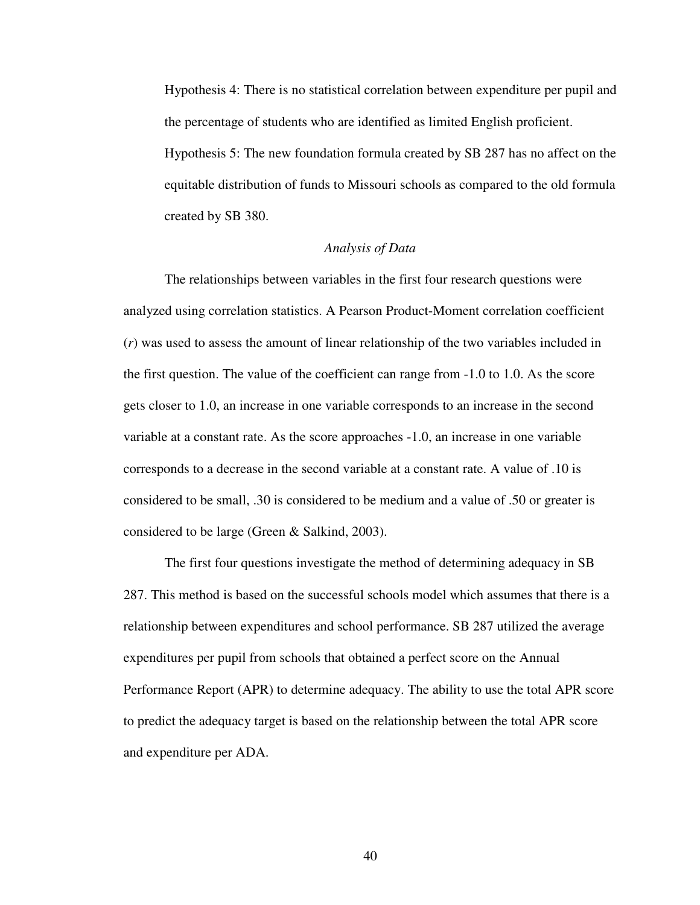Hypothesis 4: There is no statistical correlation between expenditure per pupil and the percentage of students who are identified as limited English proficient.

Hypothesis 5: The new foundation formula created by SB 287 has no affect on the equitable distribution of funds to Missouri schools as compared to the old formula created by SB 380.

# *Analysis of Data*

The relationships between variables in the first four research questions were analyzed using correlation statistics. A Pearson Product-Moment correlation coefficient (*r*) was used to assess the amount of linear relationship of the two variables included in the first question. The value of the coefficient can range from -1.0 to 1.0. As the score gets closer to 1.0, an increase in one variable corresponds to an increase in the second variable at a constant rate. As the score approaches -1.0, an increase in one variable corresponds to a decrease in the second variable at a constant rate. A value of .10 is considered to be small, .30 is considered to be medium and a value of .50 or greater is considered to be large (Green & Salkind, 2003).

The first four questions investigate the method of determining adequacy in SB 287. This method is based on the successful schools model which assumes that there is a relationship between expenditures and school performance. SB 287 utilized the average expenditures per pupil from schools that obtained a perfect score on the Annual Performance Report (APR) to determine adequacy. The ability to use the total APR score to predict the adequacy target is based on the relationship between the total APR score and expenditure per ADA.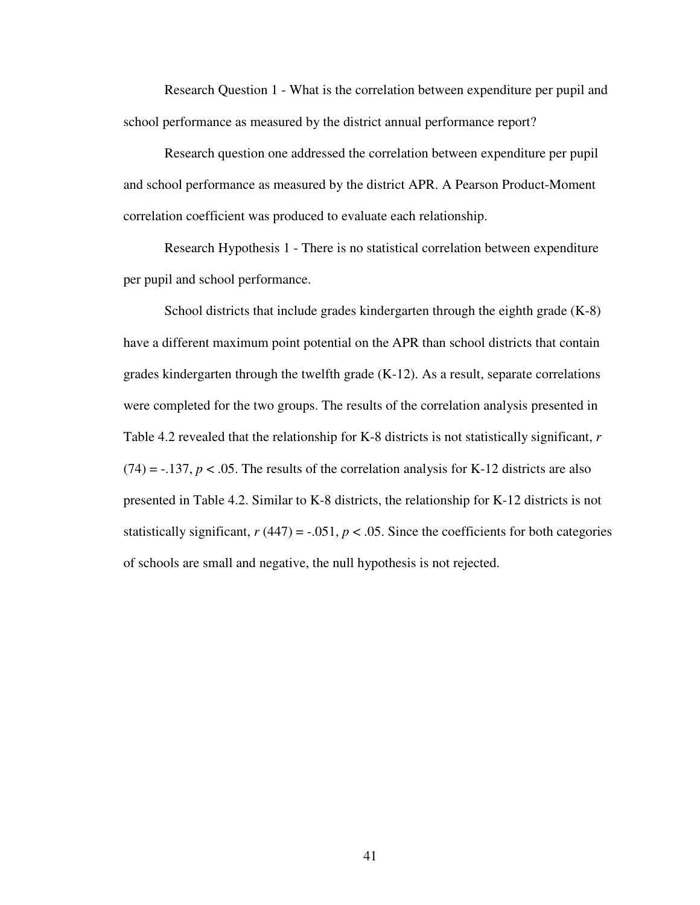Research Question 1 - What is the correlation between expenditure per pupil and school performance as measured by the district annual performance report?

Research question one addressed the correlation between expenditure per pupil and school performance as measured by the district APR. A Pearson Product-Moment correlation coefficient was produced to evaluate each relationship.

Research Hypothesis 1 - There is no statistical correlation between expenditure per pupil and school performance.

School districts that include grades kindergarten through the eighth grade (K-8) have a different maximum point potential on the APR than school districts that contain grades kindergarten through the twelfth grade (K-12). As a result, separate correlations were completed for the two groups. The results of the correlation analysis presented in Table 4.2 revealed that the relationship for K-8 districts is not statistically significant, *r*  $(74) = -137$ ,  $p < .05$ . The results of the correlation analysis for K-12 districts are also presented in Table 4.2. Similar to K-8 districts, the relationship for K-12 districts is not statistically significant,  $r(447) = -.051$ ,  $p < .05$ . Since the coefficients for both categories of schools are small and negative, the null hypothesis is not rejected.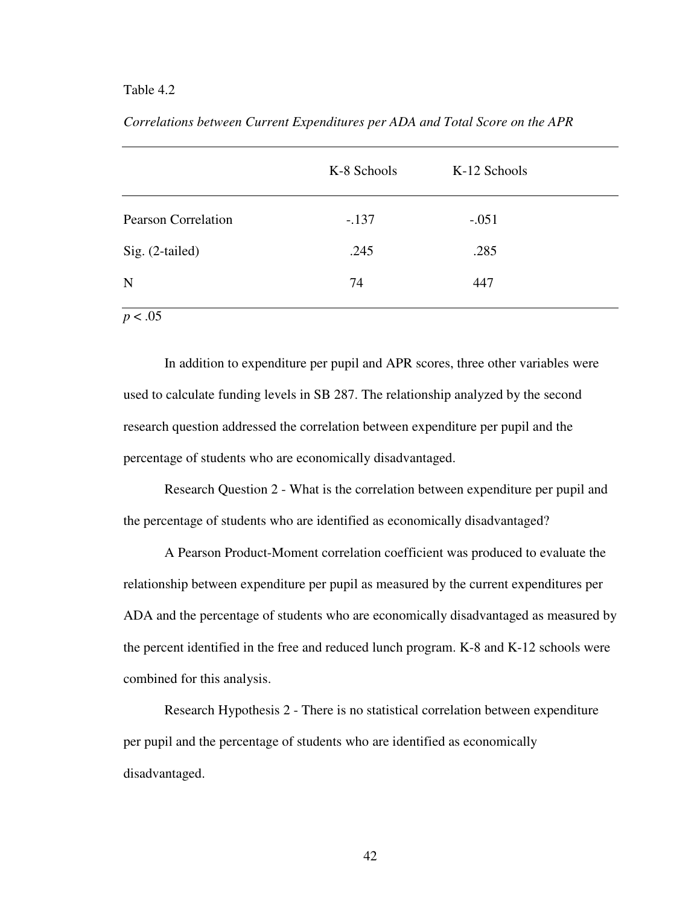# Table 4.2

|                            | K-8 Schools | K-12 Schools |  |
|----------------------------|-------------|--------------|--|
| <b>Pearson Correlation</b> | $-.137$     | $-.051$      |  |
| Sig. (2-tailed)            | .245        | .285         |  |
| N                          | 74          | 447          |  |
| $\sim$ $\sim$              |             |              |  |

*Correlations between Current Expenditures per ADA and Total Score on the APR*

 $p < .05$ 

In addition to expenditure per pupil and APR scores, three other variables were used to calculate funding levels in SB 287. The relationship analyzed by the second research question addressed the correlation between expenditure per pupil and the percentage of students who are economically disadvantaged.

Research Question 2 - What is the correlation between expenditure per pupil and the percentage of students who are identified as economically disadvantaged?

A Pearson Product-Moment correlation coefficient was produced to evaluate the relationship between expenditure per pupil as measured by the current expenditures per ADA and the percentage of students who are economically disadvantaged as measured by the percent identified in the free and reduced lunch program. K-8 and K-12 schools were combined for this analysis.

Research Hypothesis 2 - There is no statistical correlation between expenditure per pupil and the percentage of students who are identified as economically disadvantaged.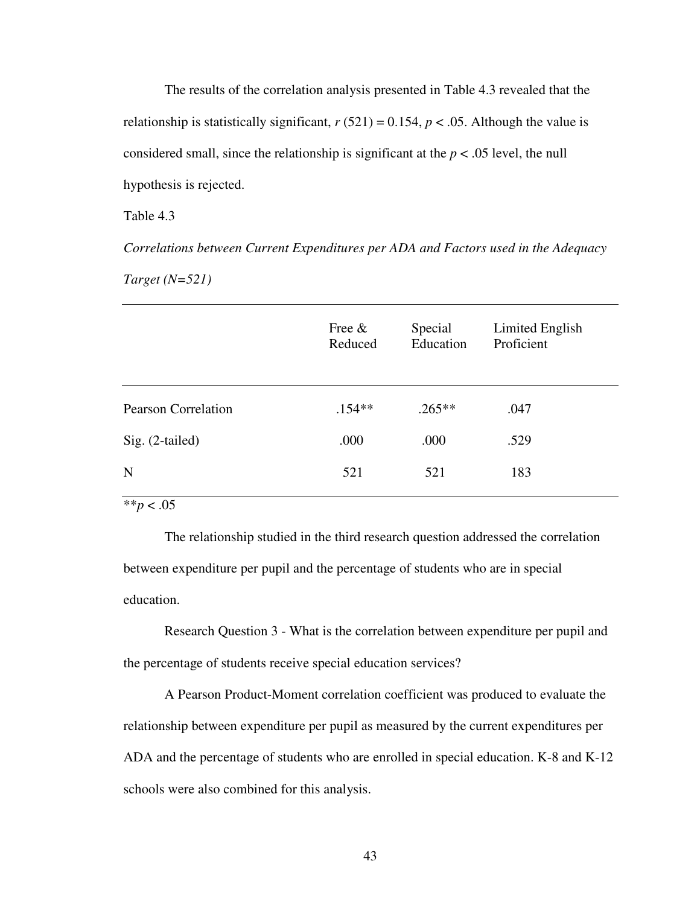The results of the correlation analysis presented in Table 4.3 revealed that the relationship is statistically significant,  $r(521) = 0.154$ ,  $p < .05$ . Although the value is considered small, since the relationship is significant at the  $p < .05$  level, the null hypothesis is rejected.

Table 4.3

*Correlations between Current Expenditures per ADA and Factors used in the Adequacy Target (N=521)*

| Special<br>Reduced    | Limited English<br>Proficient |           |
|-----------------------|-------------------------------|-----------|
| $.154**$<br>$.265***$ | .047                          |           |
| .000                  | .529                          |           |
| 521                   | 183                           |           |
|                       |                               | Education |

\*\**p* < .05

The relationship studied in the third research question addressed the correlation between expenditure per pupil and the percentage of students who are in special education.

Research Question 3 - What is the correlation between expenditure per pupil and the percentage of students receive special education services?

A Pearson Product-Moment correlation coefficient was produced to evaluate the relationship between expenditure per pupil as measured by the current expenditures per ADA and the percentage of students who are enrolled in special education. K-8 and K-12 schools were also combined for this analysis.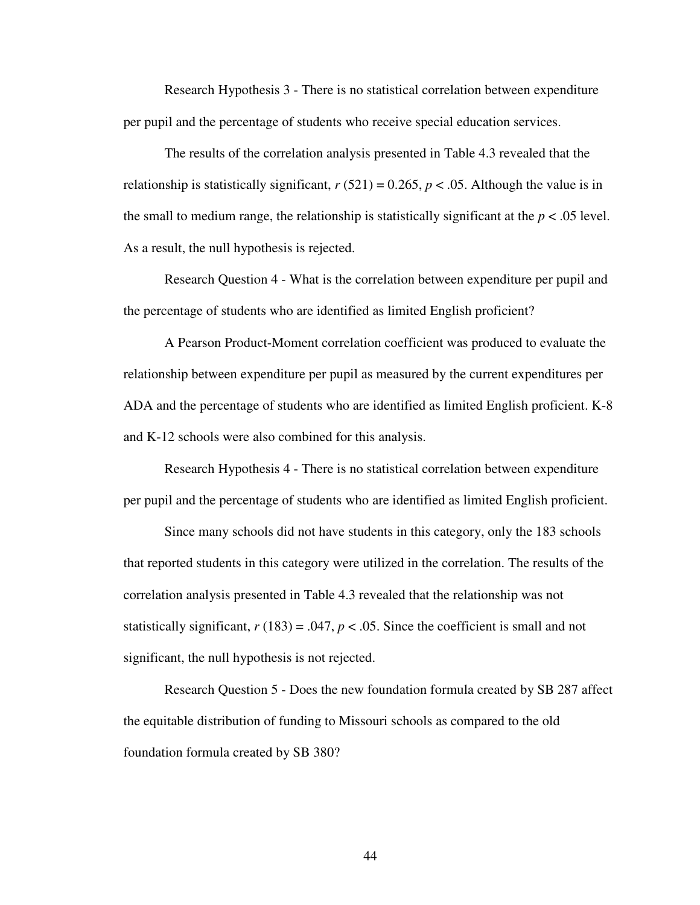Research Hypothesis 3 - There is no statistical correlation between expenditure per pupil and the percentage of students who receive special education services.

The results of the correlation analysis presented in Table 4.3 revealed that the relationship is statistically significant,  $r(521) = 0.265$ ,  $p < .05$ . Although the value is in the small to medium range, the relationship is statistically significant at the  $p < .05$  level. As a result, the null hypothesis is rejected.

Research Question 4 - What is the correlation between expenditure per pupil and the percentage of students who are identified as limited English proficient?

A Pearson Product-Moment correlation coefficient was produced to evaluate the relationship between expenditure per pupil as measured by the current expenditures per ADA and the percentage of students who are identified as limited English proficient. K-8 and K-12 schools were also combined for this analysis.

Research Hypothesis 4 - There is no statistical correlation between expenditure per pupil and the percentage of students who are identified as limited English proficient.

Since many schools did not have students in this category, only the 183 schools that reported students in this category were utilized in the correlation. The results of the correlation analysis presented in Table 4.3 revealed that the relationship was not statistically significant,  $r(183) = .047$ ,  $p < .05$ . Since the coefficient is small and not significant, the null hypothesis is not rejected.

Research Question 5 - Does the new foundation formula created by SB 287 affect the equitable distribution of funding to Missouri schools as compared to the old foundation formula created by SB 380?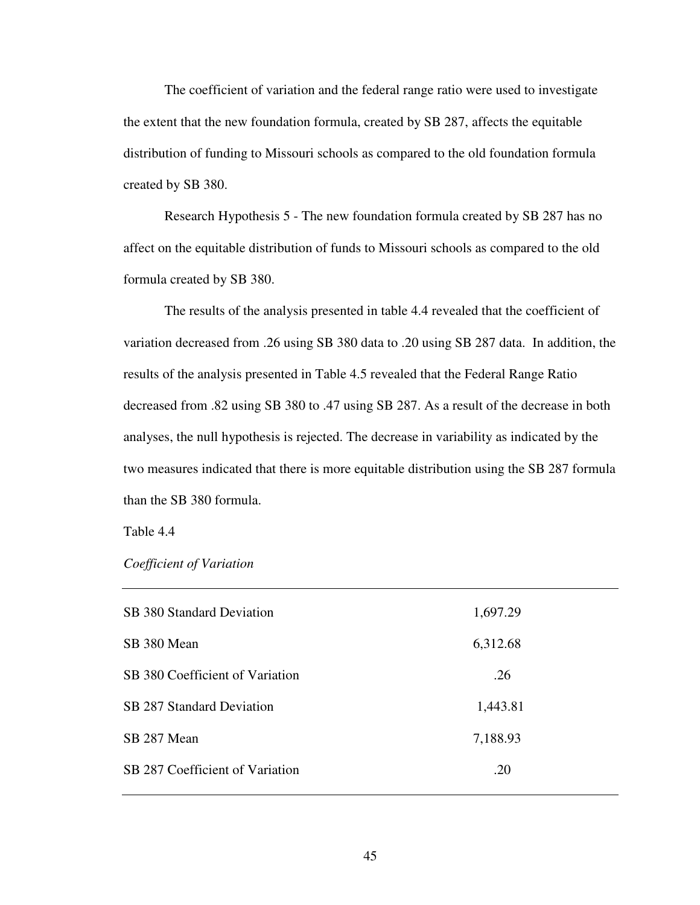The coefficient of variation and the federal range ratio were used to investigate the extent that the new foundation formula, created by SB 287, affects the equitable distribution of funding to Missouri schools as compared to the old foundation formula created by SB 380.

Research Hypothesis 5 - The new foundation formula created by SB 287 has no affect on the equitable distribution of funds to Missouri schools as compared to the old formula created by SB 380.

The results of the analysis presented in table 4.4 revealed that the coefficient of variation decreased from .26 using SB 380 data to .20 using SB 287 data. In addition, the results of the analysis presented in Table 4.5 revealed that the Federal Range Ratio decreased from .82 using SB 380 to .47 using SB 287. As a result of the decrease in both analyses, the null hypothesis is rejected. The decrease in variability as indicated by the two measures indicated that there is more equitable distribution using the SB 287 formula than the SB 380 formula.

Table 4.4

|  |  | Coefficient of Variation |
|--|--|--------------------------|
|  |  |                          |

| SB 380 Standard Deviation       | 1,697.29 |
|---------------------------------|----------|
| SB 380 Mean                     | 6,312.68 |
| SB 380 Coefficient of Variation | .26      |
| SB 287 Standard Deviation       | 1,443.81 |
| SB 287 Mean                     | 7,188.93 |
| SB 287 Coefficient of Variation | .20      |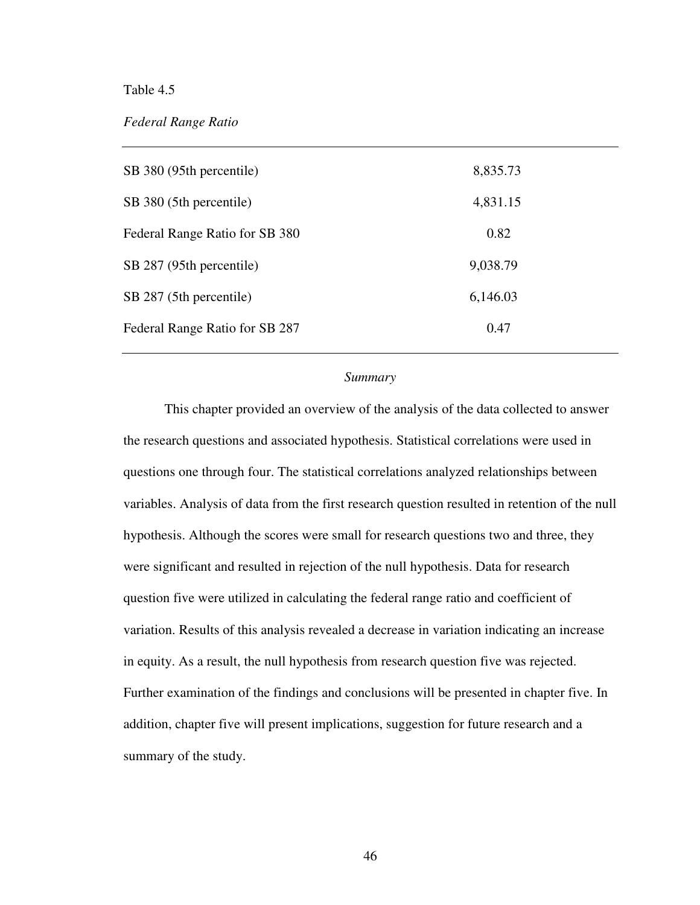# Table 4.5

# *Federal Range Ratio*

| SB 380 (95th percentile)       | 8,835.73 |
|--------------------------------|----------|
| SB 380 (5th percentile)        | 4,831.15 |
| Federal Range Ratio for SB 380 | 0.82     |
| SB 287 (95th percentile)       | 9,038.79 |
| SB 287 (5th percentile)        | 6,146.03 |
| Federal Range Ratio for SB 287 | 0.47     |

# *Summary*

This chapter provided an overview of the analysis of the data collected to answer the research questions and associated hypothesis. Statistical correlations were used in questions one through four. The statistical correlations analyzed relationships between variables. Analysis of data from the first research question resulted in retention of the null hypothesis. Although the scores were small for research questions two and three, they were significant and resulted in rejection of the null hypothesis. Data for research question five were utilized in calculating the federal range ratio and coefficient of variation. Results of this analysis revealed a decrease in variation indicating an increase in equity. As a result, the null hypothesis from research question five was rejected. Further examination of the findings and conclusions will be presented in chapter five. In addition, chapter five will present implications, suggestion for future research and a summary of the study.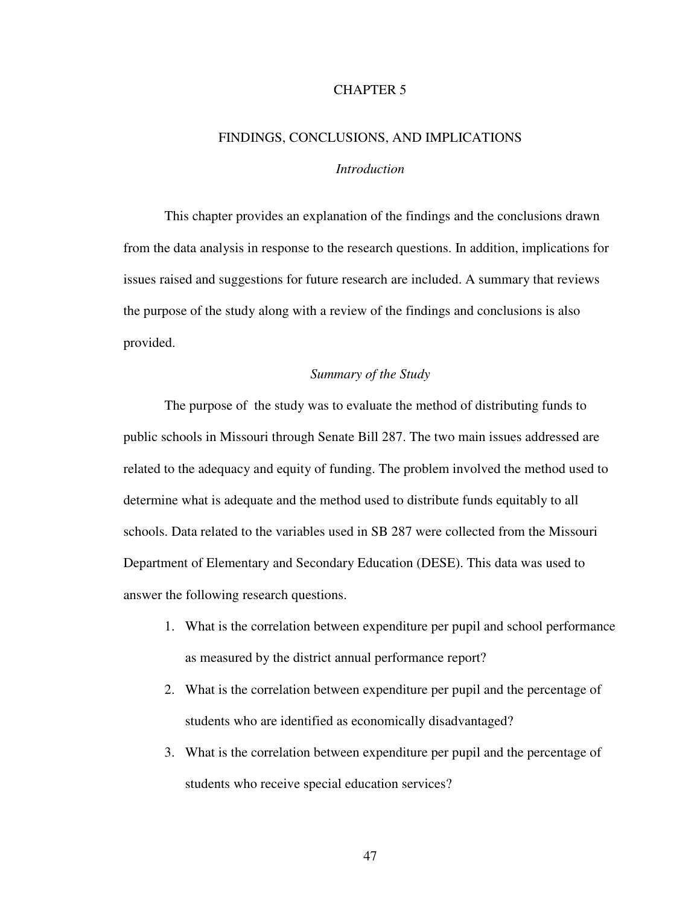# CHAPTER 5

# FINDINGS, CONCLUSIONS, AND IMPLICATIONS *Introduction*

This chapter provides an explanation of the findings and the conclusions drawn from the data analysis in response to the research questions. In addition, implications for issues raised and suggestions for future research are included. A summary that reviews the purpose of the study along with a review of the findings and conclusions is also provided.

#### *Summary of the Study*

The purpose of the study was to evaluate the method of distributing funds to public schools in Missouri through Senate Bill 287. The two main issues addressed are related to the adequacy and equity of funding. The problem involved the method used to determine what is adequate and the method used to distribute funds equitably to all schools. Data related to the variables used in SB 287 were collected from the Missouri Department of Elementary and Secondary Education (DESE). This data was used to answer the following research questions.

- 1. What is the correlation between expenditure per pupil and school performance as measured by the district annual performance report?
- 2. What is the correlation between expenditure per pupil and the percentage of students who are identified as economically disadvantaged?
- 3. What is the correlation between expenditure per pupil and the percentage of students who receive special education services?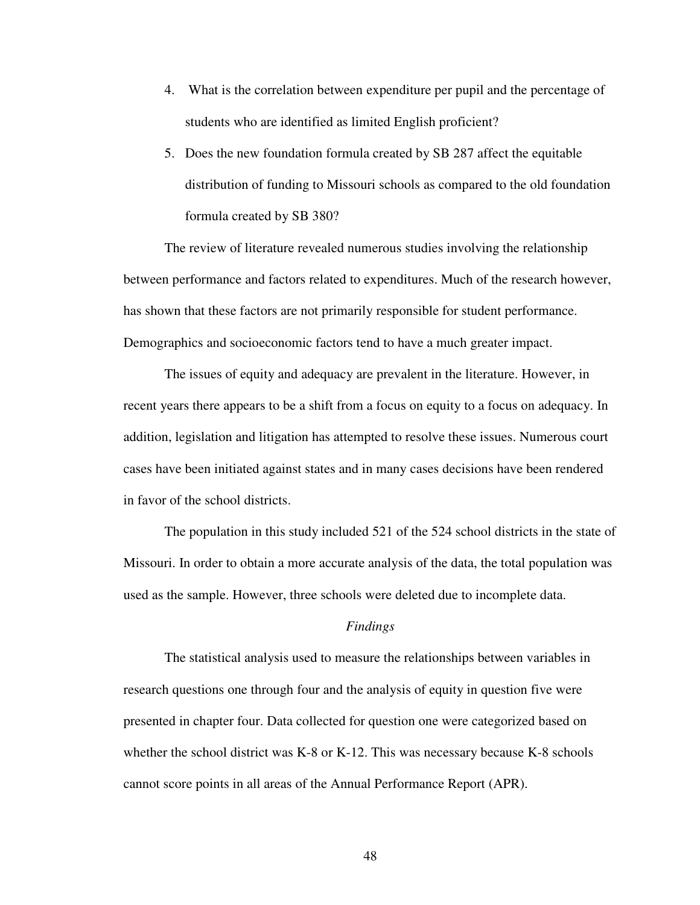- 4. What is the correlation between expenditure per pupil and the percentage of students who are identified as limited English proficient?
- 5. Does the new foundation formula created by SB 287 affect the equitable distribution of funding to Missouri schools as compared to the old foundation formula created by SB 380?

The review of literature revealed numerous studies involving the relationship between performance and factors related to expenditures. Much of the research however, has shown that these factors are not primarily responsible for student performance. Demographics and socioeconomic factors tend to have a much greater impact.

The issues of equity and adequacy are prevalent in the literature. However, in recent years there appears to be a shift from a focus on equity to a focus on adequacy. In addition, legislation and litigation has attempted to resolve these issues. Numerous court cases have been initiated against states and in many cases decisions have been rendered in favor of the school districts.

The population in this study included 521 of the 524 school districts in the state of Missouri. In order to obtain a more accurate analysis of the data, the total population was used as the sample. However, three schools were deleted due to incomplete data.

#### *Findings*

The statistical analysis used to measure the relationships between variables in research questions one through four and the analysis of equity in question five were presented in chapter four. Data collected for question one were categorized based on whether the school district was K-8 or K-12. This was necessary because K-8 schools cannot score points in all areas of the Annual Performance Report (APR).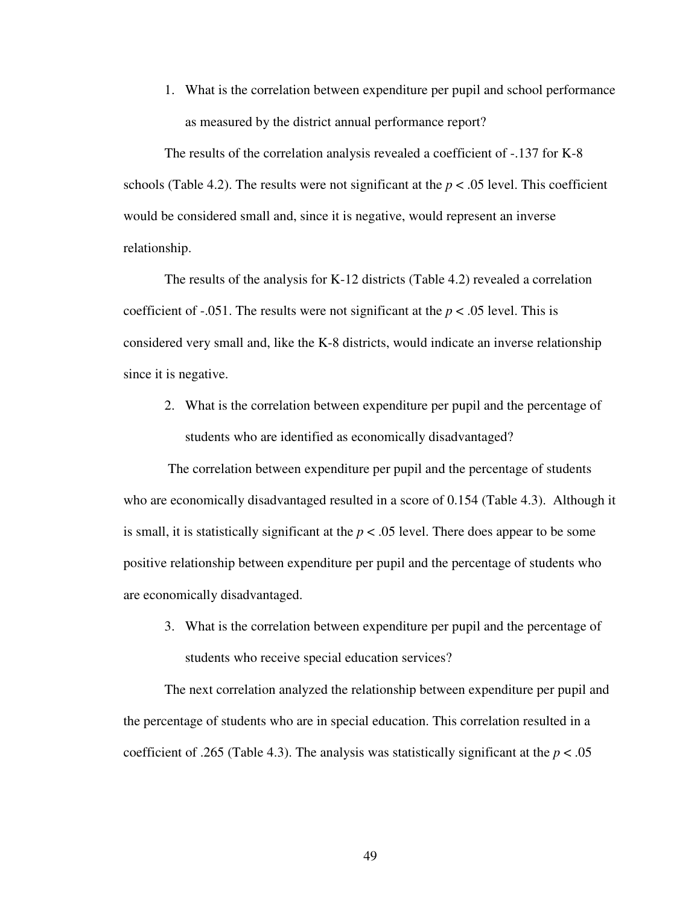1. What is the correlation between expenditure per pupil and school performance as measured by the district annual performance report?

The results of the correlation analysis revealed a coefficient of -.137 for K-8 schools (Table 4.2). The results were not significant at the  $p < .05$  level. This coefficient would be considered small and, since it is negative, would represent an inverse relationship.

The results of the analysis for K-12 districts (Table 4.2) revealed a correlation coefficient of  $-.051$ . The results were not significant at the  $p < .05$  level. This is considered very small and, like the K-8 districts, would indicate an inverse relationship since it is negative.

2. What is the correlation between expenditure per pupil and the percentage of students who are identified as economically disadvantaged?

The correlation between expenditure per pupil and the percentage of students who are economically disadvantaged resulted in a score of 0.154 (Table 4.3). Although it is small, it is statistically significant at the  $p < .05$  level. There does appear to be some positive relationship between expenditure per pupil and the percentage of students who are economically disadvantaged.

3. What is the correlation between expenditure per pupil and the percentage of students who receive special education services?

The next correlation analyzed the relationship between expenditure per pupil and the percentage of students who are in special education. This correlation resulted in a coefficient of .265 (Table 4.3). The analysis was statistically significant at the  $p < .05$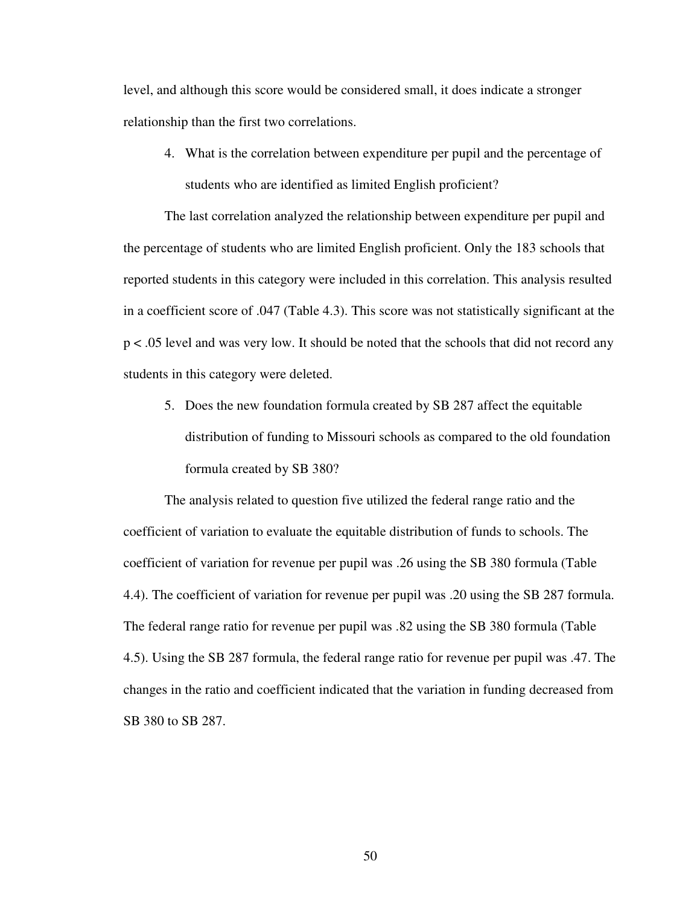level, and although this score would be considered small, it does indicate a stronger relationship than the first two correlations.

4. What is the correlation between expenditure per pupil and the percentage of students who are identified as limited English proficient?

The last correlation analyzed the relationship between expenditure per pupil and the percentage of students who are limited English proficient. Only the 183 schools that reported students in this category were included in this correlation. This analysis resulted in a coefficient score of .047 (Table 4.3). This score was not statistically significant at the p < .05 level and was very low. It should be noted that the schools that did not record any students in this category were deleted.

5. Does the new foundation formula created by SB 287 affect the equitable distribution of funding to Missouri schools as compared to the old foundation formula created by SB 380?

The analysis related to question five utilized the federal range ratio and the coefficient of variation to evaluate the equitable distribution of funds to schools. The coefficient of variation for revenue per pupil was .26 using the SB 380 formula (Table 4.4). The coefficient of variation for revenue per pupil was .20 using the SB 287 formula. The federal range ratio for revenue per pupil was .82 using the SB 380 formula (Table 4.5). Using the SB 287 formula, the federal range ratio for revenue per pupil was .47. The changes in the ratio and coefficient indicated that the variation in funding decreased from SB 380 to SB 287.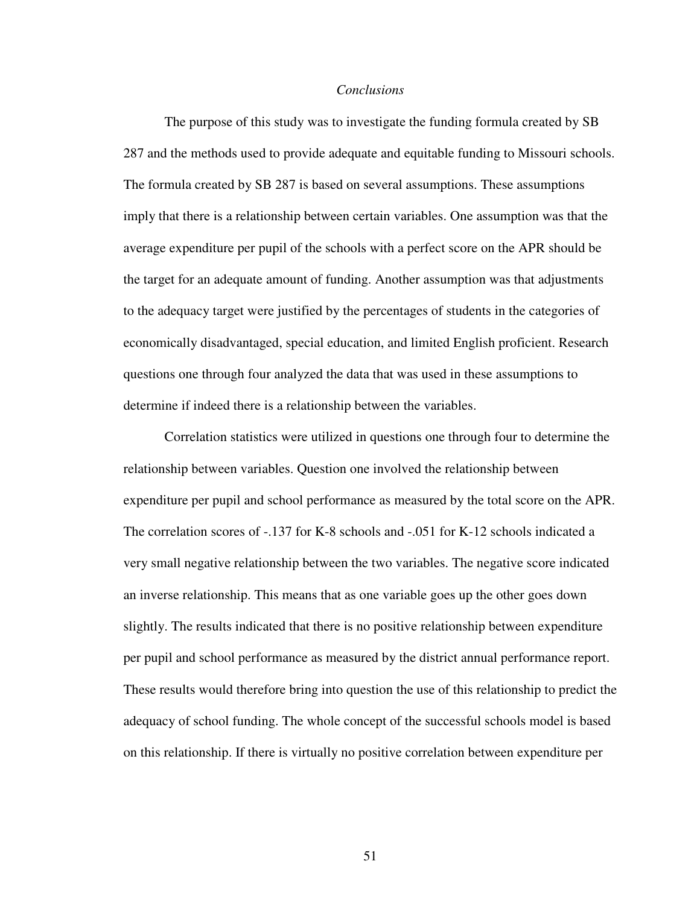#### *Conclusions*

The purpose of this study was to investigate the funding formula created by SB 287 and the methods used to provide adequate and equitable funding to Missouri schools. The formula created by SB 287 is based on several assumptions. These assumptions imply that there is a relationship between certain variables. One assumption was that the average expenditure per pupil of the schools with a perfect score on the APR should be the target for an adequate amount of funding. Another assumption was that adjustments to the adequacy target were justified by the percentages of students in the categories of economically disadvantaged, special education, and limited English proficient. Research questions one through four analyzed the data that was used in these assumptions to determine if indeed there is a relationship between the variables.

Correlation statistics were utilized in questions one through four to determine the relationship between variables. Question one involved the relationship between expenditure per pupil and school performance as measured by the total score on the APR. The correlation scores of -.137 for K-8 schools and -.051 for K-12 schools indicated a very small negative relationship between the two variables. The negative score indicated an inverse relationship. This means that as one variable goes up the other goes down slightly. The results indicated that there is no positive relationship between expenditure per pupil and school performance as measured by the district annual performance report. These results would therefore bring into question the use of this relationship to predict the adequacy of school funding. The whole concept of the successful schools model is based on this relationship. If there is virtually no positive correlation between expenditure per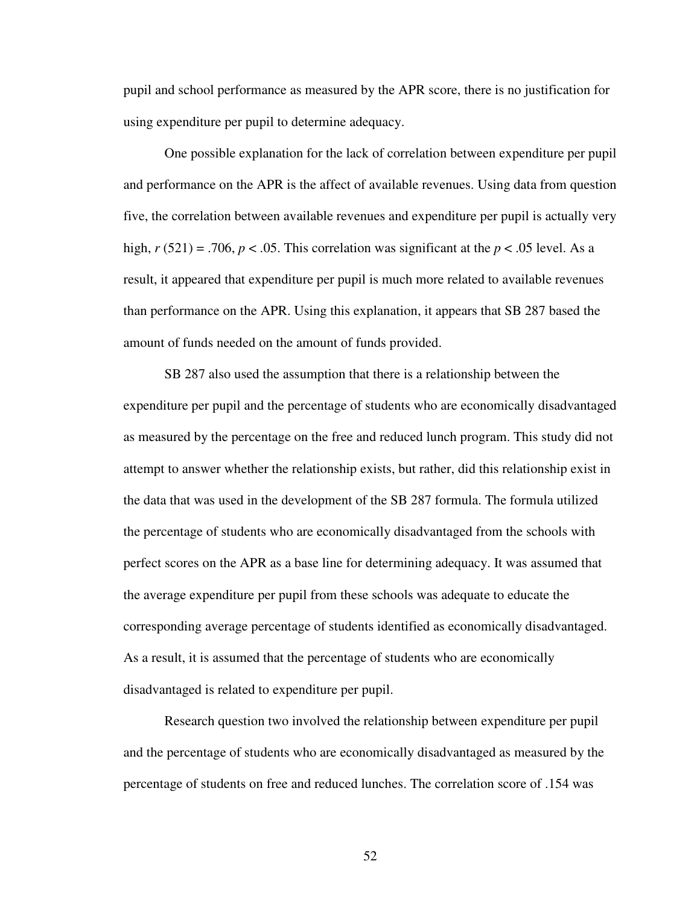pupil and school performance as measured by the APR score, there is no justification for using expenditure per pupil to determine adequacy.

One possible explanation for the lack of correlation between expenditure per pupil and performance on the APR is the affect of available revenues. Using data from question five, the correlation between available revenues and expenditure per pupil is actually very high,  $r(521) = .706$ ,  $p < .05$ . This correlation was significant at the  $p < .05$  level. As a result, it appeared that expenditure per pupil is much more related to available revenues than performance on the APR. Using this explanation, it appears that SB 287 based the amount of funds needed on the amount of funds provided.

SB 287 also used the assumption that there is a relationship between the expenditure per pupil and the percentage of students who are economically disadvantaged as measured by the percentage on the free and reduced lunch program. This study did not attempt to answer whether the relationship exists, but rather, did this relationship exist in the data that was used in the development of the SB 287 formula. The formula utilized the percentage of students who are economically disadvantaged from the schools with perfect scores on the APR as a base line for determining adequacy. It was assumed that the average expenditure per pupil from these schools was adequate to educate the corresponding average percentage of students identified as economically disadvantaged. As a result, it is assumed that the percentage of students who are economically disadvantaged is related to expenditure per pupil.

Research question two involved the relationship between expenditure per pupil and the percentage of students who are economically disadvantaged as measured by the percentage of students on free and reduced lunches. The correlation score of .154 was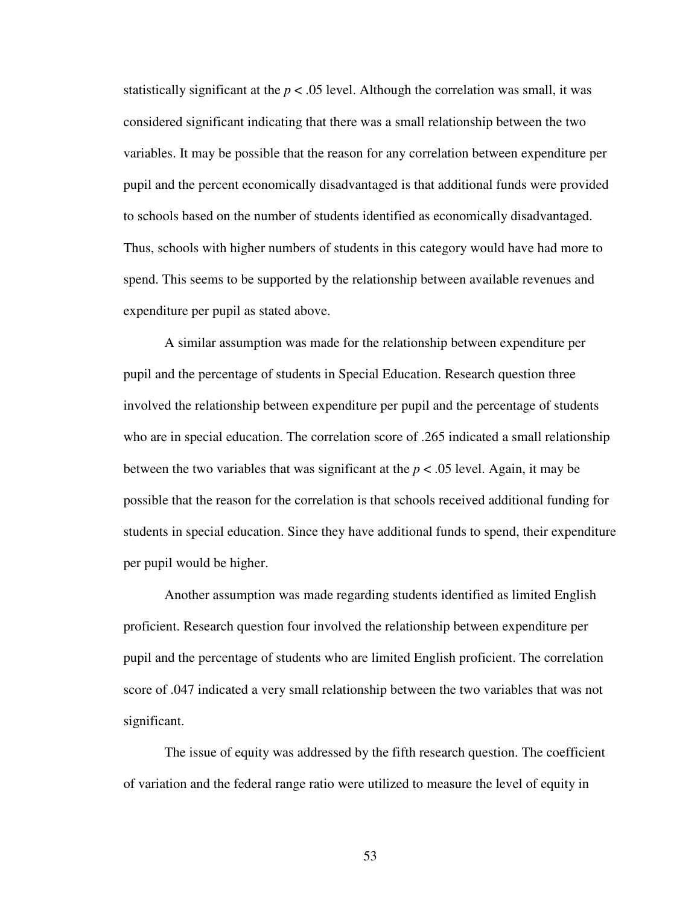statistically significant at the  $p < .05$  level. Although the correlation was small, it was considered significant indicating that there was a small relationship between the two variables. It may be possible that the reason for any correlation between expenditure per pupil and the percent economically disadvantaged is that additional funds were provided to schools based on the number of students identified as economically disadvantaged. Thus, schools with higher numbers of students in this category would have had more to spend. This seems to be supported by the relationship between available revenues and expenditure per pupil as stated above.

A similar assumption was made for the relationship between expenditure per pupil and the percentage of students in Special Education. Research question three involved the relationship between expenditure per pupil and the percentage of students who are in special education. The correlation score of .265 indicated a small relationship between the two variables that was significant at the  $p < .05$  level. Again, it may be possible that the reason for the correlation is that schools received additional funding for students in special education. Since they have additional funds to spend, their expenditure per pupil would be higher.

Another assumption was made regarding students identified as limited English proficient. Research question four involved the relationship between expenditure per pupil and the percentage of students who are limited English proficient. The correlation score of .047 indicated a very small relationship between the two variables that was not significant.

The issue of equity was addressed by the fifth research question. The coefficient of variation and the federal range ratio were utilized to measure the level of equity in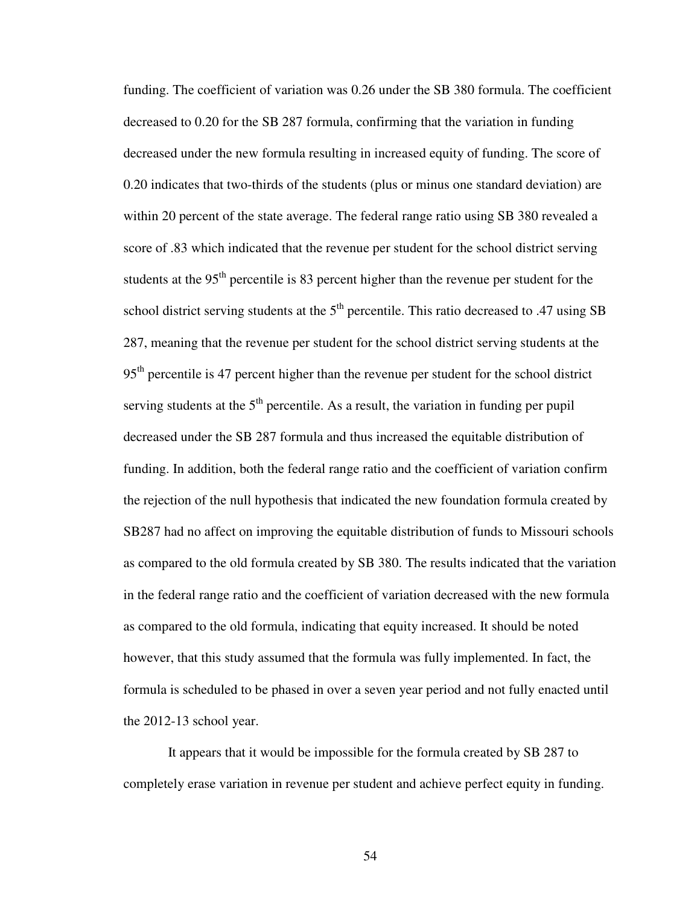funding. The coefficient of variation was 0.26 under the SB 380 formula. The coefficient decreased to 0.20 for the SB 287 formula, confirming that the variation in funding decreased under the new formula resulting in increased equity of funding. The score of 0.20 indicates that two-thirds of the students (plus or minus one standard deviation) are within 20 percent of the state average. The federal range ratio using SB 380 revealed a score of .83 which indicated that the revenue per student for the school district serving students at the 95<sup>th</sup> percentile is 83 percent higher than the revenue per student for the school district serving students at the  $5<sup>th</sup>$  percentile. This ratio decreased to .47 using SB 287, meaning that the revenue per student for the school district serving students at the 95<sup>th</sup> percentile is 47 percent higher than the revenue per student for the school district serving students at the  $5<sup>th</sup>$  percentile. As a result, the variation in funding per pupil decreased under the SB 287 formula and thus increased the equitable distribution of funding. In addition, both the federal range ratio and the coefficient of variation confirm the rejection of the null hypothesis that indicated the new foundation formula created by SB287 had no affect on improving the equitable distribution of funds to Missouri schools as compared to the old formula created by SB 380. The results indicated that the variation in the federal range ratio and the coefficient of variation decreased with the new formula as compared to the old formula, indicating that equity increased. It should be noted however, that this study assumed that the formula was fully implemented. In fact, the formula is scheduled to be phased in over a seven year period and not fully enacted until the 2012-13 school year.

It appears that it would be impossible for the formula created by SB 287 to completely erase variation in revenue per student and achieve perfect equity in funding.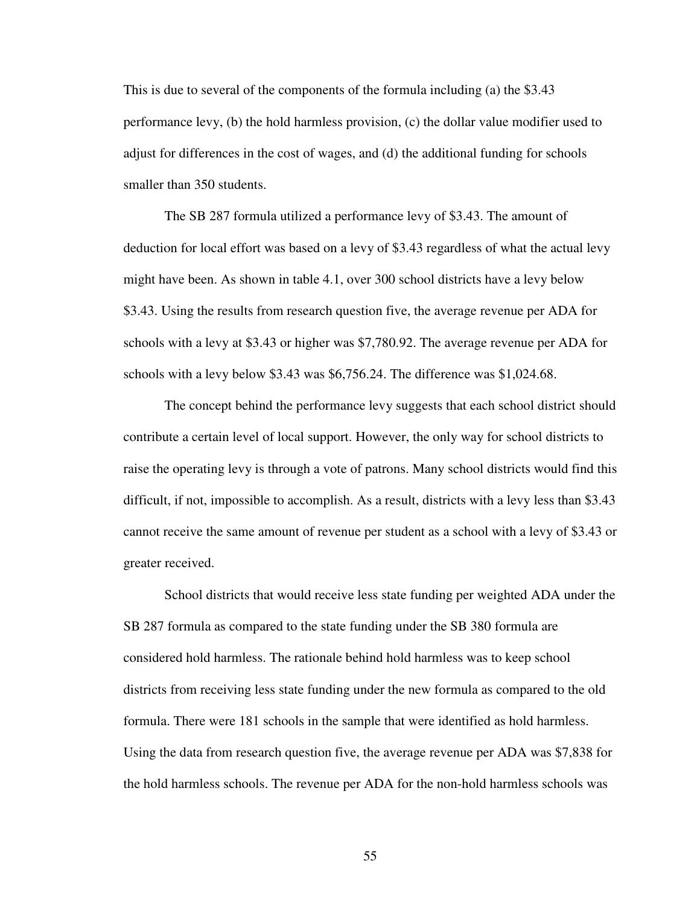This is due to several of the components of the formula including (a) the \$3.43 performance levy, (b) the hold harmless provision, (c) the dollar value modifier used to adjust for differences in the cost of wages, and (d) the additional funding for schools smaller than 350 students.

The SB 287 formula utilized a performance levy of \$3.43. The amount of deduction for local effort was based on a levy of \$3.43 regardless of what the actual levy might have been. As shown in table 4.1, over 300 school districts have a levy below \$3.43. Using the results from research question five, the average revenue per ADA for schools with a levy at \$3.43 or higher was \$7,780.92. The average revenue per ADA for schools with a levy below \$3.43 was \$6,756.24. The difference was \$1,024.68.

The concept behind the performance levy suggests that each school district should contribute a certain level of local support. However, the only way for school districts to raise the operating levy is through a vote of patrons. Many school districts would find this difficult, if not, impossible to accomplish. As a result, districts with a levy less than \$3.43 cannot receive the same amount of revenue per student as a school with a levy of \$3.43 or greater received.

School districts that would receive less state funding per weighted ADA under the SB 287 formula as compared to the state funding under the SB 380 formula are considered hold harmless. The rationale behind hold harmless was to keep school districts from receiving less state funding under the new formula as compared to the old formula. There were 181 schools in the sample that were identified as hold harmless. Using the data from research question five, the average revenue per ADA was \$7,838 for the hold harmless schools. The revenue per ADA for the non-hold harmless schools was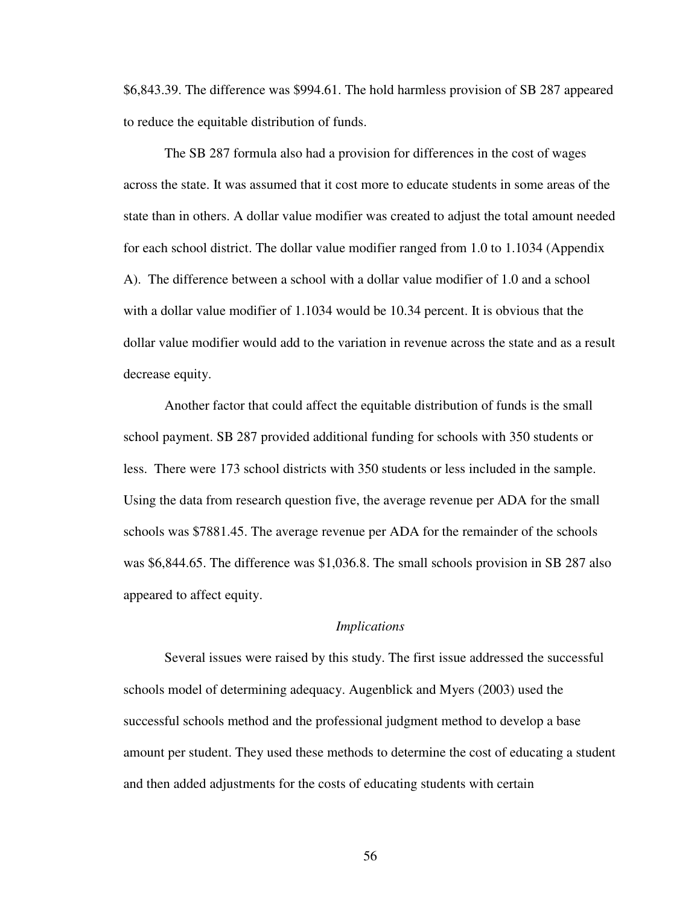\$6,843.39. The difference was \$994.61. The hold harmless provision of SB 287 appeared to reduce the equitable distribution of funds.

The SB 287 formula also had a provision for differences in the cost of wages across the state. It was assumed that it cost more to educate students in some areas of the state than in others. A dollar value modifier was created to adjust the total amount needed for each school district. The dollar value modifier ranged from 1.0 to 1.1034 (Appendix A). The difference between a school with a dollar value modifier of 1.0 and a school with a dollar value modifier of 1.1034 would be 10.34 percent. It is obvious that the dollar value modifier would add to the variation in revenue across the state and as a result decrease equity.

Another factor that could affect the equitable distribution of funds is the small school payment. SB 287 provided additional funding for schools with 350 students or less. There were 173 school districts with 350 students or less included in the sample. Using the data from research question five, the average revenue per ADA for the small schools was \$7881.45. The average revenue per ADA for the remainder of the schools was \$6,844.65. The difference was \$1,036.8. The small schools provision in SB 287 also appeared to affect equity.

#### *Implications*

Several issues were raised by this study. The first issue addressed the successful schools model of determining adequacy. Augenblick and Myers (2003) used the successful schools method and the professional judgment method to develop a base amount per student. They used these methods to determine the cost of educating a student and then added adjustments for the costs of educating students with certain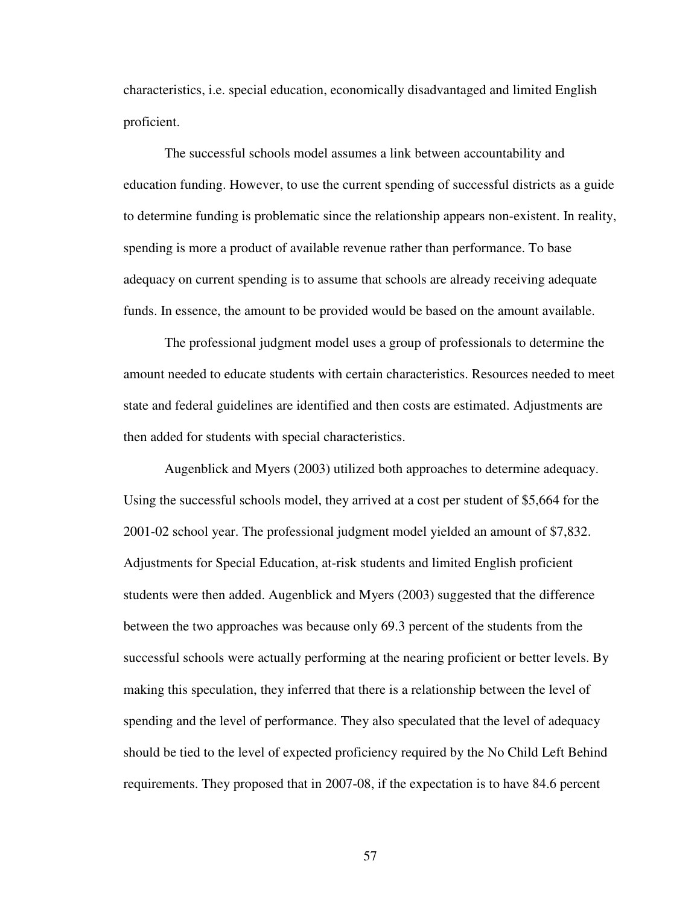characteristics, i.e. special education, economically disadvantaged and limited English proficient.

The successful schools model assumes a link between accountability and education funding. However, to use the current spending of successful districts as a guide to determine funding is problematic since the relationship appears non-existent. In reality, spending is more a product of available revenue rather than performance. To base adequacy on current spending is to assume that schools are already receiving adequate funds. In essence, the amount to be provided would be based on the amount available.

The professional judgment model uses a group of professionals to determine the amount needed to educate students with certain characteristics. Resources needed to meet state and federal guidelines are identified and then costs are estimated. Adjustments are then added for students with special characteristics.

Augenblick and Myers (2003) utilized both approaches to determine adequacy. Using the successful schools model, they arrived at a cost per student of \$5,664 for the 2001-02 school year. The professional judgment model yielded an amount of \$7,832. Adjustments for Special Education, at-risk students and limited English proficient students were then added. Augenblick and Myers (2003) suggested that the difference between the two approaches was because only 69.3 percent of the students from the successful schools were actually performing at the nearing proficient or better levels. By making this speculation, they inferred that there is a relationship between the level of spending and the level of performance. They also speculated that the level of adequacy should be tied to the level of expected proficiency required by the No Child Left Behind requirements. They proposed that in 2007-08, if the expectation is to have 84.6 percent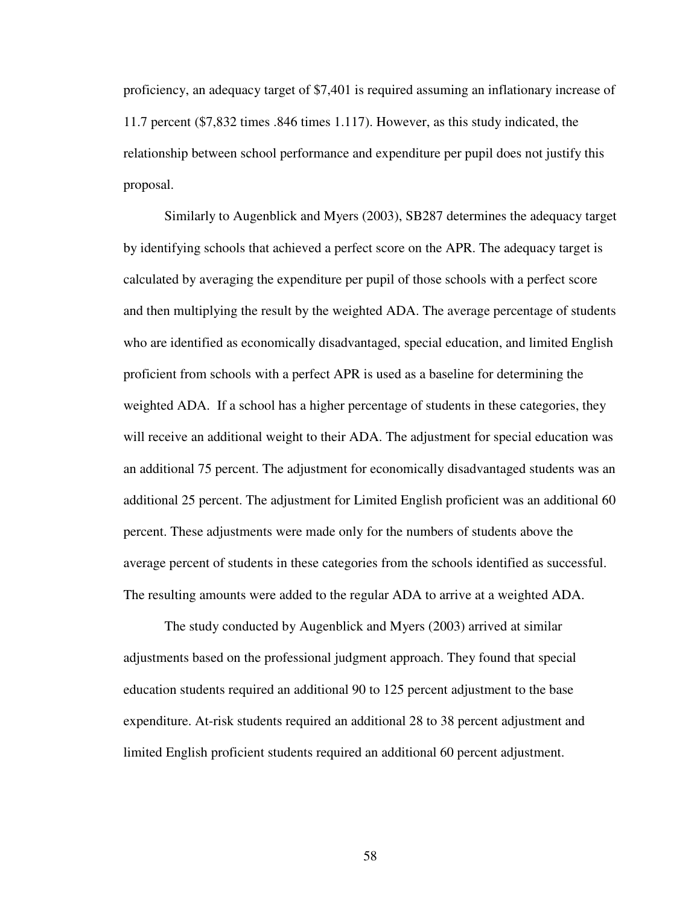proficiency, an adequacy target of \$7,401 is required assuming an inflationary increase of 11.7 percent (\$7,832 times .846 times 1.117). However, as this study indicated, the relationship between school performance and expenditure per pupil does not justify this proposal.

Similarly to Augenblick and Myers (2003), SB287 determines the adequacy target by identifying schools that achieved a perfect score on the APR. The adequacy target is calculated by averaging the expenditure per pupil of those schools with a perfect score and then multiplying the result by the weighted ADA. The average percentage of students who are identified as economically disadvantaged, special education, and limited English proficient from schools with a perfect APR is used as a baseline for determining the weighted ADA. If a school has a higher percentage of students in these categories, they will receive an additional weight to their ADA. The adjustment for special education was an additional 75 percent. The adjustment for economically disadvantaged students was an additional 25 percent. The adjustment for Limited English proficient was an additional 60 percent. These adjustments were made only for the numbers of students above the average percent of students in these categories from the schools identified as successful. The resulting amounts were added to the regular ADA to arrive at a weighted ADA.

The study conducted by Augenblick and Myers (2003) arrived at similar adjustments based on the professional judgment approach. They found that special education students required an additional 90 to 125 percent adjustment to the base expenditure. At-risk students required an additional 28 to 38 percent adjustment and limited English proficient students required an additional 60 percent adjustment.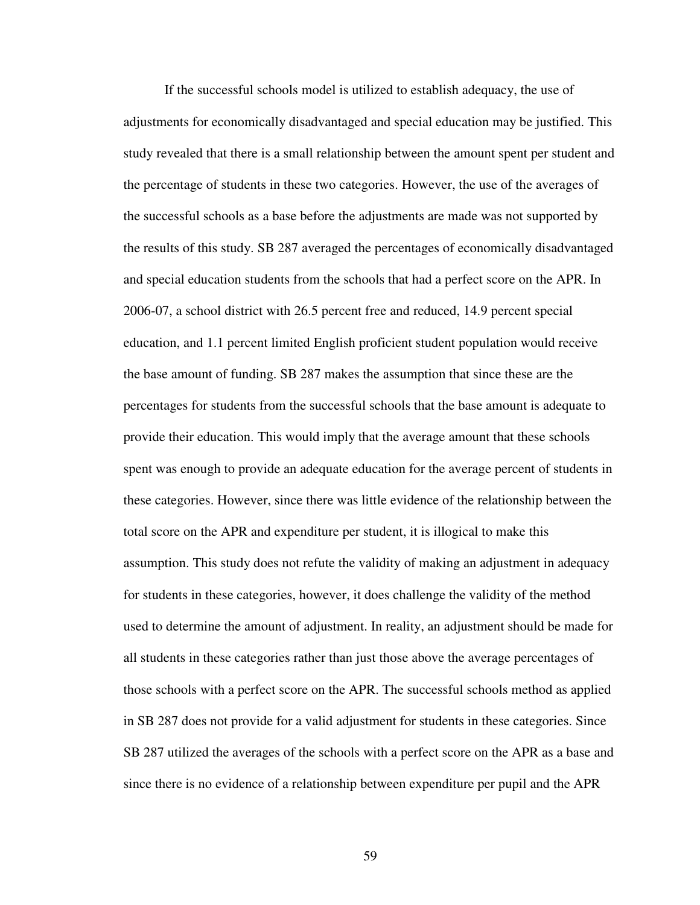If the successful schools model is utilized to establish adequacy, the use of adjustments for economically disadvantaged and special education may be justified. This study revealed that there is a small relationship between the amount spent per student and the percentage of students in these two categories. However, the use of the averages of the successful schools as a base before the adjustments are made was not supported by the results of this study. SB 287 averaged the percentages of economically disadvantaged and special education students from the schools that had a perfect score on the APR. In 2006-07, a school district with 26.5 percent free and reduced, 14.9 percent special education, and 1.1 percent limited English proficient student population would receive the base amount of funding. SB 287 makes the assumption that since these are the percentages for students from the successful schools that the base amount is adequate to provide their education. This would imply that the average amount that these schools spent was enough to provide an adequate education for the average percent of students in these categories. However, since there was little evidence of the relationship between the total score on the APR and expenditure per student, it is illogical to make this assumption. This study does not refute the validity of making an adjustment in adequacy for students in these categories, however, it does challenge the validity of the method used to determine the amount of adjustment. In reality, an adjustment should be made for all students in these categories rather than just those above the average percentages of those schools with a perfect score on the APR. The successful schools method as applied in SB 287 does not provide for a valid adjustment for students in these categories. Since SB 287 utilized the averages of the schools with a perfect score on the APR as a base and since there is no evidence of a relationship between expenditure per pupil and the APR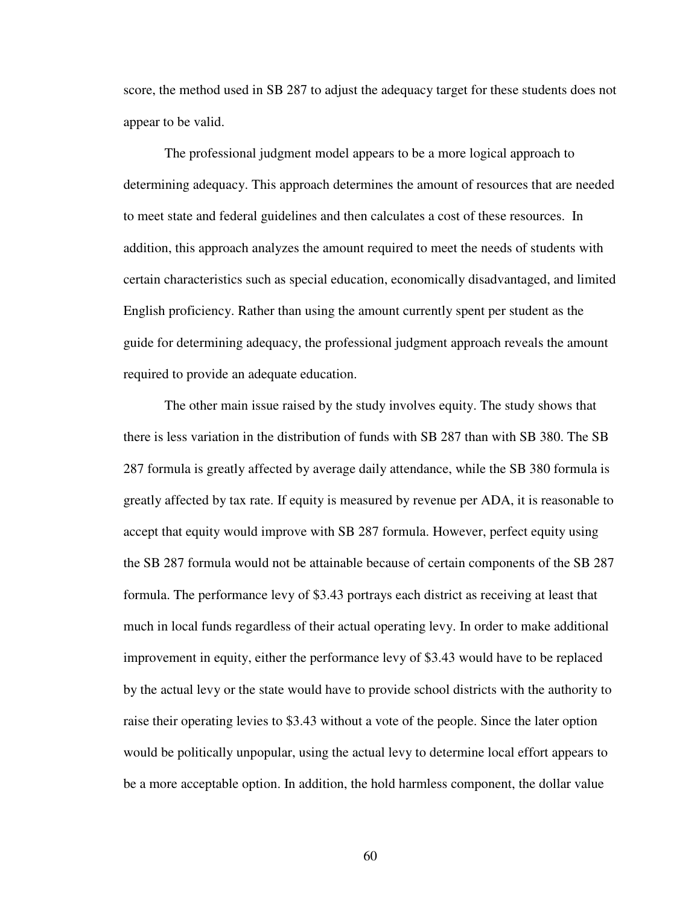score, the method used in SB 287 to adjust the adequacy target for these students does not appear to be valid.

The professional judgment model appears to be a more logical approach to determining adequacy. This approach determines the amount of resources that are needed to meet state and federal guidelines and then calculates a cost of these resources. In addition, this approach analyzes the amount required to meet the needs of students with certain characteristics such as special education, economically disadvantaged, and limited English proficiency. Rather than using the amount currently spent per student as the guide for determining adequacy, the professional judgment approach reveals the amount required to provide an adequate education.

The other main issue raised by the study involves equity. The study shows that there is less variation in the distribution of funds with SB 287 than with SB 380. The SB 287 formula is greatly affected by average daily attendance, while the SB 380 formula is greatly affected by tax rate. If equity is measured by revenue per ADA, it is reasonable to accept that equity would improve with SB 287 formula. However, perfect equity using the SB 287 formula would not be attainable because of certain components of the SB 287 formula. The performance levy of \$3.43 portrays each district as receiving at least that much in local funds regardless of their actual operating levy. In order to make additional improvement in equity, either the performance levy of \$3.43 would have to be replaced by the actual levy or the state would have to provide school districts with the authority to raise their operating levies to \$3.43 without a vote of the people. Since the later option would be politically unpopular, using the actual levy to determine local effort appears to be a more acceptable option. In addition, the hold harmless component, the dollar value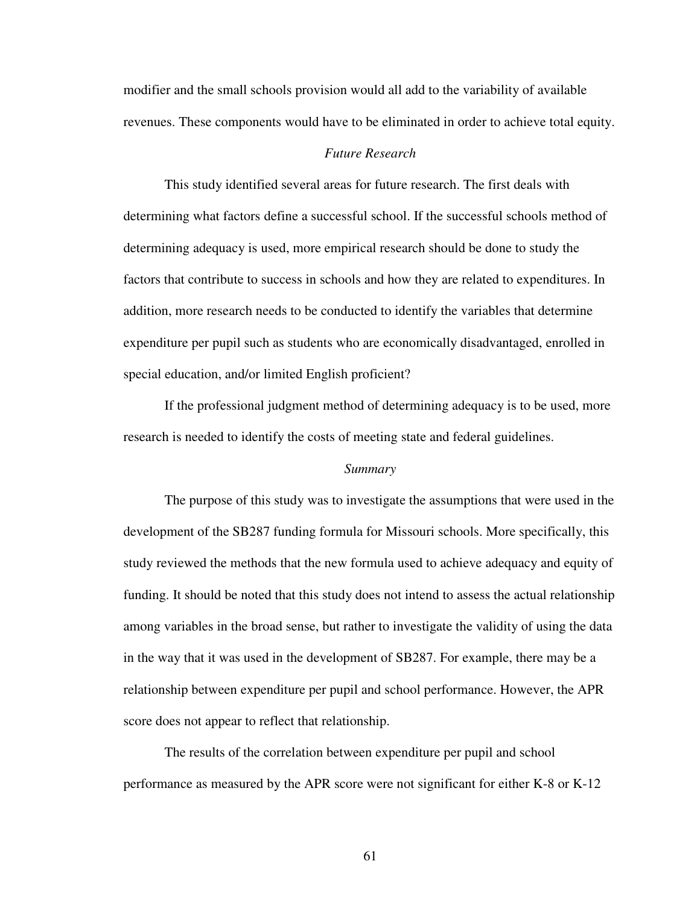modifier and the small schools provision would all add to the variability of available revenues. These components would have to be eliminated in order to achieve total equity.

# *Future Research*

This study identified several areas for future research. The first deals with determining what factors define a successful school. If the successful schools method of determining adequacy is used, more empirical research should be done to study the factors that contribute to success in schools and how they are related to expenditures. In addition, more research needs to be conducted to identify the variables that determine expenditure per pupil such as students who are economically disadvantaged, enrolled in special education, and/or limited English proficient?

If the professional judgment method of determining adequacy is to be used, more research is needed to identify the costs of meeting state and federal guidelines.

#### *Summary*

The purpose of this study was to investigate the assumptions that were used in the development of the SB287 funding formula for Missouri schools. More specifically, this study reviewed the methods that the new formula used to achieve adequacy and equity of funding. It should be noted that this study does not intend to assess the actual relationship among variables in the broad sense, but rather to investigate the validity of using the data in the way that it was used in the development of SB287. For example, there may be a relationship between expenditure per pupil and school performance. However, the APR score does not appear to reflect that relationship.

The results of the correlation between expenditure per pupil and school performance as measured by the APR score were not significant for either K-8 or K-12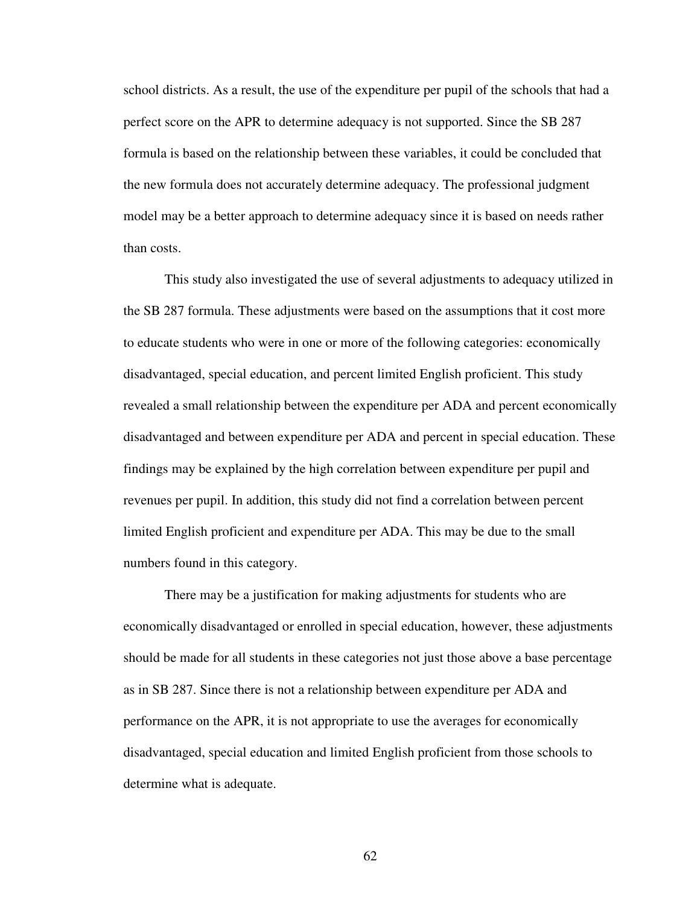school districts. As a result, the use of the expenditure per pupil of the schools that had a perfect score on the APR to determine adequacy is not supported. Since the SB 287 formula is based on the relationship between these variables, it could be concluded that the new formula does not accurately determine adequacy. The professional judgment model may be a better approach to determine adequacy since it is based on needs rather than costs.

This study also investigated the use of several adjustments to adequacy utilized in the SB 287 formula. These adjustments were based on the assumptions that it cost more to educate students who were in one or more of the following categories: economically disadvantaged, special education, and percent limited English proficient. This study revealed a small relationship between the expenditure per ADA and percent economically disadvantaged and between expenditure per ADA and percent in special education. These findings may be explained by the high correlation between expenditure per pupil and revenues per pupil. In addition, this study did not find a correlation between percent limited English proficient and expenditure per ADA. This may be due to the small numbers found in this category.

There may be a justification for making adjustments for students who are economically disadvantaged or enrolled in special education, however, these adjustments should be made for all students in these categories not just those above a base percentage as in SB 287. Since there is not a relationship between expenditure per ADA and performance on the APR, it is not appropriate to use the averages for economically disadvantaged, special education and limited English proficient from those schools to determine what is adequate.

62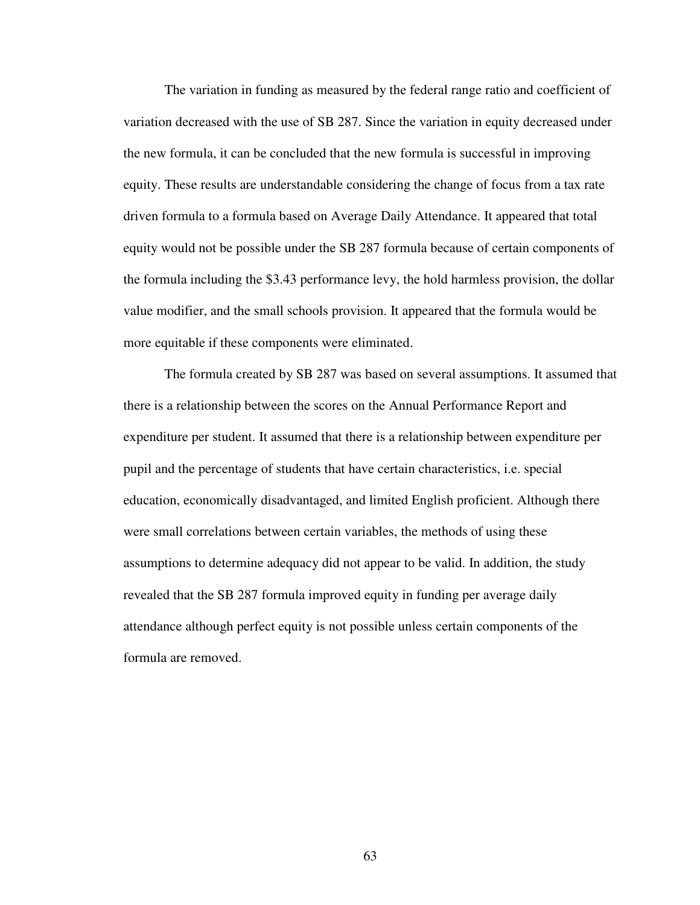The variation in funding as measured by the federal range ratio and coefficient of variation decreased with the use of SB 287. Since the variation in equity decreased under the new formula, it can be concluded that the new formula is successful in improving equity. These results are understandable considering the change of focus from a tax rate driven formula to a formula based on Average Daily Attendance. It appeared that total equity would not be possible under the SB 287 formula because of certain components of the formula including the \$3.43 performance levy, the hold harmless provision, the dollar value modifier, and the small schools provision. It appeared that the formula would be more equitable if these components were eliminated.

The formula created by SB 287 was based on several assumptions. It assumed that there is a relationship between the scores on the Annual Performance Report and expenditure per student. It assumed that there is a relationship between expenditure per pupil and the percentage of students that have certain characteristics, i.e. special education, economically disadvantaged, and limited English proficient. Although there were small correlations between certain variables, the methods of using these assumptions to determine adequacy did not appear to be valid. In addition, the study revealed that the SB 287 formula improved equity in funding per average daily attendance although perfect equity is not possible unless certain components of the formula are removed.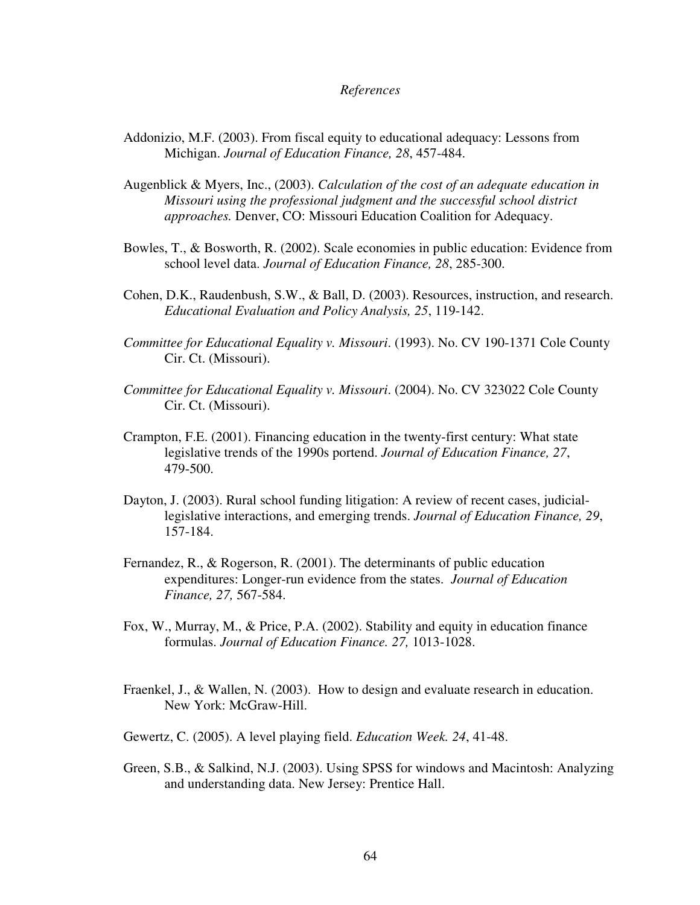#### *References*

- Addonizio, M.F. (2003). From fiscal equity to educational adequacy: Lessons from Michigan. *Journal of Education Finance, 28*, 457-484.
- Augenblick & Myers, Inc., (2003). *Calculation of the cost of an adequate education in Missouri using the professional judgment and the successful school district approaches.* Denver, CO: Missouri Education Coalition for Adequacy.
- Bowles, T., & Bosworth, R. (2002). Scale economies in public education: Evidence from school level data. *Journal of Education Finance, 28*, 285-300.
- Cohen, D.K., Raudenbush, S.W., & Ball, D. (2003). Resources, instruction, and research. *Educational Evaluation and Policy Analysis, 25*, 119-142.
- *Committee for Educational Equality v. Missouri*. (1993). No. CV 190-1371 Cole County Cir. Ct. (Missouri).
- *Committee for Educational Equality v. Missouri*. (2004). No. CV 323022 Cole County Cir. Ct. (Missouri).
- Crampton, F.E. (2001). Financing education in the twenty-first century: What state legislative trends of the 1990s portend. *Journal of Education Finance, 27*, 479-500.
- Dayton, J. (2003). Rural school funding litigation: A review of recent cases, judiciallegislative interactions, and emerging trends. *Journal of Education Finance, 29*, 157-184.
- Fernandez, R., & Rogerson, R. (2001). The determinants of public education expenditures: Longer-run evidence from the states. *Journal of Education Finance, 27,* 567-584.
- Fox, W., Murray, M., & Price, P.A. (2002). Stability and equity in education finance formulas. *Journal of Education Finance. 27,* 1013-1028.
- Fraenkel, J., & Wallen, N. (2003). How to design and evaluate research in education. New York: McGraw-Hill.
- Gewertz, C. (2005). A level playing field. *Education Week. 24*, 41-48.
- Green, S.B., & Salkind, N.J. (2003). Using SPSS for windows and Macintosh: Analyzing and understanding data. New Jersey: Prentice Hall.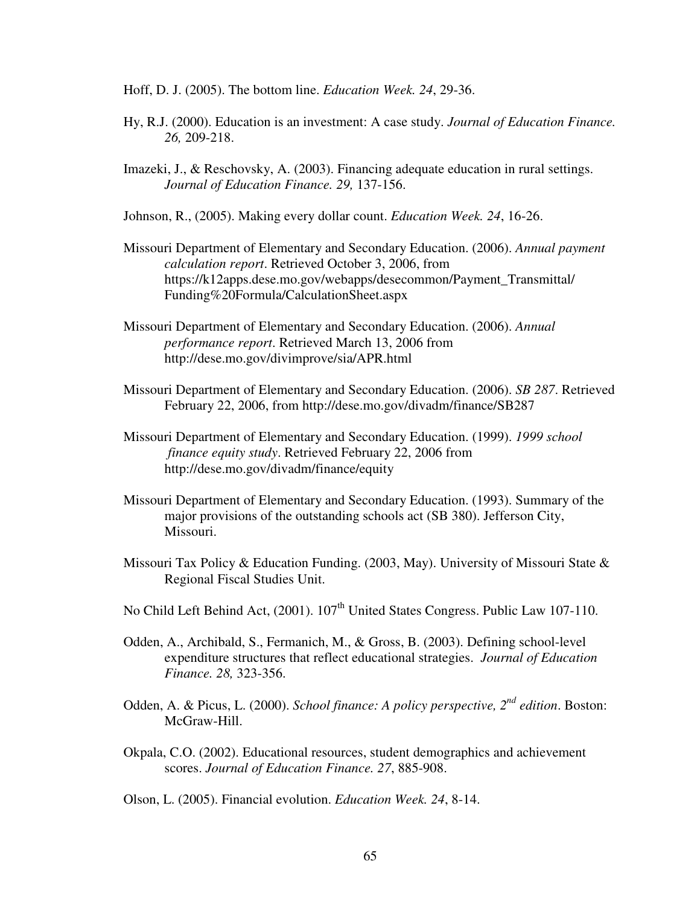- Hoff, D. J. (2005). The bottom line. *Education Week. 24*, 29-36.
- Hy, R.J. (2000). Education is an investment: A case study. *Journal of Education Finance. 26,* 209-218.
- Imazeki, J., & Reschovsky, A. (2003). Financing adequate education in rural settings. *Journal of Education Finance. 29,* 137-156.
- Johnson, R., (2005). Making every dollar count. *Education Week. 24*, 16-26.
- Missouri Department of Elementary and Secondary Education. (2006). *Annual payment calculation report*. Retrieved October 3, 2006, from https://k12apps.dese.mo.gov/webapps/desecommon/Payment\_Transmittal/ Funding%20Formula/CalculationSheet.aspx
- Missouri Department of Elementary and Secondary Education. (2006). *Annual performance report*. Retrieved March 13, 2006 from http://dese.mo.gov/divimprove/sia/APR.html
- Missouri Department of Elementary and Secondary Education. (2006). *SB 287*. Retrieved February 22, 2006, from http://dese.mo.gov/divadm/finance/SB287
- Missouri Department of Elementary and Secondary Education. (1999). *1999 school finance equity study*. Retrieved February 22, 2006 from http://dese.mo.gov/divadm/finance/equity
- Missouri Department of Elementary and Secondary Education. (1993). Summary of the major provisions of the outstanding schools act (SB 380). Jefferson City, Missouri.
- Missouri Tax Policy & Education Funding. (2003, May). University of Missouri State & Regional Fiscal Studies Unit.
- No Child Left Behind Act, (2001). 107<sup>th</sup> United States Congress. Public Law 107-110.
- Odden, A., Archibald, S., Fermanich, M., & Gross, B. (2003). Defining school-level expenditure structures that reflect educational strategies. *Journal of Education Finance. 28,* 323-356.
- Odden, A. & Picus, L. (2000). *School finance: A policy perspective, 2 nd edition*. Boston: McGraw-Hill.
- Okpala, C.O. (2002). Educational resources, student demographics and achievement scores. *Journal of Education Finance. 27*, 885-908.
- Olson, L. (2005). Financial evolution. *Education Week. 24*, 8-14.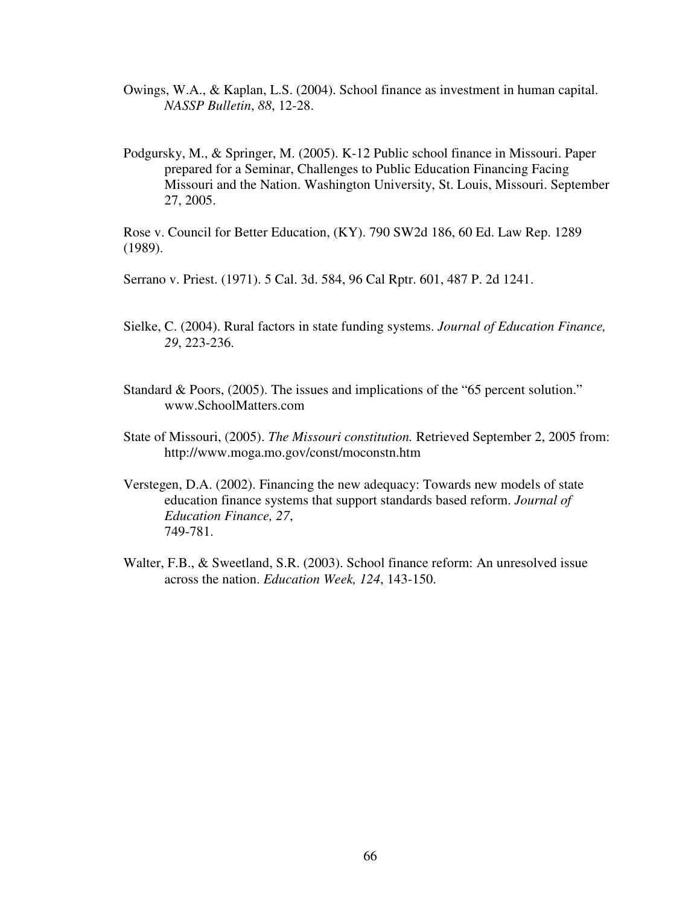- Owings, W.A., & Kaplan, L.S. (2004). School finance as investment in human capital. *NASSP Bulletin*, *88*, 12-28.
- Podgursky, M., & Springer, M. (2005). K-12 Public school finance in Missouri. Paper prepared for a Seminar, Challenges to Public Education Financing Facing Missouri and the Nation. Washington University, St. Louis, Missouri. September 27, 2005.

Rose v. Council for Better Education, (KY). 790 SW2d 186, 60 Ed. Law Rep. 1289 (1989).

Serrano v. Priest. (1971). 5 Cal. 3d. 584, 96 Cal Rptr. 601, 487 P. 2d 1241.

- Sielke, C. (2004). Rural factors in state funding systems. *Journal of Education Finance, 29*, 223-236.
- Standard & Poors, (2005). The issues and implications of the "65 percent solution." www.SchoolMatters.com
- State of Missouri, (2005). *The Missouri constitution.* Retrieved September 2, 2005 from: http://www.moga.mo.gov/const/moconstn.htm
- Verstegen, D.A. (2002). Financing the new adequacy: Towards new models of state education finance systems that support standards based reform. *Journal of Education Finance, 27*, 749-781.
- Walter, F.B., & Sweetland, S.R. (2003). School finance reform: An unresolved issue across the nation. *Education Week, 124*, 143-150.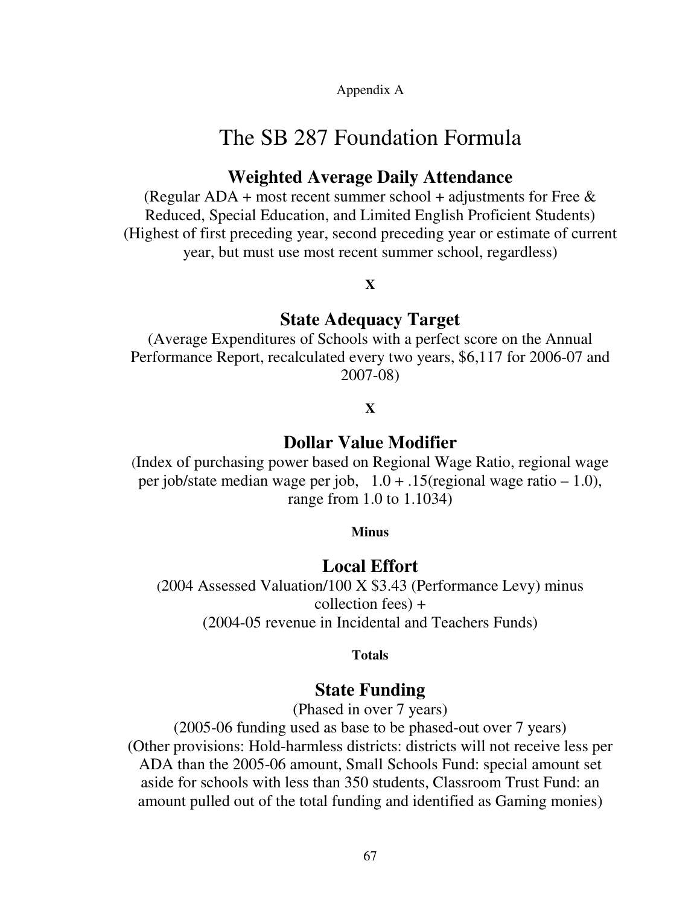Appendix A

# The SB 287 Foundation Formula

# **Weighted Average Daily Attendance**

(Regular ADA + most recent summer school + adjustments for Free  $\&$ Reduced, Special Education, and Limited English Proficient Students) (Highest of first preceding year, second preceding year or estimate of current year, but must use most recent summer school, regardless)

### **X**

### **State Adequacy Target**

(Average Expenditures of Schools with a perfect score on the Annual Performance Report, recalculated every two years, \$6,117 for 2006-07 and 2007-08)

### **X**

## **Dollar Value Modifier**

(Index of purchasing power based on Regional Wage Ratio, regional wage per job/state median wage per job, 1.0 + .15(regional wage ratio – 1.0), range from 1.0 to 1.1034)

#### **Minus**

### **Local Effort**

(2004 Assessed Valuation/100 X \$3.43 (Performance Levy) minus collection fees) + (2004-05 revenue in Incidental and Teachers Funds)

**Totals**

## **State Funding**

(Phased in over 7 years)

(2005-06 funding used as base to be phased-out over 7 years) (Other provisions: Hold-harmless districts: districts will not receive less per ADA than the 2005-06 amount, Small Schools Fund: special amount set aside for schools with less than 350 students, Classroom Trust Fund: an amount pulled out of the total funding and identified as Gaming monies)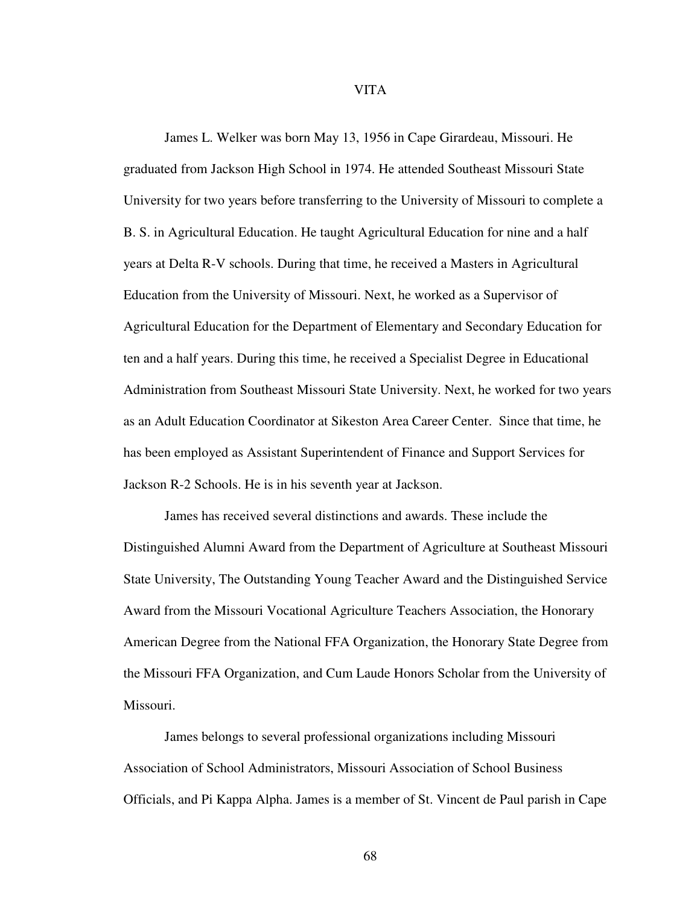#### VITA

James L. Welker was born May 13, 1956 in Cape Girardeau, Missouri. He graduated from Jackson High School in 1974. He attended Southeast Missouri State University for two years before transferring to the University of Missouri to complete a B. S. in Agricultural Education. He taught Agricultural Education for nine and a half years at Delta R-V schools. During that time, he received a Masters in Agricultural Education from the University of Missouri. Next, he worked as a Supervisor of Agricultural Education for the Department of Elementary and Secondary Education for ten and a half years. During this time, he received a Specialist Degree in Educational Administration from Southeast Missouri State University. Next, he worked for two years as an Adult Education Coordinator at Sikeston Area Career Center. Since that time, he has been employed as Assistant Superintendent of Finance and Support Services for Jackson R-2 Schools. He is in his seventh year at Jackson.

James has received several distinctions and awards. These include the Distinguished Alumni Award from the Department of Agriculture at Southeast Missouri State University, The Outstanding Young Teacher Award and the Distinguished Service Award from the Missouri Vocational Agriculture Teachers Association, the Honorary American Degree from the National FFA Organization, the Honorary State Degree from the Missouri FFA Organization, and Cum Laude Honors Scholar from the University of Missouri.

James belongs to several professional organizations including Missouri Association of School Administrators, Missouri Association of School Business Officials, and Pi Kappa Alpha. James is a member of St. Vincent de Paul parish in Cape

68